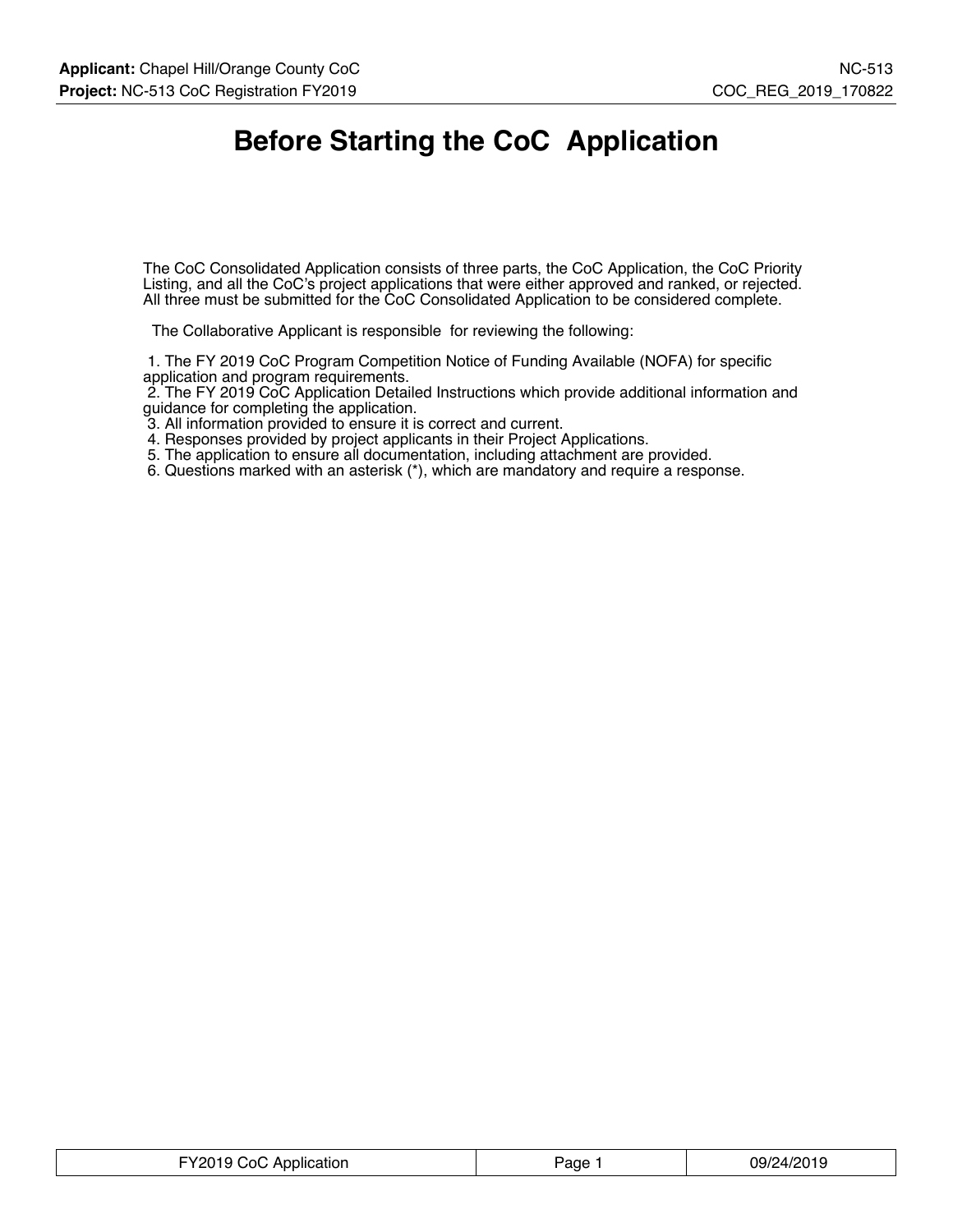## **Before Starting the CoC Application**

The CoC Consolidated Application consists of three parts, the CoC Application, the CoC Priority Listing, and all the CoC's project applications that were either approved and ranked, or rejected. All three must be submitted for the CoC Consolidated Application to be considered complete.

The Collaborative Applicant is responsible for reviewing the following:

 1. The FY 2019 CoC Program Competition Notice of Funding Available (NOFA) for specific application and program requirements.

 2. The FY 2019 CoC Application Detailed Instructions which provide additional information and guidance for completing the application.

3. All information provided to ensure it is correct and current.

4. Responses provided by project applicants in their Project Applications.

5. The application to ensure all documentation, including attachment are provided.

6. Questions marked with an asterisk (\*), which are mandatory and require a response.

| FY2019 CoC Application | aqe · | 09/24/2019 |
|------------------------|-------|------------|
|------------------------|-------|------------|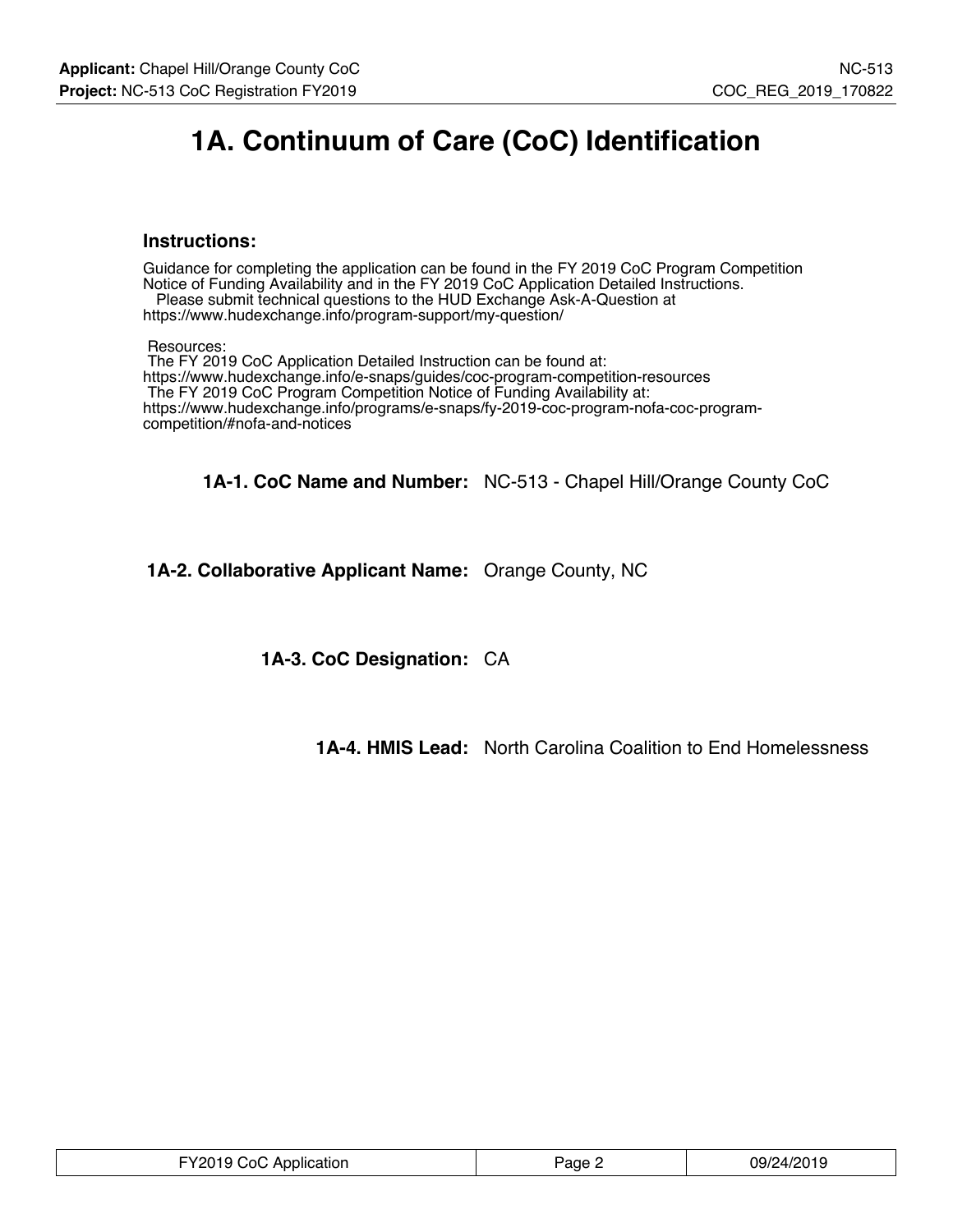## **1A. Continuum of Care (CoC) Identification**

#### **Instructions:**

Guidance for completing the application can be found in the FY 2019 CoC Program Competition Notice of Funding Availability and in the FY 2019 CoC Application Detailed Instructions. Please submit technical questions to the HUD Exchange Ask-A-Question at

https://www.hudexchange.info/program-support/my-question/

Resources:

 The FY 2019 CoC Application Detailed Instruction can be found at: https://www.hudexchange.info/e-snaps/guides/coc-program-competition-resources The FY 2019 CoC Program Competition Notice of Funding Availability at: https://www.hudexchange.info/programs/e-snaps/fy-2019-coc-program-nofa-coc-programcompetition/#nofa-and-notices

**1A-1. CoC Name and Number:** NC-513 - Chapel Hill/Orange County CoC

**1A-2. Collaborative Applicant Name:** Orange County, NC

**1A-3. CoC Designation:** CA

**1A-4. HMIS Lead:** North Carolina Coalition to End Homelessness

| FY2019 CoC Application | Paqe 2 | 09/24/2019 |
|------------------------|--------|------------|
|------------------------|--------|------------|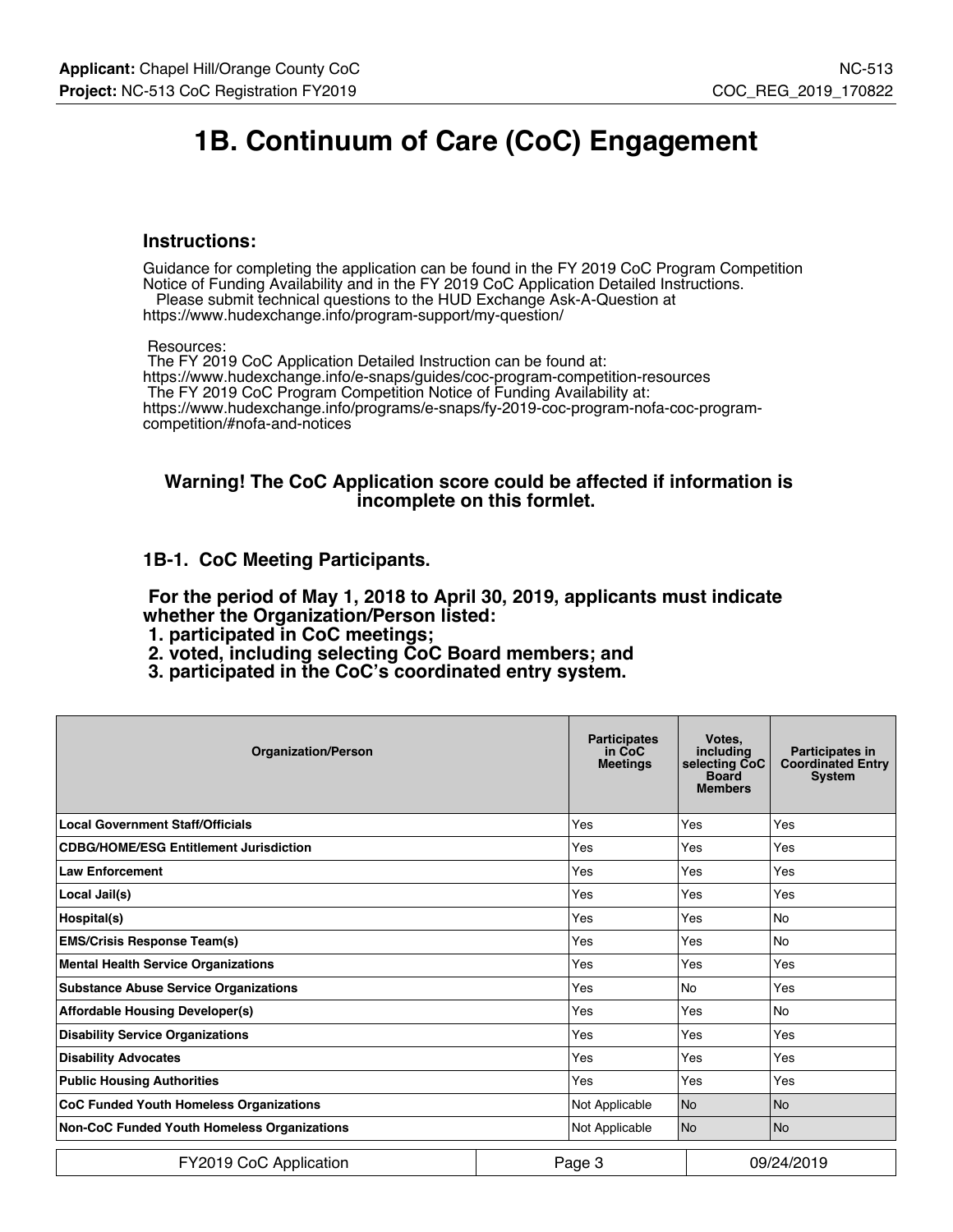## **1B. Continuum of Care (CoC) Engagement**

#### **Instructions:**

Guidance for completing the application can be found in the FY 2019 CoC Program Competition Notice of Funding Availability and in the FY 2019 CoC Application Detailed Instructions.

 Please submit technical questions to the HUD Exchange Ask-A-Question at https://www.hudexchange.info/program-support/my-question/

Resources:

 The FY 2019 CoC Application Detailed Instruction can be found at: https://www.hudexchange.info/e-snaps/guides/coc-program-competition-resources The FY 2019 CoC Program Competition Notice of Funding Availability at: https://www.hudexchange.info/programs/e-snaps/fy-2019-coc-program-nofa-coc-programcompetition/#nofa-and-notices

#### **Warning! The CoC Application score could be affected if information is incomplete on this formlet.**

#### **1B-1. CoC Meeting Participants.**

 **For the period of May 1, 2018 to April 30, 2019, applicants must indicate whether the Organization/Person listed:**

- **1. participated in CoC meetings;**
- **2. voted, including selecting CoC Board members; and**
- **3. participated in the CoC's coordinated entry system.**

| <b>Organization/Person</b>                     |  | <b>Participates</b><br>in CoC<br><b>Meetings</b> | Votes.<br>including<br>selecting CoC<br><b>Board</b><br><b>Members</b> | <b>Participates in</b><br><b>Coordinated Entry</b><br><b>System</b> |
|------------------------------------------------|--|--------------------------------------------------|------------------------------------------------------------------------|---------------------------------------------------------------------|
| <b>Local Government Staff/Officials</b>        |  | Yes                                              | Yes                                                                    | Yes                                                                 |
| <b>CDBG/HOME/ESG Entitlement Jurisdiction</b>  |  | Yes                                              | Yes                                                                    | Yes                                                                 |
| <b>Law Enforcement</b>                         |  | Yes                                              | Yes                                                                    | Yes                                                                 |
| Local Jail(s)                                  |  | Yes                                              | Yes                                                                    | Yes                                                                 |
| Hospital(s)                                    |  | Yes                                              | Yes                                                                    | <b>No</b>                                                           |
| <b>EMS/Crisis Response Team(s)</b>             |  | Yes                                              | Yes                                                                    | <b>No</b>                                                           |
| <b>Mental Health Service Organizations</b>     |  | Yes                                              | Yes                                                                    | Yes                                                                 |
| <b>Substance Abuse Service Organizations</b>   |  | Yes                                              | <b>No</b>                                                              | Yes                                                                 |
| <b>Affordable Housing Developer(s)</b>         |  | Yes                                              | Yes                                                                    | <b>No</b>                                                           |
| <b>Disability Service Organizations</b>        |  | Yes                                              | Yes                                                                    | Yes                                                                 |
| <b>Disability Advocates</b>                    |  | Yes                                              | Yes                                                                    | Yes                                                                 |
| <b>Public Housing Authorities</b>              |  | Yes                                              | Yes                                                                    | Yes                                                                 |
| <b>CoC Funded Youth Homeless Organizations</b> |  | Not Applicable                                   | N <sub>o</sub>                                                         | l No                                                                |
| Non-CoC Funded Youth Homeless Organizations    |  | Not Applicable                                   | N <sub>o</sub>                                                         | No.                                                                 |
| FY2019 CoC Application                         |  | Page 3                                           |                                                                        | 09/24/2019                                                          |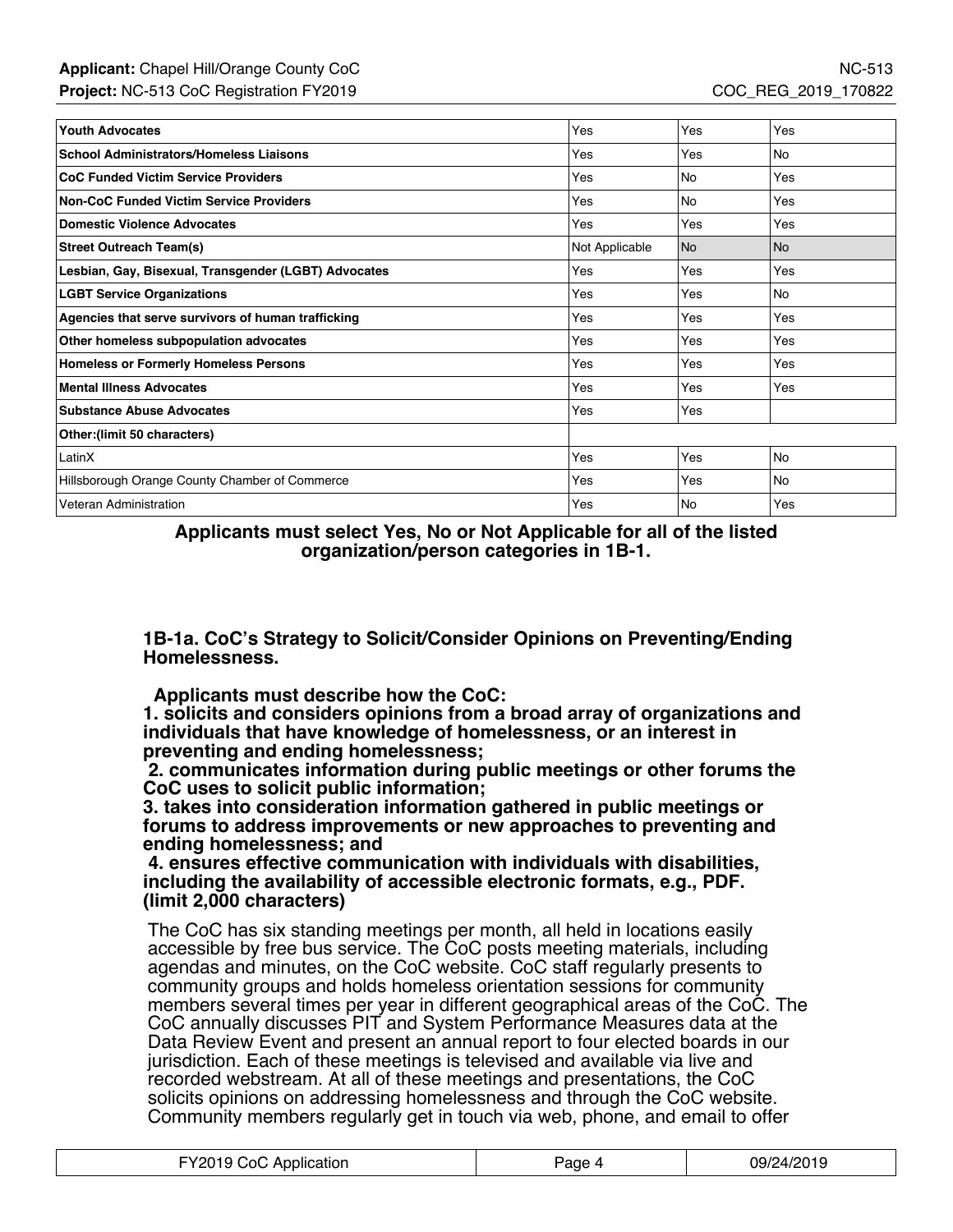| <b>Youth Advocates</b>                               | Yes            | Yes       | Yes       |
|------------------------------------------------------|----------------|-----------|-----------|
| <b>School Administrators/Homeless Liaisons</b>       | Yes            | Yes       | <b>No</b> |
| <b>CoC Funded Victim Service Providers</b>           | Yes            | No        | Yes       |
| <b>Non-CoC Funded Victim Service Providers</b>       | Yes            | No        | Yes       |
| <b>Domestic Violence Advocates</b>                   | Yes            | Yes       | Yes       |
| <b>Street Outreach Team(s)</b>                       | Not Applicable | <b>No</b> | l No      |
| Lesbian, Gay, Bisexual, Transgender (LGBT) Advocates | Yes            | Yes       | Yes       |
| <b>LGBT Service Organizations</b>                    | Yes            | Yes       | No        |
| Agencies that serve survivors of human trafficking   | Yes            | Yes       | Yes       |
| Other homeless subpopulation advocates               | Yes            | Yes       | Yes       |
| <b>Homeless or Formerly Homeless Persons</b>         | Yes            | Yes       | Yes       |
| <b>Mental Illness Advocates</b>                      | Yes            | Yes       | Yes       |
| <b>Substance Abuse Advocates</b>                     | Yes            | Yes       |           |
| Other: (limit 50 characters)                         |                |           |           |
| LatinX                                               | Yes            | Yes       | No        |
| Hillsborough Orange County Chamber of Commerce       | Yes            | Yes       | <b>No</b> |
| Veteran Administration                               | Yes            | No        | Yes       |

**Applicants must select Yes, No or Not Applicable for all of the listed organization/person categories in 1B-1.**

**1B-1a. CoC's Strategy to Solicit/Consider Opinions on Preventing/Ending Homelessness.**

 **Applicants must describe how the CoC:**

**1. solicits and considers opinions from a broad array of organizations and individuals that have knowledge of homelessness, or an interest in preventing and ending homelessness;**

 **2. communicates information during public meetings or other forums the CoC uses to solicit public information;**

**3. takes into consideration information gathered in public meetings or forums to address improvements or new approaches to preventing and ending homelessness; and**

 **4. ensures effective communication with individuals with disabilities, including the availability of accessible electronic formats, e.g., PDF. (limit 2,000 characters)**

The CoC has six standing meetings per month, all held in locations easily accessible by free bus service. The CoC posts meeting materials, including agendas and minutes, on the CoC website. CoC staff regularly presents to community groups and holds homeless orientation sessions for community members several times per year in different geographical areas of the CoC. The CoC annually discusses PIT and System Performance Measures data at the Data Review Event and present an annual report to four elected boards in our jurisdiction. Each of these meetings is televised and available via live and recorded webstream. At all of these meetings and presentations, the CoC solicits opinions on addressing homelessness and through the CoC website. Community members regularly get in touch via web, phone, and email to offer

| FY2019 CoC Application | Page 4 | 09/24/2019 |
|------------------------|--------|------------|
|------------------------|--------|------------|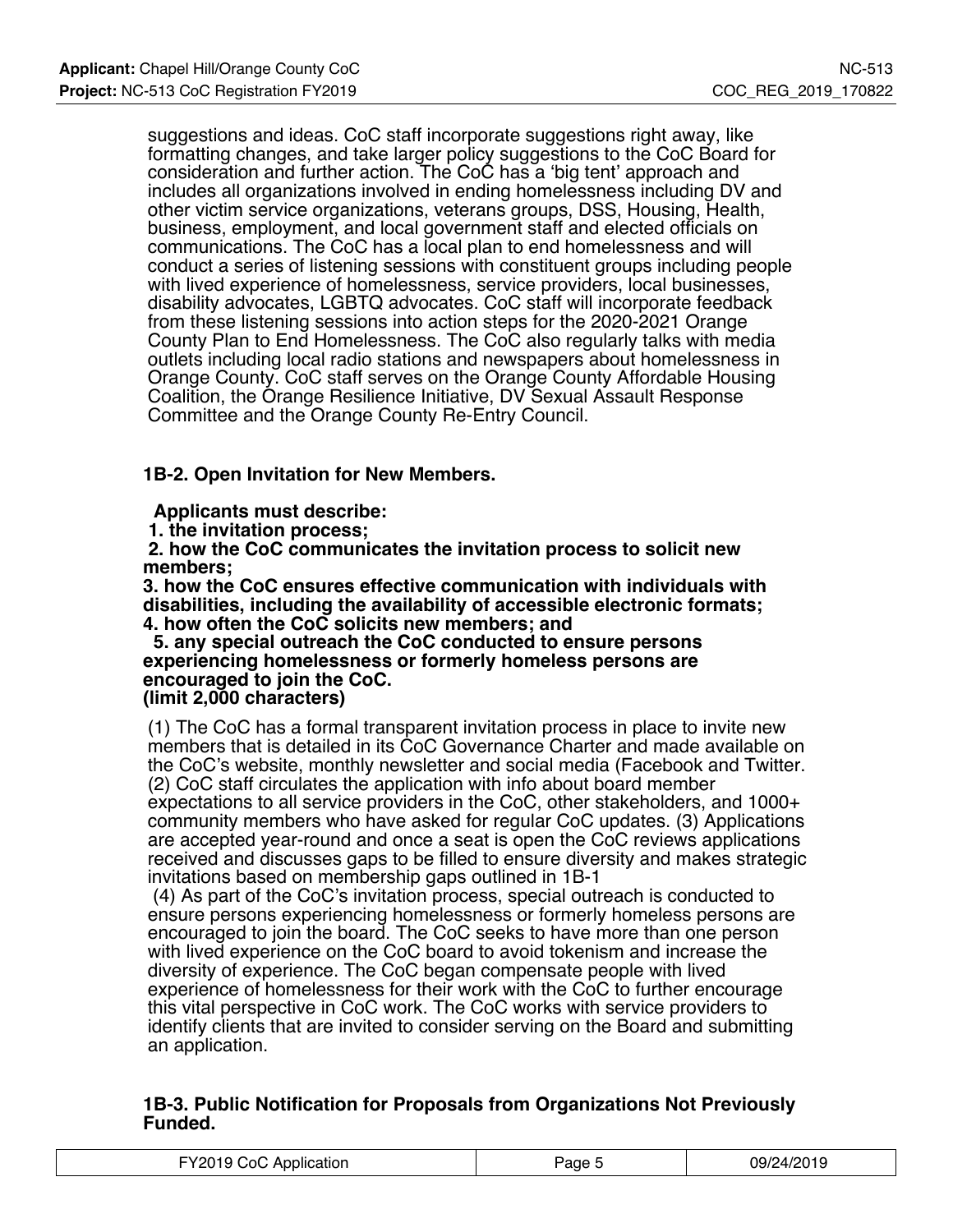suggestions and ideas. CoC staff incorporate suggestions right away, like formatting changes, and take larger policy suggestions to the CoC Board for consideration and further action. The CoC has a 'big tent' approach and includes all organizations involved in ending homelessness including DV and other victim service organizations, veterans groups, DSS, Housing, Health, business, employment, and local government staff and elected officials on communications. The CoC has a local plan to end homelessness and will conduct a series of listening sessions with constituent groups including people with lived experience of homelessness, service providers, local businesses, disability advocates, LGBTQ advocates. CoC staff will incorporate feedback from these listening sessions into action steps for the 2020-2021 Orange County Plan to End Homelessness. The CoC also regularly talks with media outlets including local radio stations and newspapers about homelessness in Orange County. CoC staff serves on the Orange County Affordable Housing Coalition, the Orange Resilience Initiative, DV Sexual Assault Response Committee and the Orange County Re-Entry Council.

## **1B-2. Open Invitation for New Members.**

 **Applicants must describe:**

 **1. the invitation process;**

 **2. how the CoC communicates the invitation process to solicit new members;**

**3. how the CoC ensures effective communication with individuals with disabilities, including the availability of accessible electronic formats; 4. how often the CoC solicits new members; and**

 **5. any special outreach the CoC conducted to ensure persons experiencing homelessness or formerly homeless persons are encouraged to join the CoC.**

**(limit 2,000 characters)**

(1) The CoC has a formal transparent invitation process in place to invite new members that is detailed in its CoC Governance Charter and made available on the CoC's website, monthly newsletter and social media (Facebook and Twitter. (2) CoC staff circulates the application with info about board member

expectations to all service providers in the CoC, other stakeholders, and 1000+ community members who have asked for regular CoC updates. (3) Applications are accepted year-round and once a seat is open the CoC reviews applications received and discusses gaps to be filled to ensure diversity and makes strategic invitations based on membership gaps outlined in 1B-1

 (4) As part of the CoC's invitation process, special outreach is conducted to ensure persons experiencing homelessness or formerly homeless persons are encouraged to join the board. The CoC seeks to have more than one person with lived experience on the CoC board to avoid tokenism and increase the diversity of experience. The CoC began compensate people with lived experience of homelessness for their work with the CoC to further encourage this vital perspective in CoC work. The CoC works with service providers to identify clients that are invited to consider serving on the Board and submitting an application.

#### **1B-3. Public Notification for Proposals from Organizations Not Previously Funded.**

| FY2019 CoC Application | Paqe | 09/24/2019 |
|------------------------|------|------------|
|------------------------|------|------------|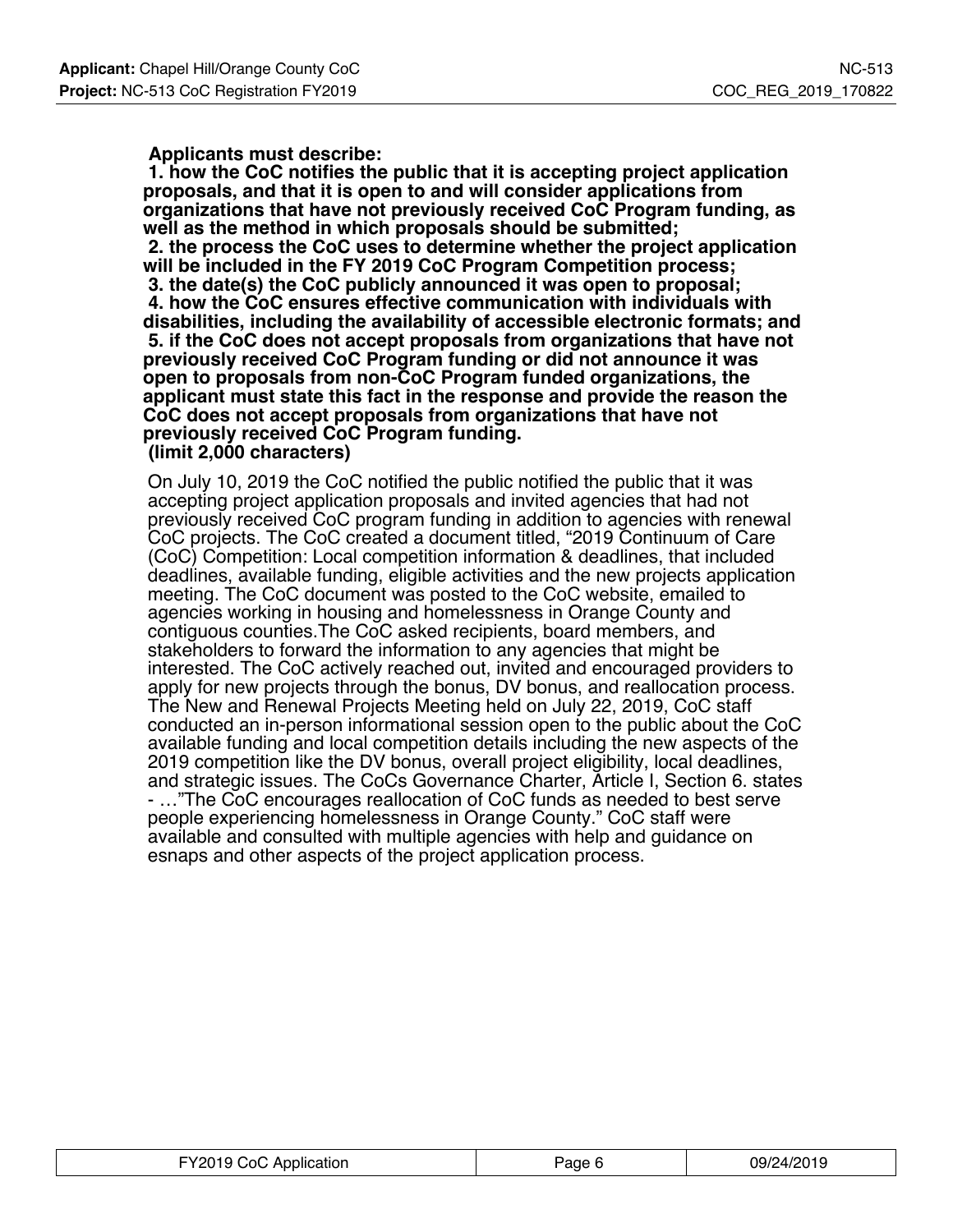#### **Applicants must describe:**

 **1. how the CoC notifies the public that it is accepting project application proposals, and that it is open to and will consider applications from organizations that have not previously received CoC Program funding, as well as the method in which proposals should be submitted; 2. the process the CoC uses to determine whether the project application will be included in the FY 2019 CoC Program Competition process; 3. the date(s) the CoC publicly announced it was open to proposal; 4. how the CoC ensures effective communication with individuals with disabilities, including the availability of accessible electronic formats; and 5. if the CoC does not accept proposals from organizations that have not previously received CoC Program funding or did not announce it was open to proposals from non-CoC Program funded organizations, the applicant must state this fact in the response and provide the reason the CoC does not accept proposals from organizations that have not previously received CoC Program funding. (limit 2,000 characters)**

On July 10, 2019 the CoC notified the public notified the public that it was accepting project application proposals and invited agencies that had not previously received CoC program funding in addition to agencies with renewal CoC projects. The CoC created a document titled, "2019 Continuum of Care (CoC) Competition: Local competition information & deadlines, that included deadlines, available funding, eligible activities and the new projects application meeting. The CoC document was posted to the CoC website, emailed to agencies working in housing and homelessness in Orange County and contiguous counties.The CoC asked recipients, board members, and stakeholders to forward the information to any agencies that might be interested. The CoC actively reached out, invited and encouraged providers to apply for new projects through the bonus, DV bonus, and reallocation process. The New and Renewal Projects Meeting held on July 22, 2019, CoC staff conducted an in-person informational session open to the public about the CoC available funding and local competition details including the new aspects of the 2019 competition like the DV bonus, overall project eligibility, local deadlines, and strategic issues. The CoCs Governance Charter, Article I, Section 6. states - …"The CoC encourages reallocation of CoC funds as needed to best serve people experiencing homelessness in Orange County." CoC staff were available and consulted with multiple agencies with help and guidance on esnaps and other aspects of the project application process.

| FY2019 CoC Application | Page F | 09/24/2019<br>$\sim$ |
|------------------------|--------|----------------------|
|------------------------|--------|----------------------|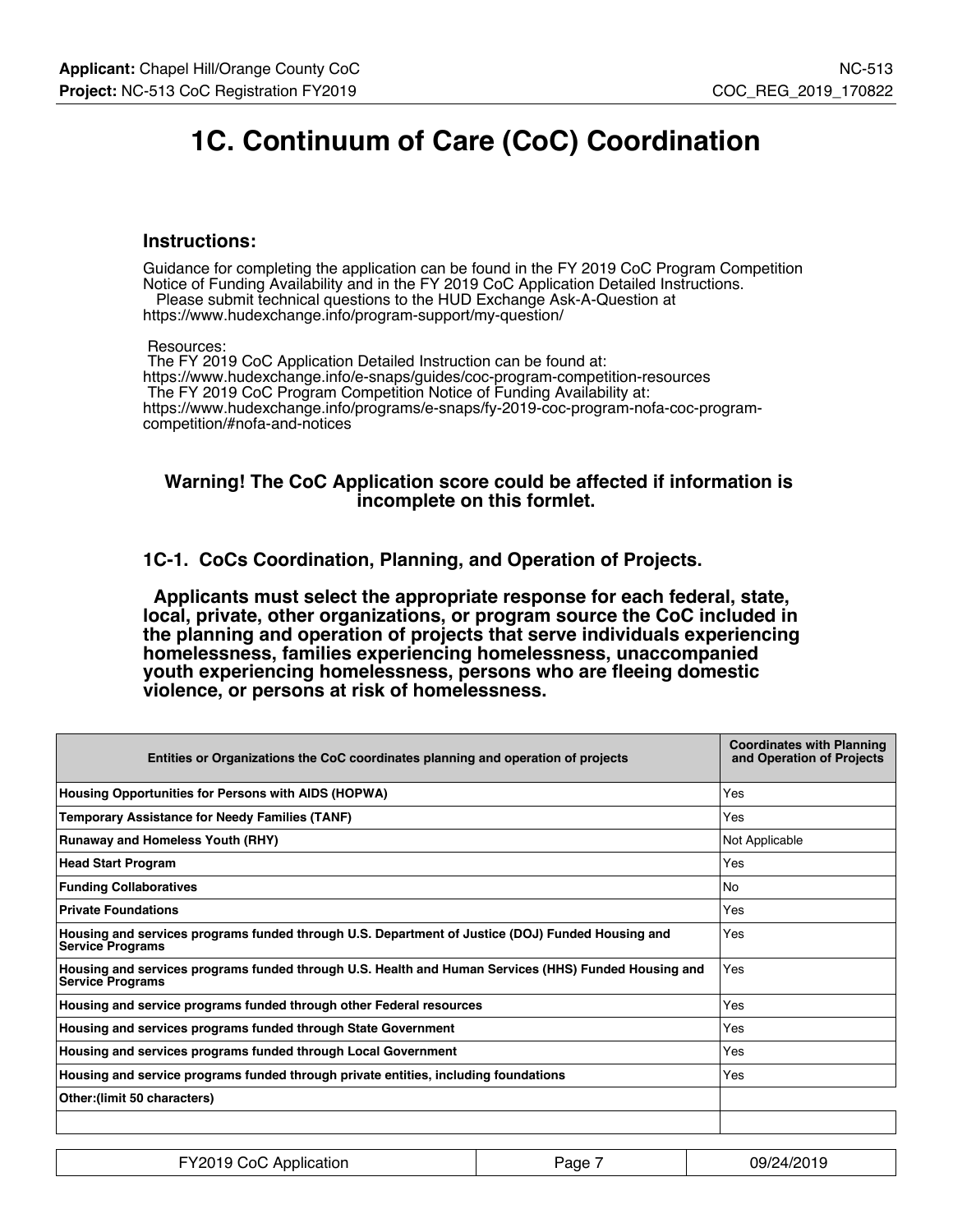## **1C. Continuum of Care (CoC) Coordination**

#### **Instructions:**

Guidance for completing the application can be found in the FY 2019 CoC Program Competition Notice of Funding Availability and in the FY 2019 CoC Application Detailed Instructions.

 Please submit technical questions to the HUD Exchange Ask-A-Question at https://www.hudexchange.info/program-support/my-question/

Resources:

 The FY 2019 CoC Application Detailed Instruction can be found at: https://www.hudexchange.info/e-snaps/guides/coc-program-competition-resources The FY 2019 CoC Program Competition Notice of Funding Availability at: https://www.hudexchange.info/programs/e-snaps/fy-2019-coc-program-nofa-coc-programcompetition/#nofa-and-notices

#### **Warning! The CoC Application score could be affected if information is incomplete on this formlet.**

**1C-1. CoCs Coordination, Planning, and Operation of Projects.**

 **Applicants must select the appropriate response for each federal, state, local, private, other organizations, or program source the CoC included in the planning and operation of projects that serve individuals experiencing homelessness, families experiencing homelessness, unaccompanied youth experiencing homelessness, persons who are fleeing domestic violence, or persons at risk of homelessness.**

| Entities or Organizations the CoC coordinates planning and operation of projects                                                | <b>Coordinates with Planning</b><br>and Operation of Projects |
|---------------------------------------------------------------------------------------------------------------------------------|---------------------------------------------------------------|
| Housing Opportunities for Persons with AIDS (HOPWA)                                                                             | Yes                                                           |
| <b>Temporary Assistance for Needy Families (TANF)</b>                                                                           | Yes                                                           |
| <b>Runaway and Homeless Youth (RHY)</b>                                                                                         | Not Applicable                                                |
| <b>Head Start Program</b>                                                                                                       | Yes                                                           |
| <b>Funding Collaboratives</b>                                                                                                   | No                                                            |
| <b>Private Foundations</b>                                                                                                      | Yes                                                           |
| Housing and services programs funded through U.S. Department of Justice (DOJ) Funded Housing and<br><b>Service Programs</b>     | Yes                                                           |
| Housing and services programs funded through U.S. Health and Human Services (HHS) Funded Housing and<br><b>Service Programs</b> | Yes                                                           |
| Housing and service programs funded through other Federal resources                                                             | Yes                                                           |
| Housing and services programs funded through State Government                                                                   | Yes                                                           |
| Housing and services programs funded through Local Government                                                                   | Yes                                                           |
| Housing and service programs funded through private entities, including foundations                                             | Yes                                                           |
| Other: (limit 50 characters)                                                                                                    |                                                               |
|                                                                                                                                 |                                                               |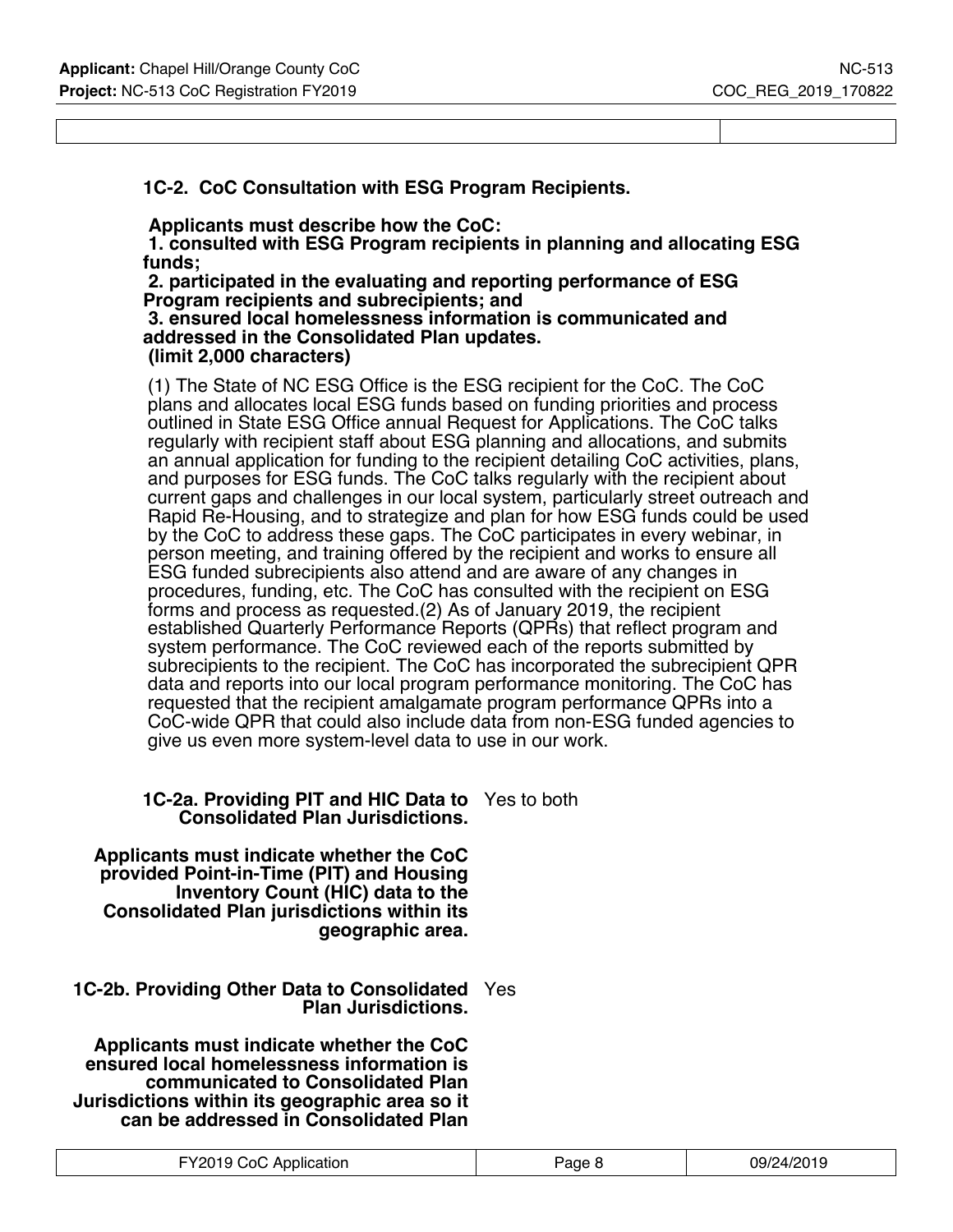### **1C-2. CoC Consultation with ESG Program Recipients.**

 **Applicants must describe how the CoC:**

 **1. consulted with ESG Program recipients in planning and allocating ESG funds;**

 **2. participated in the evaluating and reporting performance of ESG Program recipients and subrecipients; and**

 **3. ensured local homelessness information is communicated and addressed in the Consolidated Plan updates. (limit 2,000 characters)**

(1) The State of NC ESG Office is the ESG recipient for the CoC. The CoC plans and allocates local ESG funds based on funding priorities and process outlined in State ESG Office annual Request for Applications. The CoC talks regularly with recipient staff about ESG planning and allocations, and submits an annual application for funding to the recipient detailing CoC activities, plans, and purposes for ESG funds. The CoC talks regularly with the recipient about current gaps and challenges in our local system, particularly street outreach and Rapid Re-Housing, and to strategize and plan for how ESG funds could be used by the CoC to address these gaps. The CoC participates in every webinar, in person meeting, and training offered by the recipient and works to ensure all ESG funded subrecipients also attend and are aware of any changes in procedures, funding, etc. The CoC has consulted with the recipient on ESG forms and process as requested.(2) As of January 2019, the recipient established Quarterly Performance Reports (QPRs) that reflect program and system performance. The CoC reviewed each of the reports submitted by subrecipients to the recipient. The CoC has incorporated the subrecipient QPR data and reports into our local program performance monitoring. The CoC has requested that the recipient amalgamate program performance QPRs into a CoC-wide QPR that could also include data from non-ESG funded agencies to give us even more system-level data to use in our work.

#### **1C-2a. Providing PIT and HIC Data to** Yes to both **Consolidated Plan Jurisdictions.**

 **Applicants must indicate whether the CoC provided Point-in-Time (PIT) and Housing Inventory Count (HIC) data to the Consolidated Plan jurisdictions within its geographic area.**

#### **1C-2b. Providing Other Data to Consolidated** Yes **Plan Jurisdictions.**

 **Applicants must indicate whether the CoC ensured local homelessness information is communicated to Consolidated Plan Jurisdictions within its geographic area so it can be addressed in Consolidated Plan**

| FY2019 CoC Application | Page 8 | 09/24/2019 |
|------------------------|--------|------------|
|------------------------|--------|------------|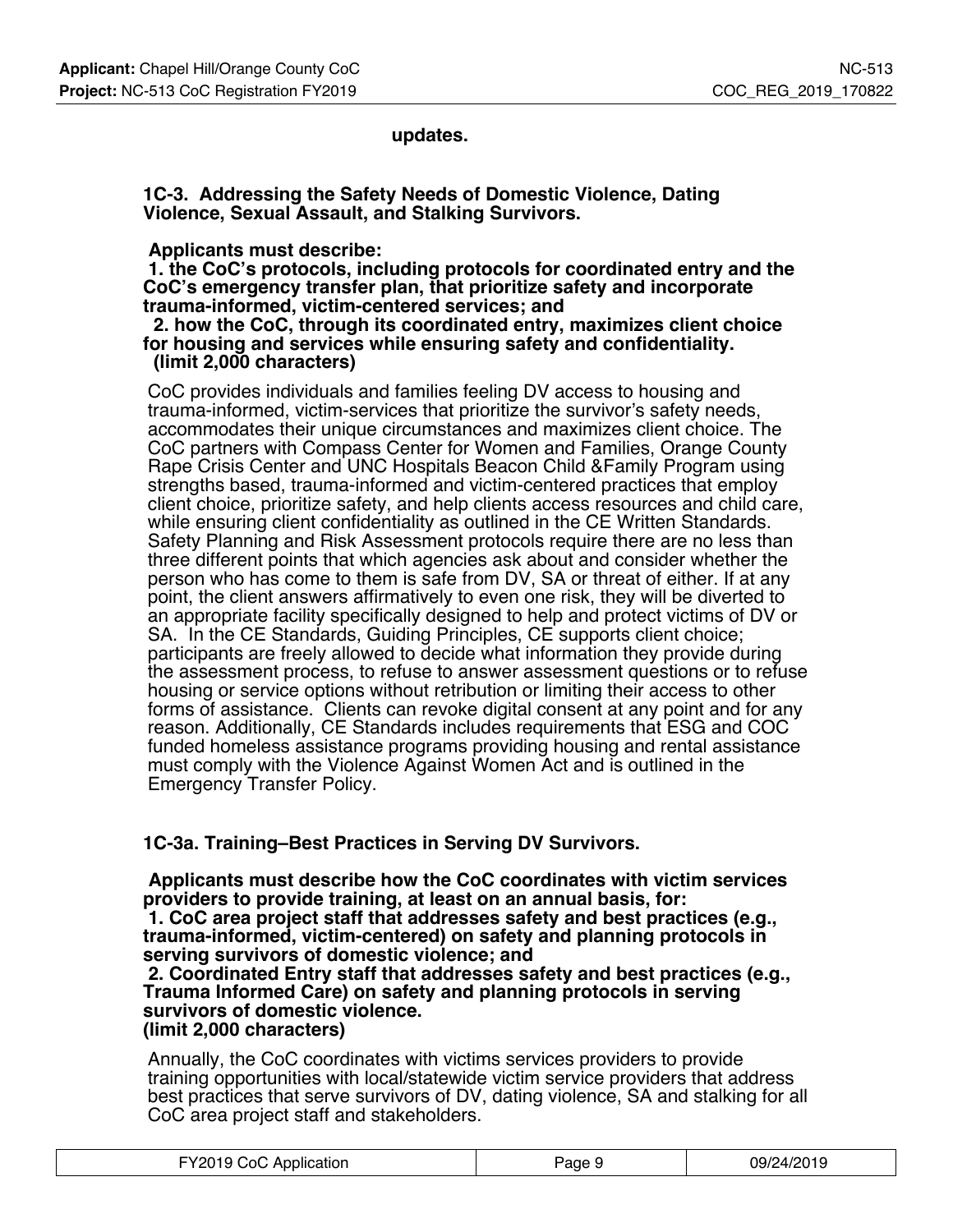**updates.**

**1C-3. Addressing the Safety Needs of Domestic Violence, Dating Violence, Sexual Assault, and Stalking Survivors.**

#### **Applicants must describe:**

 **1. the CoC's protocols, including protocols for coordinated entry and the CoC's emergency transfer plan, that prioritize safety and incorporate trauma-informed, victim-centered services; and**

 **2. how the CoC, through its coordinated entry, maximizes client choice for housing and services while ensuring safety and confidentiality. (limit 2,000 characters)**

CoC provides individuals and families feeling DV access to housing and trauma-informed, victim-services that prioritize the survivor's safety needs, accommodates their unique circumstances and maximizes client choice. The CoC partners with Compass Center for Women and Families, Orange County Rape Crisis Center and UNC Hospitals Beacon Child &Family Program using strengths based, trauma-informed and victim-centered practices that employ client choice, prioritize safety, and help clients access resources and child care, while ensuring client confidentiality as outlined in the CE Written Standards. Safety Planning and Risk Assessment protocols require there are no less than three different points that which agencies ask about and consider whether the person who has come to them is safe from DV, SA or threat of either. If at any point, the client answers affirmatively to even one risk, they will be diverted to an appropriate facility specifically designed to help and protect victims of DV or SA. In the CE Standards, Guiding Principles, CE supports client choice; participants are freely allowed to decide what information they provide during the assessment process, to refuse to answer assessment questions or to refuse housing or service options without retribution or limiting their access to other forms of assistance. Clients can revoke digital consent at any point and for any reason. Additionally, CE Standards includes requirements that ESG and COC funded homeless assistance programs providing housing and rental assistance must comply with the Violence Against Women Act and is outlined in the Emergency Transfer Policy.

### **1C-3a. Training–Best Practices in Serving DV Survivors.**

 **Applicants must describe how the CoC coordinates with victim services providers to provide training, at least on an annual basis, for:**

 **1. CoC area project staff that addresses safety and best practices (e.g., trauma-informed, victim-centered) on safety and planning protocols in serving survivors of domestic violence; and**

#### **2. Coordinated Entry staff that addresses safety and best practices (e.g., Trauma Informed Care) on safety and planning protocols in serving survivors of domestic violence. (limit 2,000 characters)**

Annually, the CoC coordinates with victims services providers to provide training opportunities with local/statewide victim service providers that address best practices that serve survivors of DV, dating violence, SA and stalking for all CoC area project staff and stakeholders.

| FY2019 CoC Application | Page 9 | 09/24/2019 |
|------------------------|--------|------------|
|------------------------|--------|------------|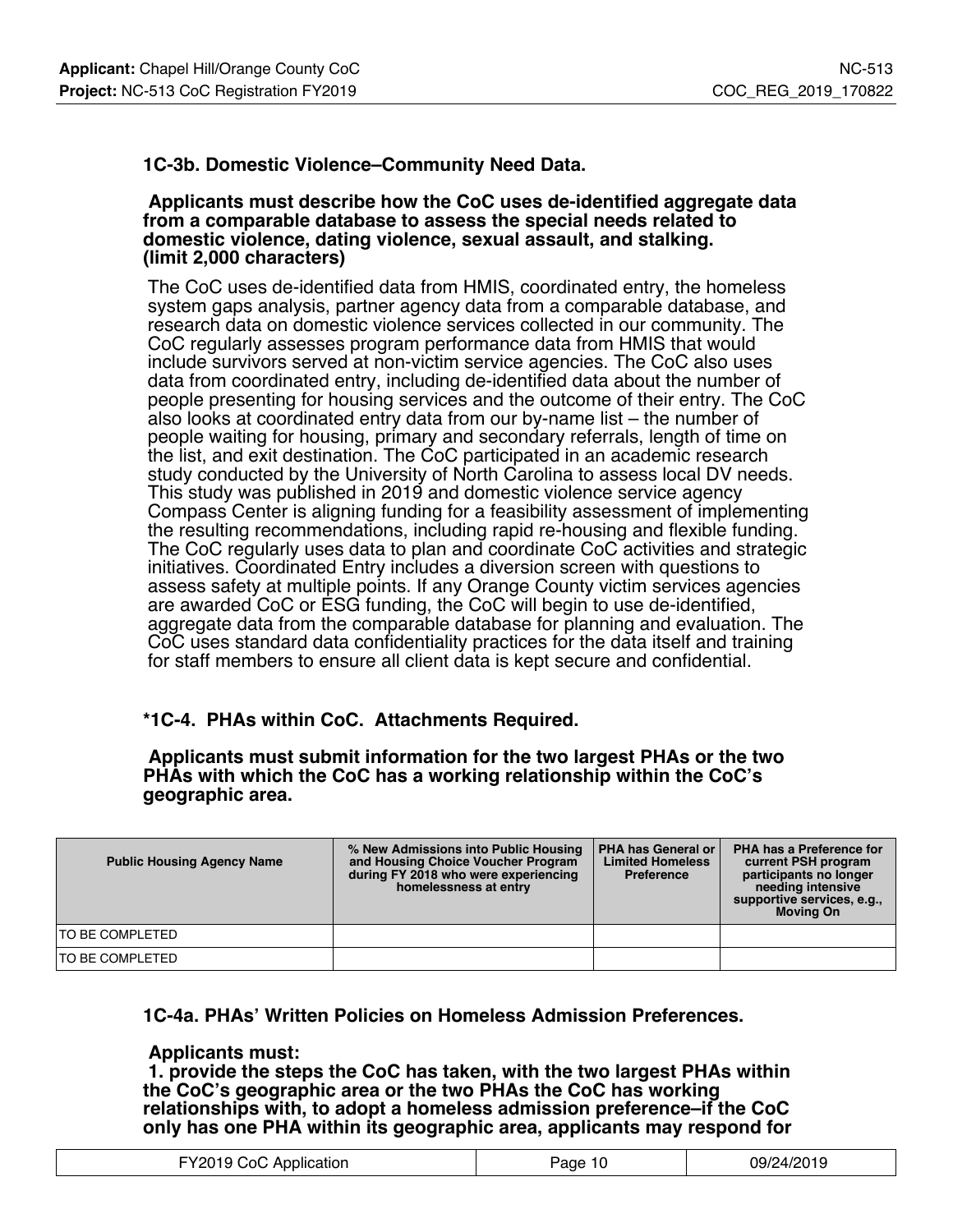## **1C-3b. Domestic Violence–Community Need Data.**

#### **Applicants must describe how the CoC uses de-identified aggregate data from a comparable database to assess the special needs related to domestic violence, dating violence, sexual assault, and stalking. (limit 2,000 characters)**

The CoC uses de-identified data from HMIS, coordinated entry, the homeless system gaps analysis, partner agency data from a comparable database, and research data on domestic violence services collected in our community. The CoC regularly assesses program performance data from HMIS that would include survivors served at non-victim service agencies. The CoC also uses data from coordinated entry, including de-identified data about the number of people presenting for housing services and the outcome of their entry. The CoC also looks at coordinated entry data from our by-name list – the number of people waiting for housing, primary and secondary referrals, length of time on the list, and exit destination. The CoC participated in an academic research study conducted by the University of North Carolina to assess local DV needs. This study was published in 2019 and domestic violence service agency Compass Center is aligning funding for a feasibility assessment of implementing the resulting recommendations, including rapid re-housing and flexible funding. The CoC regularly uses data to plan and coordinate CoC activities and strategic initiatives. Coordinated Entry includes a diversion screen with questions to assess safety at multiple points. If any Orange County victim services agencies are awarded CoC or ESG funding, the CoC will begin to use de-identified, aggregate data from the comparable database for planning and evaluation. The CoC uses standard data confidentiality practices for the data itself and training for staff members to ensure all client data is kept secure and confidential.

### **\*1C-4. PHAs within CoC. Attachments Required.**

 **Applicants must submit information for the two largest PHAs or the two PHAs with which the CoC has a working relationship within the CoC's geographic area.**

| <b>Public Housing Agency Name</b> | % New Admissions into Public Housing<br>and Housing Choice Voucher Program<br>during FY 2018 who were experiencing<br>homelessness at entry | <b>PHA has General or I</b><br><b>Limited Homeless</b><br><b>Preference</b> | PHA has a Preference for<br>current PSH program<br>participants no longer<br>needing intensive<br>supportive services, e.g.,<br><b>Moving On</b> |
|-----------------------------------|---------------------------------------------------------------------------------------------------------------------------------------------|-----------------------------------------------------------------------------|--------------------------------------------------------------------------------------------------------------------------------------------------|
| TO BE COMPLETED                   |                                                                                                                                             |                                                                             |                                                                                                                                                  |
| TO BE COMPLETED                   |                                                                                                                                             |                                                                             |                                                                                                                                                  |

#### **1C-4a. PHAs' Written Policies on Homeless Admission Preferences.**

#### **Applicants must:**

 **1. provide the steps the CoC has taken, with the two largest PHAs within the CoC's geographic area or the two PHAs the CoC has working relationships with, to adopt a homeless admission preference–if the CoC only has one PHA within its geographic area, applicants may respond for**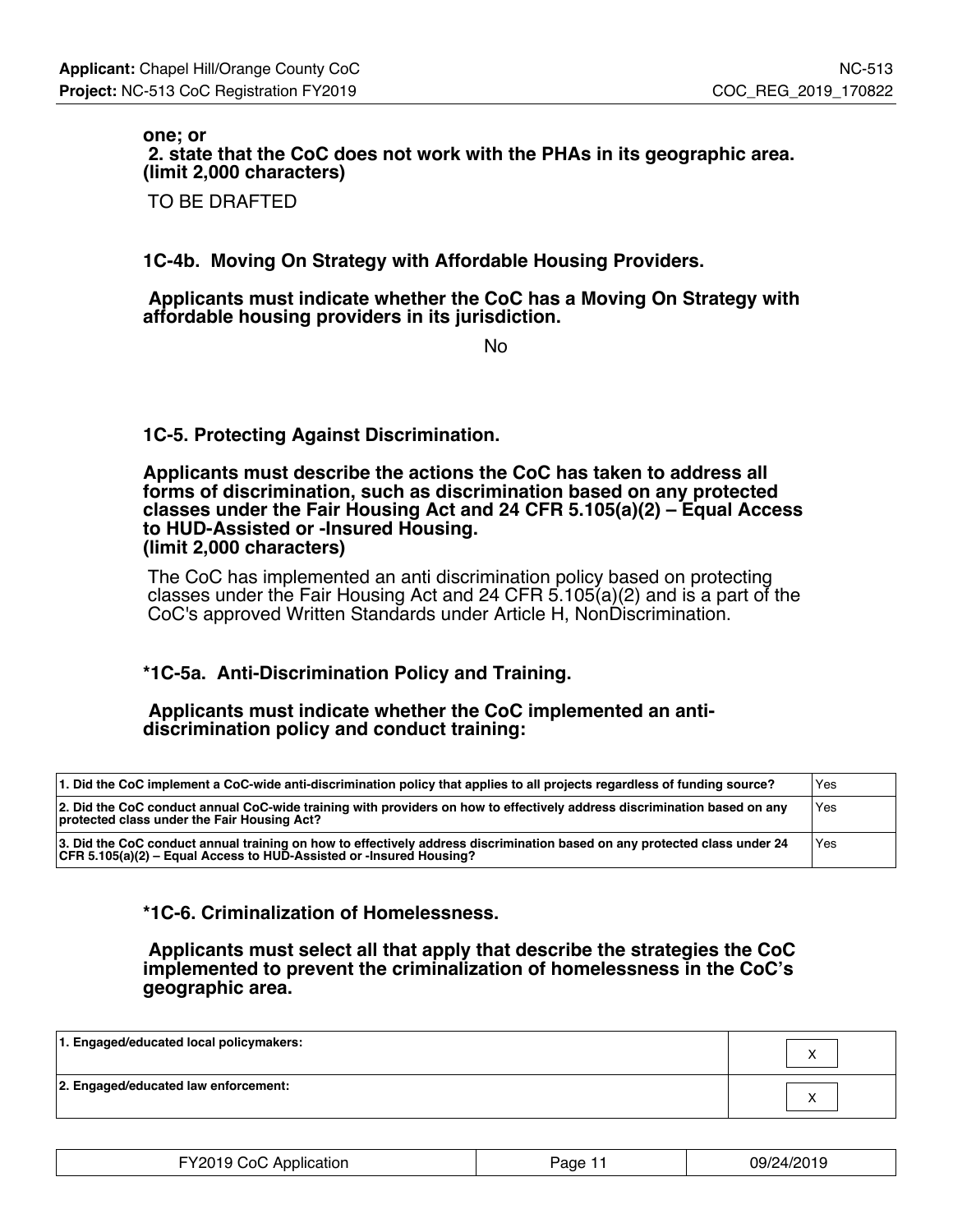**one; or 2. state that the CoC does not work with the PHAs in its geographic area. (limit 2,000 characters)**

TO BE DRAFTED

**1C-4b. Moving On Strategy with Affordable Housing Providers.**

 **Applicants must indicate whether the CoC has a Moving On Strategy with affordable housing providers in its jurisdiction.**

No

**1C-5. Protecting Against Discrimination.**

#### **Applicants must describe the actions the CoC has taken to address all forms of discrimination, such as discrimination based on any protected classes under the Fair Housing Act and 24 CFR 5.105(a)(2) – Equal Access to HUD-Assisted or -Insured Housing. (limit 2,000 characters)**

The CoC has implemented an anti discrimination policy based on protecting classes under the Fair Housing Act and 24 CFR 5.105(a)(2) and is a part of the CoC's approved Written Standards under Article H, NonDiscrimination.

## **\*1C-5a. Anti-Discrimination Policy and Training.**

#### **Applicants must indicate whether the CoC implemented an antidiscrimination policy and conduct training:**

| 1. Did the CoC implement a CoC-wide anti-discrimination policy that applies to all projects regardless of funding source?                                                                        | <b>Yes</b> |
|--------------------------------------------------------------------------------------------------------------------------------------------------------------------------------------------------|------------|
| 2. Did the CoC conduct annual CoC-wide training with providers on how to effectively address discrimination based on any<br>protected class under the Fair Housing Act?                          | Yes        |
| 3. Did the CoC conduct annual training on how to effectively address discrimination based on any protected class under 24<br>CFR 5.105(a)(2) – Equal Access to HUD-Assisted or -lnsured Housing? | Yes        |

### **\*1C-6. Criminalization of Homelessness.**

 **Applicants must select all that apply that describe the strategies the CoC implemented to prevent the criminalization of homelessness in the CoC's geographic area.**

| 1. Engaged/educated local policymakers: |  |
|-----------------------------------------|--|
| 2. Engaged/educated law enforcement:    |  |

| FY2019 CoC Application | Page <sup>1</sup> | 09/24/2019 |
|------------------------|-------------------|------------|
|------------------------|-------------------|------------|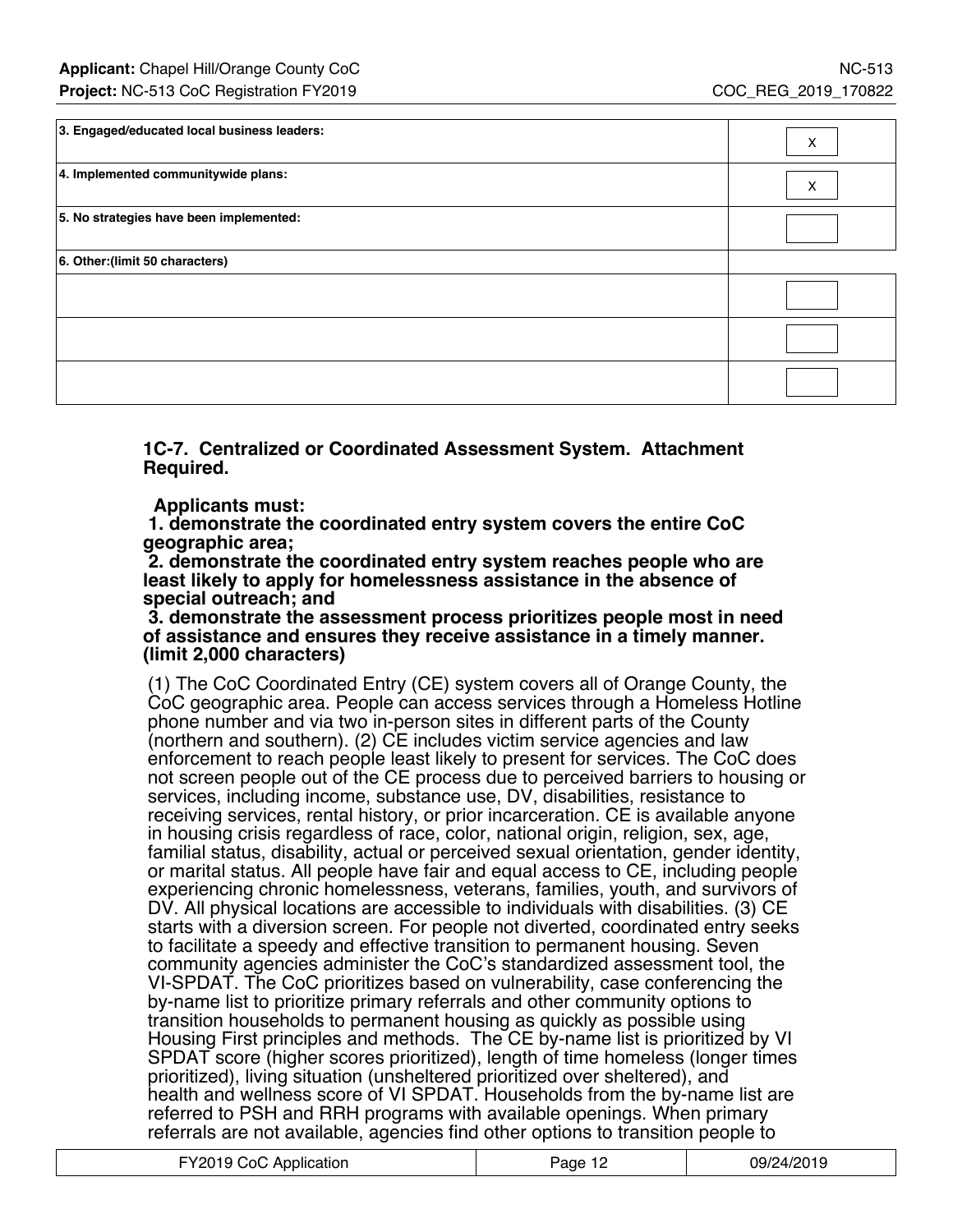| 3. Engaged/educated local business leaders: | X |
|---------------------------------------------|---|
| 4. Implemented communitywide plans:         | X |
| 5. No strategies have been implemented:     |   |
| 6. Other: (limit 50 characters)             |   |
|                                             |   |
|                                             |   |
|                                             |   |

**1C-7. Centralized or Coordinated Assessment System. Attachment Required.**

 **Applicants must:**

 **1. demonstrate the coordinated entry system covers the entire CoC geographic area;**

 **2. demonstrate the coordinated entry system reaches people who are least likely to apply for homelessness assistance in the absence of special outreach; and**

#### **3. demonstrate the assessment process prioritizes people most in need of assistance and ensures they receive assistance in a timely manner. (limit 2,000 characters)**

(1) The CoC Coordinated Entry (CE) system covers all of Orange County, the CoC geographic area. People can access services through a Homeless Hotline phone number and via two in-person sites in different parts of the County (northern and southern). (2) CE includes victim service agencies and law enforcement to reach people least likely to present for services. The CoC does not screen people out of the CE process due to perceived barriers to housing or services, including income, substance use, DV, disabilities, resistance to receiving services, rental history, or prior incarceration. CE is available anyone in housing crisis regardless of race, color, national origin, religion, sex, age, familial status, disability, actual or perceived sexual orientation, gender identity, or marital status. All people have fair and equal access to CE, including people experiencing chronic homelessness, veterans, families, youth, and survivors of DV. All physical locations are accessible to individuals with disabilities. (3) CE starts with a diversion screen. For people not diverted, coordinated entry seeks to facilitate a speedy and effective transition to permanent housing. Seven community agencies administer the CoC's standardized assessment tool, the VI-SPDAT. The CoC prioritizes based on vulnerability, case conferencing the by-name list to prioritize primary referrals and other community options to transition households to permanent housing as quickly as possible using Housing First principles and methods. The CE by-name list is prioritized by VI SPDAT score (higher scores prioritized), length of time homeless (longer times prioritized), living situation (unsheltered prioritized over sheltered), and health and wellness score of VI SPDAT. Households from the by-name list are referred to PSH and RRH programs with available openings. When primary referrals are not available, agencies find other options to transition people to

| FY2019 CoC Application | Page 12 | 09/24/2019 |
|------------------------|---------|------------|
|------------------------|---------|------------|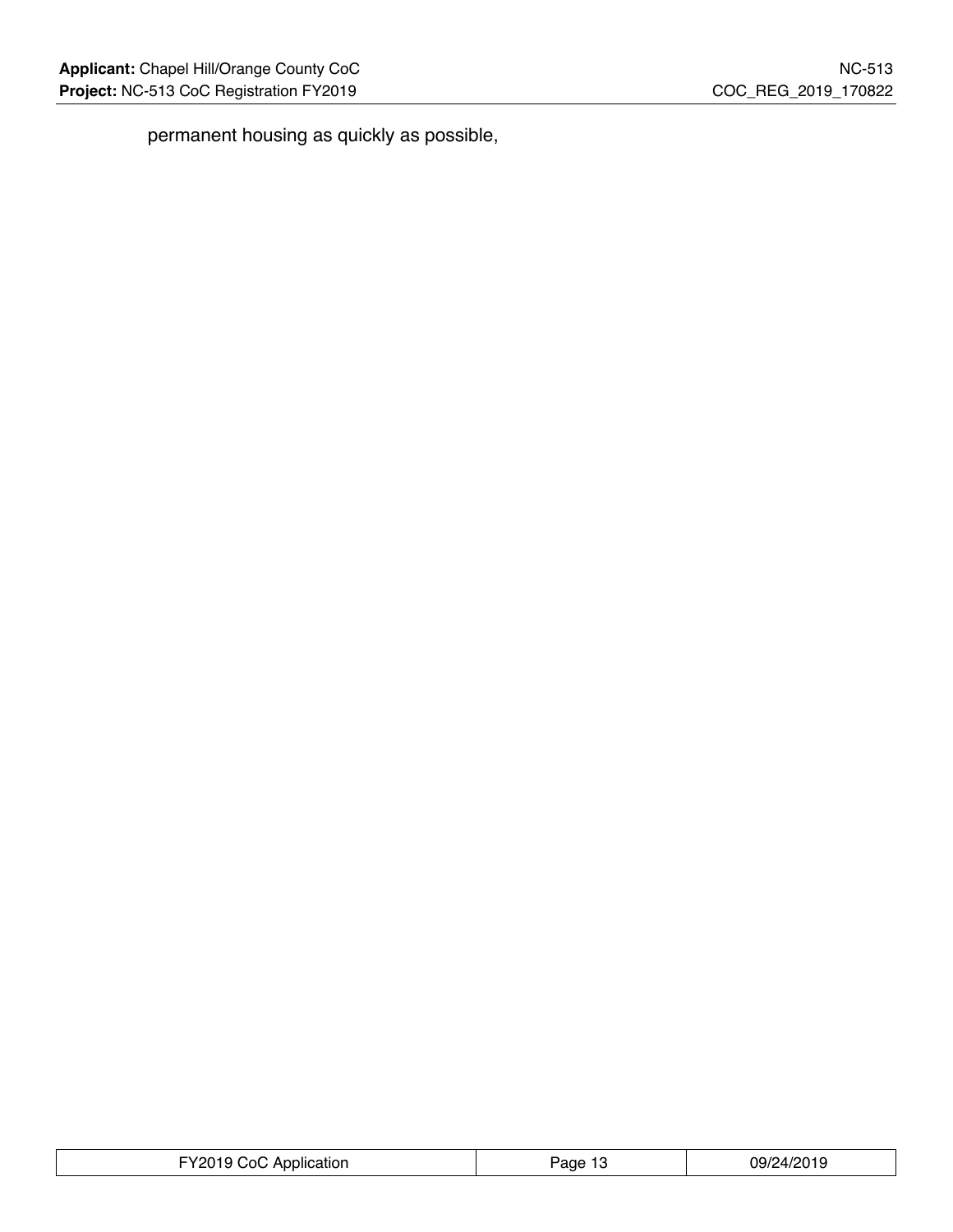$\overline{\mathbb{L}}$ 

permanent housing as quickly as possible,

| FY2019 CoC Application | Page 13 | 09/24/2019 |
|------------------------|---------|------------|
|------------------------|---------|------------|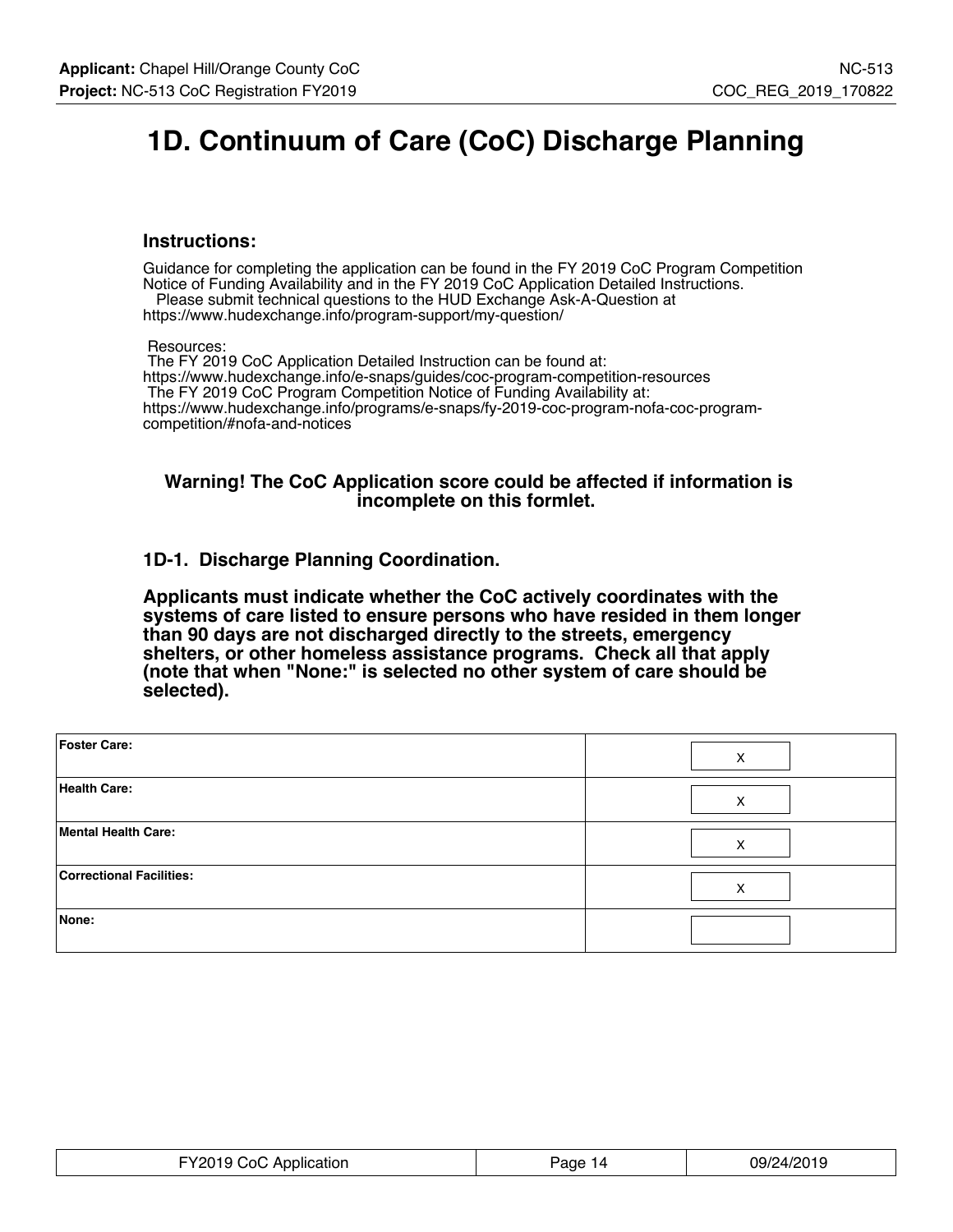# **1D. Continuum of Care (CoC) Discharge Planning**

#### **Instructions:**

Guidance for completing the application can be found in the FY 2019 CoC Program Competition Notice of Funding Availability and in the FY 2019 CoC Application Detailed Instructions. Please submit technical questions to the HUD Exchange Ask-A-Question at

https://www.hudexchange.info/program-support/my-question/

Resources:

 The FY 2019 CoC Application Detailed Instruction can be found at: https://www.hudexchange.info/e-snaps/guides/coc-program-competition-resources The FY 2019 CoC Program Competition Notice of Funding Availability at: https://www.hudexchange.info/programs/e-snaps/fy-2019-coc-program-nofa-coc-programcompetition/#nofa-and-notices

#### **Warning! The CoC Application score could be affected if information is incomplete on this formlet.**

### **1D-1. Discharge Planning Coordination.**

**Applicants must indicate whether the CoC actively coordinates with the systems of care listed to ensure persons who have resided in them longer than 90 days are not discharged directly to the streets, emergency shelters, or other homeless assistance programs. Check all that apply (note that when "None:" is selected no other system of care should be selected).**

| Foster Care:                    | X |
|---------------------------------|---|
| <b>Health Care:</b>             | X |
| Mental Health Care:             | X |
| <b>Correctional Facilities:</b> | X |
| None:                           |   |

| FY2019 CoC Application | aqe?<br>14 | 09/24/2019 |
|------------------------|------------|------------|
|------------------------|------------|------------|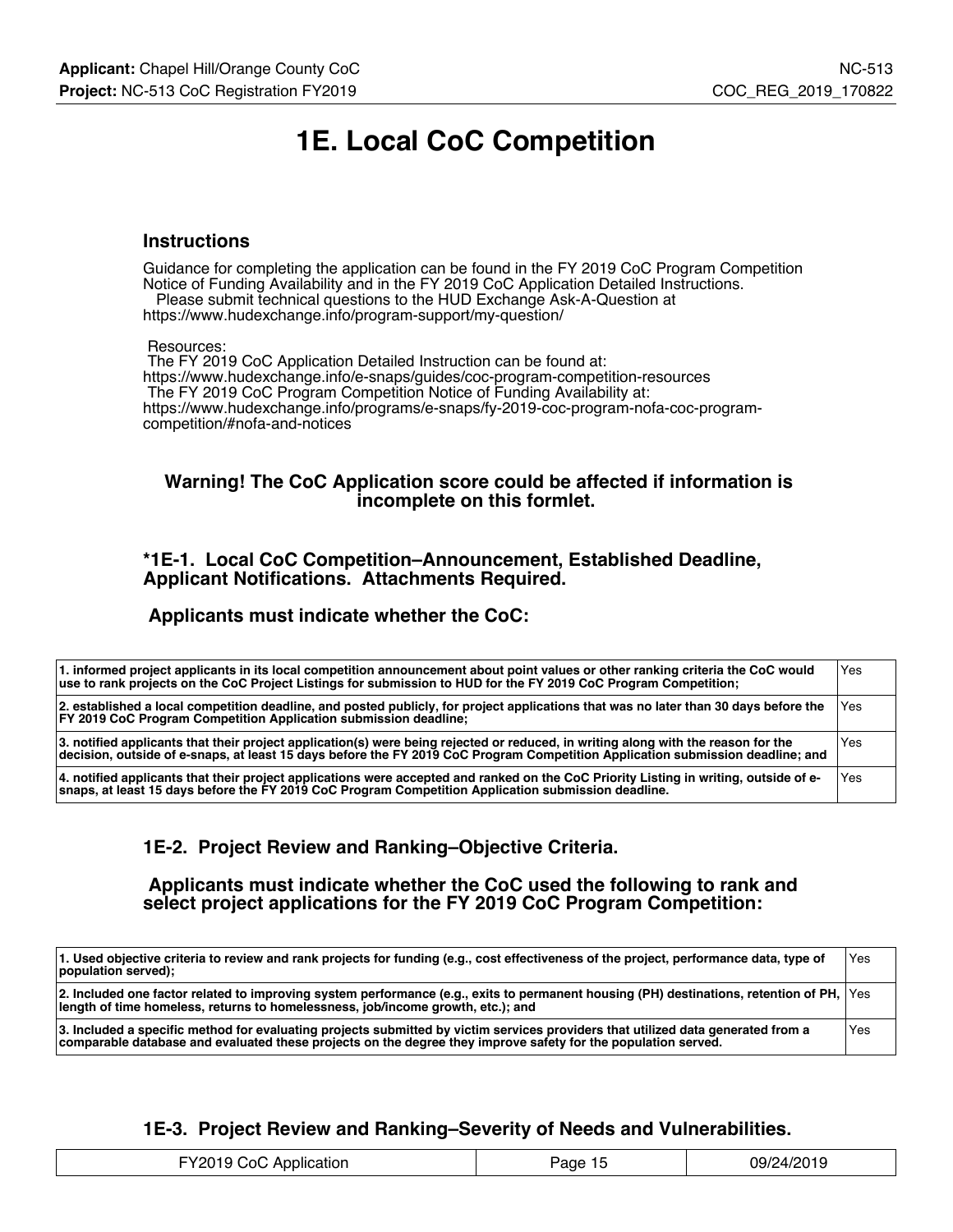# **1E. Local CoC Competition**

#### **Instructions**

Guidance for completing the application can be found in the FY 2019 CoC Program Competition Notice of Funding Availability and in the FY 2019 CoC Application Detailed Instructions. Please submit technical questions to the HUD Exchange Ask-A-Question at

https://www.hudexchange.info/program-support/my-question/

#### Resources:

 The FY 2019 CoC Application Detailed Instruction can be found at: https://www.hudexchange.info/e-snaps/guides/coc-program-competition-resources The FY 2019 CoC Program Competition Notice of Funding Availability at: https://www.hudexchange.info/programs/e-snaps/fy-2019-coc-program-nofa-coc-programcompetition/#nofa-and-notices

#### **Warning! The CoC Application score could be affected if information is incomplete on this formlet.**

#### **\*1E-1. Local CoC Competition–Announcement, Established Deadline, Applicant Notifications. Attachments Required.**

#### **Applicants must indicate whether the CoC:**

| 1. informed project applicants in its local competition announcement about point values or other ranking criteria the CoC would<br>use to rank projects on the CoC Project Listings for submission to HUD for the FY 2019 CoC Program Competition;                  | Yes   |
|---------------------------------------------------------------------------------------------------------------------------------------------------------------------------------------------------------------------------------------------------------------------|-------|
| 2. established a local competition deadline, and posted publicly, for project applications that was no later than 30 days before the<br><b>FY 2019 CoC Program Competition Application submission deadline:</b>                                                     | l Yes |
| 3. notified applicants that their project application(s) were being rejected or reduced, in writing along with the reason for the<br>decision, outside of e-snaps, at least 15 days before the FY 2019 CoC Program Competition Application submission deadline; and | Yes   |
| 4. notified applicants that their project applications were accepted and ranked on the CoC Priority Listing in writing, outside of e-<br>snaps, at least 15 days before the FY 2019 CoC Program Competition Application submission deadline.                        | Yes   |

### **1E-2. Project Review and Ranking–Objective Criteria.**

 **Applicants must indicate whether the CoC used the following to rank and select project applications for the FY 2019 CoC Program Competition:**

| 1. Used objective criteria to review and rank projects for funding (e.g., cost effectiveness of the project, performance data, type of<br>population served);                                                                                     | Yes |
|---------------------------------------------------------------------------------------------------------------------------------------------------------------------------------------------------------------------------------------------------|-----|
| 2. Included one factor related to improving system performance (e.g., exits to permanent housing (PH) destinations, retention of PH,  Yes<br>length of time homeless, returns to homelessness, job/income growth, etc.); and                      |     |
| 3. Included a specific method for evaluating projects submitted by victim services providers that utilized data generated from a<br>comparable database and evaluated these projects on the degree they improve safety for the population served. | Yes |

### **1E-3. Project Review and Ranking–Severity of Needs and Vulnerabilities.**

| FY2019<br>Application<br>CoC<br>age | 09/24/2019 |
|-------------------------------------|------------|
|-------------------------------------|------------|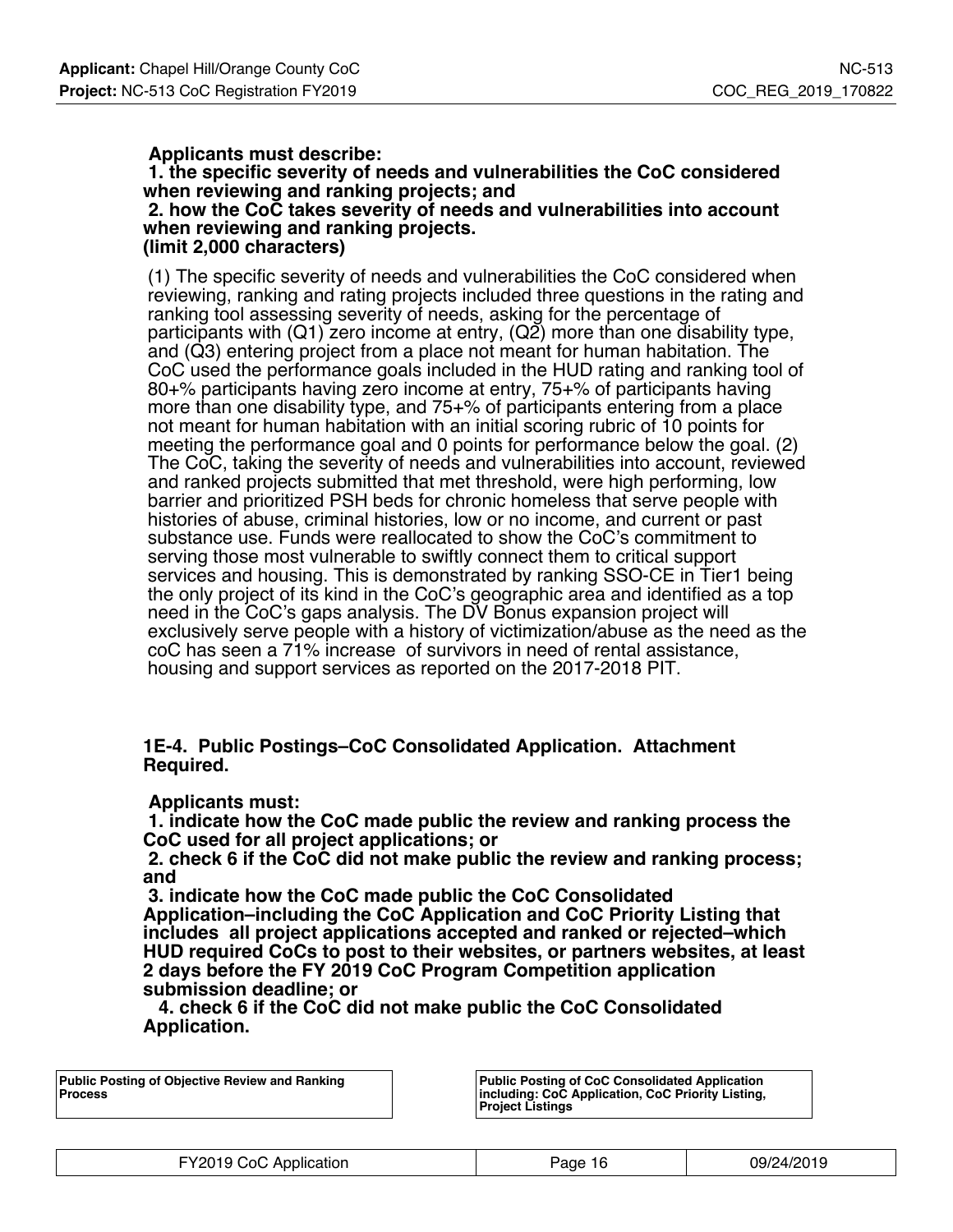### **Applicants must describe:**

 **1. the specific severity of needs and vulnerabilities the CoC considered when reviewing and ranking projects; and**

 **2. how the CoC takes severity of needs and vulnerabilities into account when reviewing and ranking projects. (limit 2,000 characters)**

(1) The specific severity of needs and vulnerabilities the CoC considered when reviewing, ranking and rating projects included three questions in the rating and ranking tool assessing severity of needs, asking for the percentage of participants with (Q1) zero income at entry, (Q2) more than one disability type, and (Q3) entering project from a place not meant for human habitation. The CoC used the performance goals included in the HUD rating and ranking tool of 80+% participants having zero income at entry, 75+% of participants having more than one disability type, and 75+% of participants entering from a place not meant for human habitation with an initial scoring rubric of 10 points for meeting the performance goal and 0 points for performance below the goal. (2) The CoC, taking the severity of needs and vulnerabilities into account, reviewed and ranked projects submitted that met threshold, were high performing, low barrier and prioritized PSH beds for chronic homeless that serve people with histories of abuse, criminal histories, low or no income, and current or past substance use. Funds were reallocated to show the CoC's commitment to serving those most vulnerable to swiftly connect them to critical support services and housing. This is demonstrated by ranking SSO-CE in Tier1 being the only project of its kind in the CoC's geographic area and identified as a top need in the CoC's gaps analysis. The DV Bonus expansion project will exclusively serve people with a history of victimization/abuse as the need as the coC has seen a 71% increase of survivors in need of rental assistance, housing and support services as reported on the 2017-2018 PIT.

**1E-4. Public Postings–CoC Consolidated Application. Attachment Required.**

#### **Applicants must:**

 **1. indicate how the CoC made public the review and ranking process the CoC used for all project applications; or**

 **2. check 6 if the CoC did not make public the review and ranking process; and**

 **3. indicate how the CoC made public the CoC Consolidated Application–including the CoC Application and CoC Priority Listing that includes all project applications accepted and ranked or rejected–which HUD required CoCs to post to their websites, or partners websites, at least 2 days before the FY 2019 CoC Program Competition application submission deadline; or**

 **4. check 6 if the CoC did not make public the CoC Consolidated Application.**

**Public Posting of Objective Review and Ranking Process**

**Public Posting of CoC Consolidated Application including: CoC Application, CoC Priority Listing, Project Listings**

| FY2019 CoC Application | Page 16 | 09/24/2019 |
|------------------------|---------|------------|
|------------------------|---------|------------|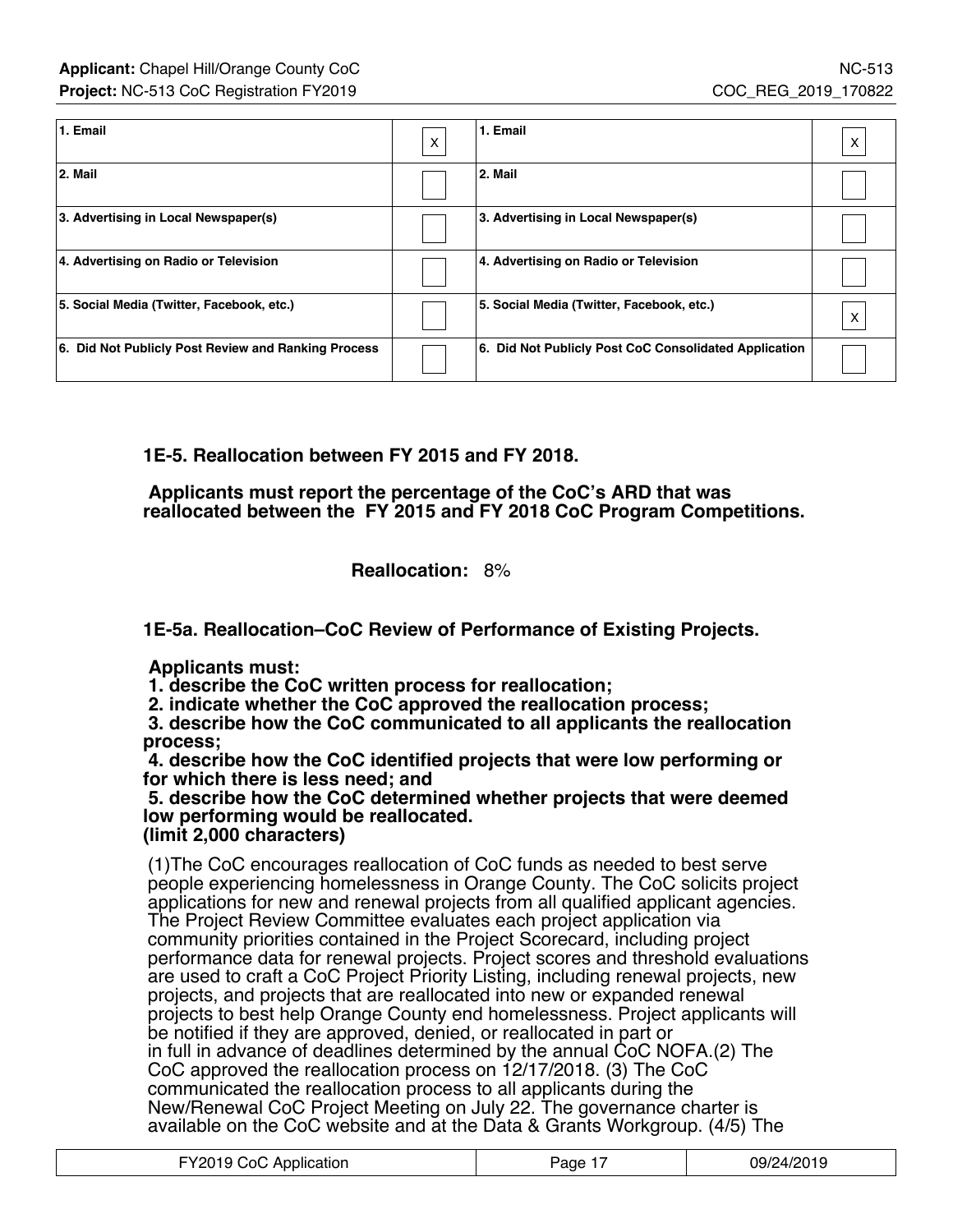| 1. Email                                            | $\mathsf{x}$ | 1. Email                                              | x |
|-----------------------------------------------------|--------------|-------------------------------------------------------|---|
| 2. Mail                                             |              | 2. Mail                                               |   |
| 3. Advertising in Local Newspaper(s)                |              | 3. Advertising in Local Newspaper(s)                  |   |
| 4. Advertising on Radio or Television               |              | 4. Advertising on Radio or Television                 |   |
| 5. Social Media (Twitter, Facebook, etc.)           |              | 5. Social Media (Twitter, Facebook, etc.)             | X |
| 6. Did Not Publicly Post Review and Ranking Process |              | 6. Did Not Publicly Post CoC Consolidated Application |   |

**1E-5. Reallocation between FY 2015 and FY 2018.**

 **Applicants must report the percentage of the CoC's ARD that was reallocated between the FY 2015 and FY 2018 CoC Program Competitions.**

**Reallocation:** 8%

**1E-5a. Reallocation–CoC Review of Performance of Existing Projects.**

 **Applicants must:**

 **1. describe the CoC written process for reallocation;**

 **2. indicate whether the CoC approved the reallocation process;**

 **3. describe how the CoC communicated to all applicants the reallocation process;**

 **4. describe how the CoC identified projects that were low performing or for which there is less need; and**

 **5. describe how the CoC determined whether projects that were deemed low performing would be reallocated. (limit 2,000 characters)**

(1)The CoC encourages reallocation of CoC funds as needed to best serve people experiencing homelessness in Orange County. The CoC solicits project applications for new and renewal projects from all qualified applicant agencies. The Project Review Committee evaluates each project application via community priorities contained in the Project Scorecard, including project performance data for renewal projects. Project scores and threshold evaluations are used to craft a CoC Project Priority Listing, including renewal projects, new projects, and projects that are reallocated into new or expanded renewal projects to best help Orange County end homelessness. Project applicants will be notified if they are approved, denied, or reallocated in part or in full in advance of deadlines determined by the annual CoC NOFA.(2) The CoC approved the reallocation process on 12/17/2018. (3) The CoC communicated the reallocation process to all applicants during the New/Renewal CoC Project Meeting on July 22. The governance charter is available on the CoC website and at the Data & Grants Workgroup. (4/5) The

| FY2019 CoC Application | aae | 09/24/2019 |
|------------------------|-----|------------|
|                        |     |            |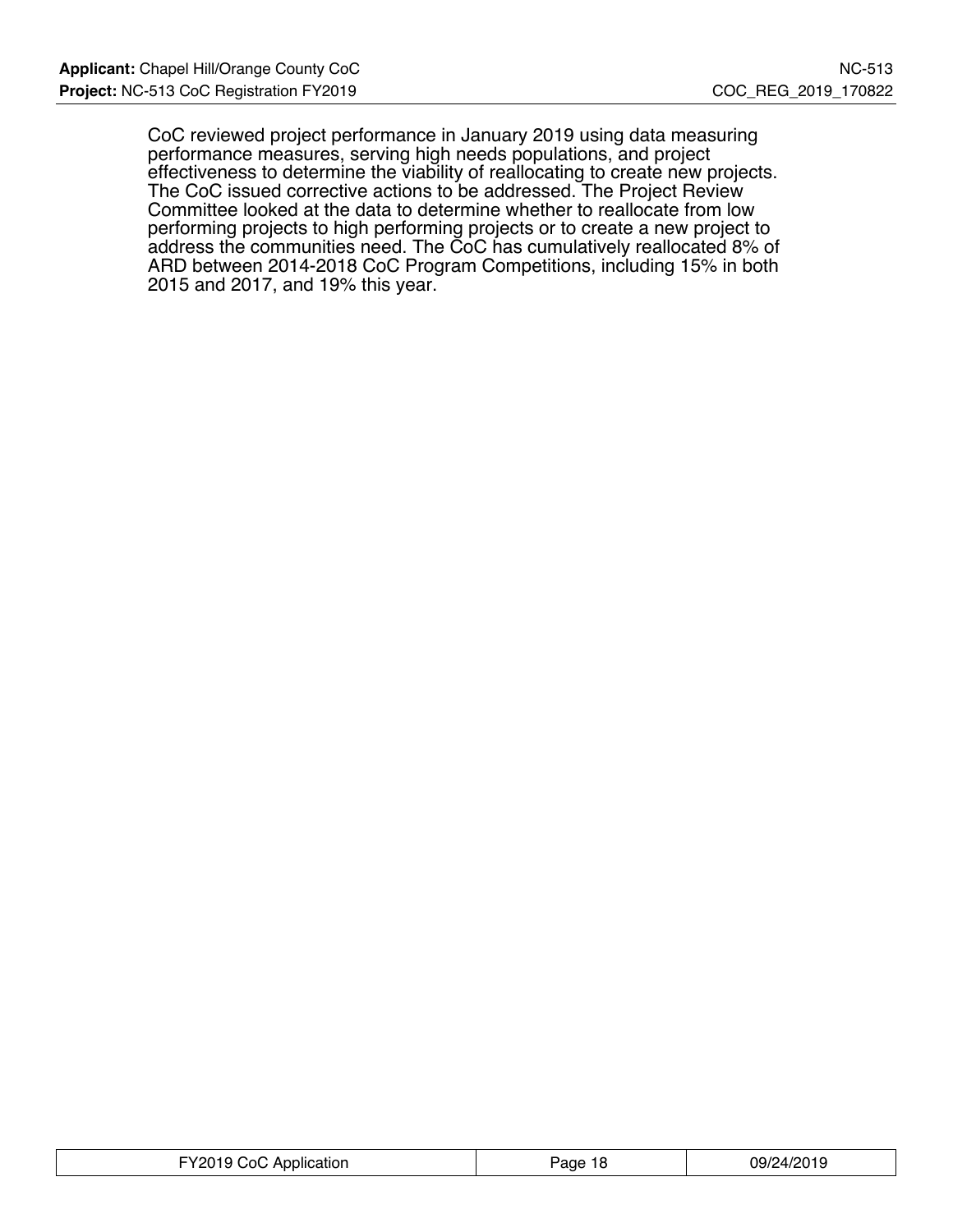CoC reviewed project performance in January 2019 using data measuring performance measures, serving high needs populations, and project effectiveness to determine the viability of reallocating to create new projects. The CoC issued corrective actions to be addressed. The Project Review Committee looked at the data to determine whether to reallocate from low performing projects to high performing projects or to create a new project to address the communities need. The CoC has cumulatively reallocated 8% of ARD between 2014-2018 CoC Program Competitions, including 15% in both 2015 and 2017, and 19% this year.

| FY2019<br>Application<br>⊡∩: | age? | 09/24/2019 |
|------------------------------|------|------------|
|------------------------------|------|------------|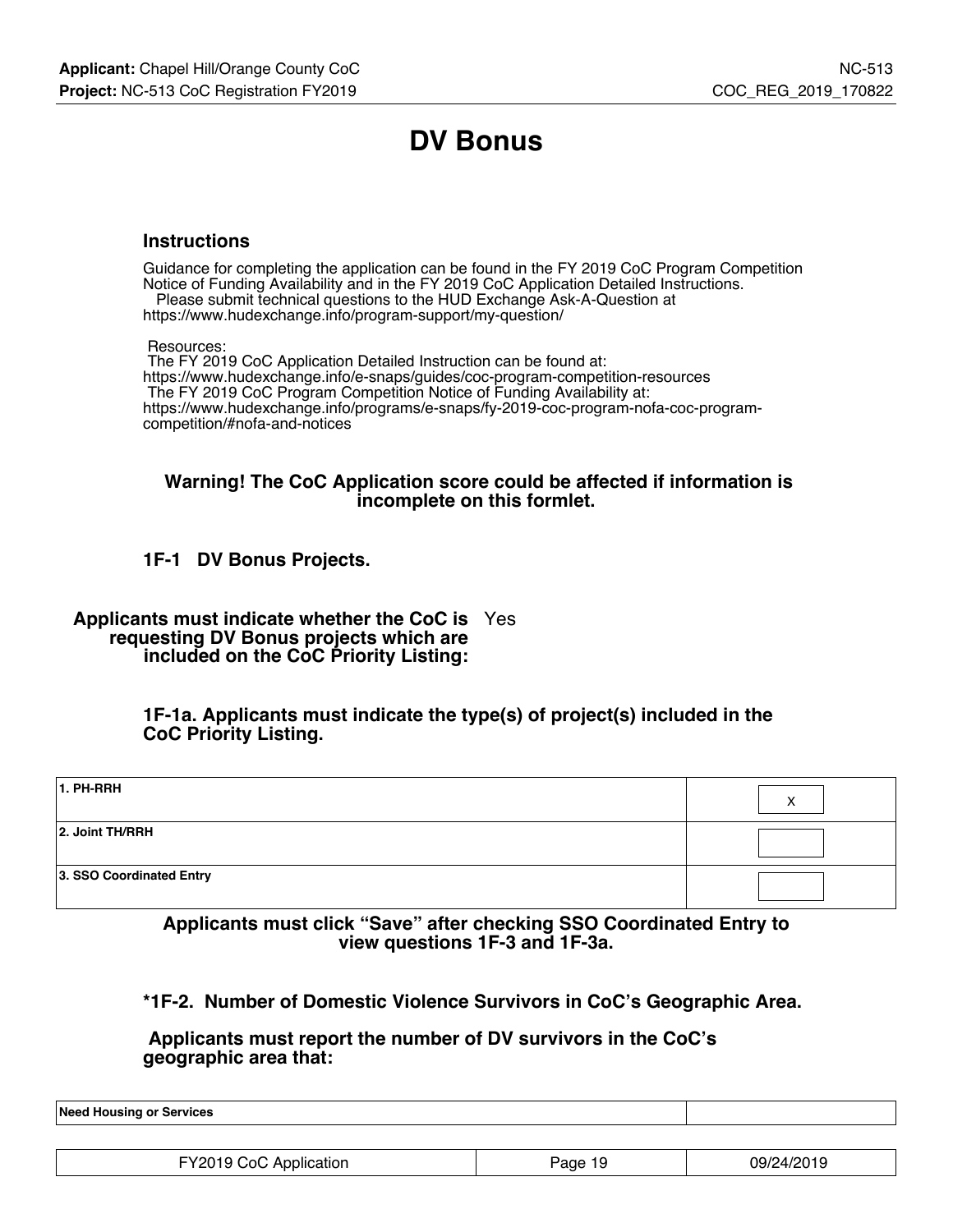# **DV Bonus**

#### **Instructions**

Guidance for completing the application can be found in the FY 2019 CoC Program Competition Notice of Funding Availability and in the FY 2019 CoC Application Detailed Instructions. Please submit technical questions to the HUD Exchange Ask-A-Question at

https://www.hudexchange.info/program-support/my-question/

Resources:

 The FY 2019 CoC Application Detailed Instruction can be found at: https://www.hudexchange.info/e-snaps/guides/coc-program-competition-resources The FY 2019 CoC Program Competition Notice of Funding Availability at: https://www.hudexchange.info/programs/e-snaps/fy-2019-coc-program-nofa-coc-programcompetition/#nofa-and-notices

#### **Warning! The CoC Application score could be affected if information is incomplete on this formlet.**

## **1F-1 DV Bonus Projects.**

**Applicants must indicate whether the CoC is** Yes **requesting DV Bonus projects which are included on the CoC Priority Listing:**

> **1F-1a. Applicants must indicate the type(s) of project(s) included in the CoC Priority Listing.**

| 1. PH-RRH                | v<br>́ |
|--------------------------|--------|
| 2. Joint TH/RRH          |        |
| 3. SSO Coordinated Entry |        |

**Applicants must click "Save" after checking SSO Coordinated Entry to view questions 1F-3 and 1F-3a.**

**\*1F-2. Number of Domestic Violence Survivors in CoC's Geographic Area.**

 **Applicants must report the number of DV survivors in the CoC's geographic area that:**

**Need Housing or Services**

| FY2019<br>CoC<br>' Application | 19<br>Page | 09/24/2019 |
|--------------------------------|------------|------------|
|                                |            |            |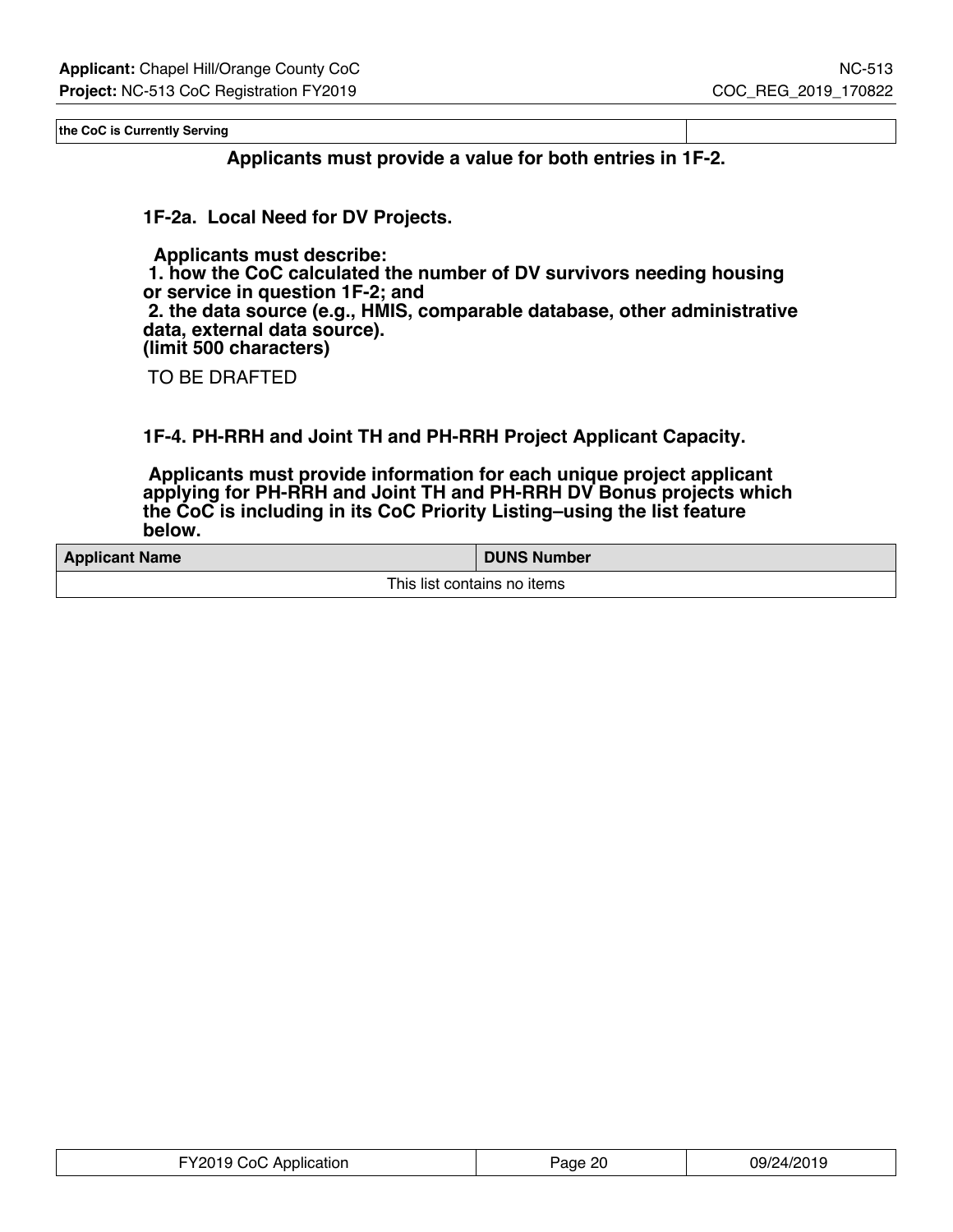**the CoC is Currently Serving**

**Applicants must provide a value for both entries in 1F-2.**

**1F-2a. Local Need for DV Projects.**

 **Applicants must describe: 1. how the CoC calculated the number of DV survivors needing housing or service in question 1F-2; and 2. the data source (e.g., HMIS, comparable database, other administrative data, external data source). (limit 500 characters)**

TO BE DRAFTED

**1F-4. PH-RRH and Joint TH and PH-RRH Project Applicant Capacity.**

 **Applicants must provide information for each unique project applicant applying for PH-RRH and Joint TH and PH-RRH DV Bonus projects which the CoC is including in its CoC Priority Listing–using the list feature below.**

| <b>Applicant Name</b> | <b>DUNS Number</b>          |
|-----------------------|-----------------------------|
|                       | This list contains no items |

| FY2019 CoC Application | Page 20 | 09/24/2019 |
|------------------------|---------|------------|
|------------------------|---------|------------|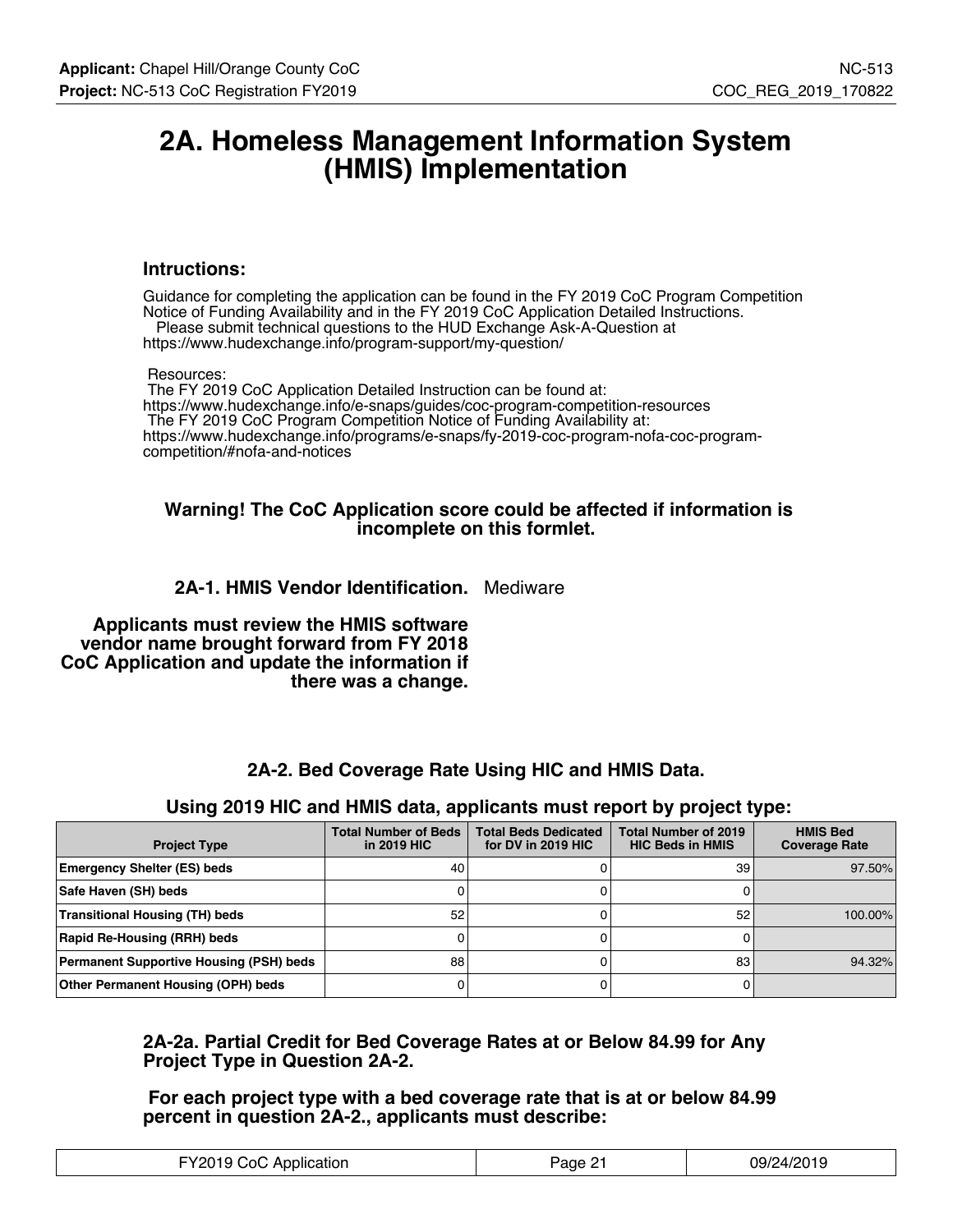## **2A. Homeless Management Information System (HMIS) Implementation**

#### **Intructions:**

Guidance for completing the application can be found in the FY 2019 CoC Program Competition Notice of Funding Availability and in the FY 2019 CoC Application Detailed Instructions. Please submit technical questions to the HUD Exchange Ask-A-Question at https://www.hudexchange.info/program-support/my-question/

#### Resources:

 The FY 2019 CoC Application Detailed Instruction can be found at: https://www.hudexchange.info/e-snaps/guides/coc-program-competition-resources The FY 2019 CoC Program Competition Notice of Funding Availability at: https://www.hudexchange.info/programs/e-snaps/fy-2019-coc-program-nofa-coc-programcompetition/#nofa-and-notices

#### **Warning! The CoC Application score could be affected if information is incomplete on this formlet.**

## **2A-1. HMIS Vendor Identification.** Mediware

 **Applicants must review the HMIS software vendor name brought forward from FY 2018 CoC Application and update the information if there was a change.**

### **2A-2. Bed Coverage Rate Using HIC and HMIS Data.**

#### **Using 2019 HIC and HMIS data, applicants must report by project type:**

| <b>Project Type</b>                            | <b>Total Number of Beds</b><br>in 2019 HIC | <b>Total Beds Dedicated</b><br>for DV in 2019 HIC | <b>Total Number of 2019</b><br><b>HIC Beds in HMIS</b> | <b>HMIS Bed</b><br><b>Coverage Rate</b> |
|------------------------------------------------|--------------------------------------------|---------------------------------------------------|--------------------------------------------------------|-----------------------------------------|
| <b>Emergency Shelter (ES) beds</b>             | 40                                         |                                                   | 39                                                     | 97.50%                                  |
| Safe Haven (SH) beds                           |                                            |                                                   |                                                        |                                         |
| <b>Transitional Housing (TH) beds</b>          | 52                                         |                                                   | 52                                                     | 100.00%                                 |
| Rapid Re-Housing (RRH) beds                    |                                            |                                                   |                                                        |                                         |
| <b>Permanent Supportive Housing (PSH) beds</b> | 88                                         |                                                   | 83                                                     | 94.32%                                  |
| Other Permanent Housing (OPH) beds             |                                            |                                                   |                                                        |                                         |

### **2A-2a. Partial Credit for Bed Coverage Rates at or Below 84.99 for Any Project Type in Question 2A-2.**

 **For each project type with a bed coverage rate that is at or below 84.99 percent in question 2A-2., applicants must describe:**

| <br>∩∩.<br><b>\pplication</b> | ane | <b>10/24/2012</b><br>$\sim$ $\sim$ $\sim$ $\sim$ $\sim$ $\sim$ |
|-------------------------------|-----|----------------------------------------------------------------|
|-------------------------------|-----|----------------------------------------------------------------|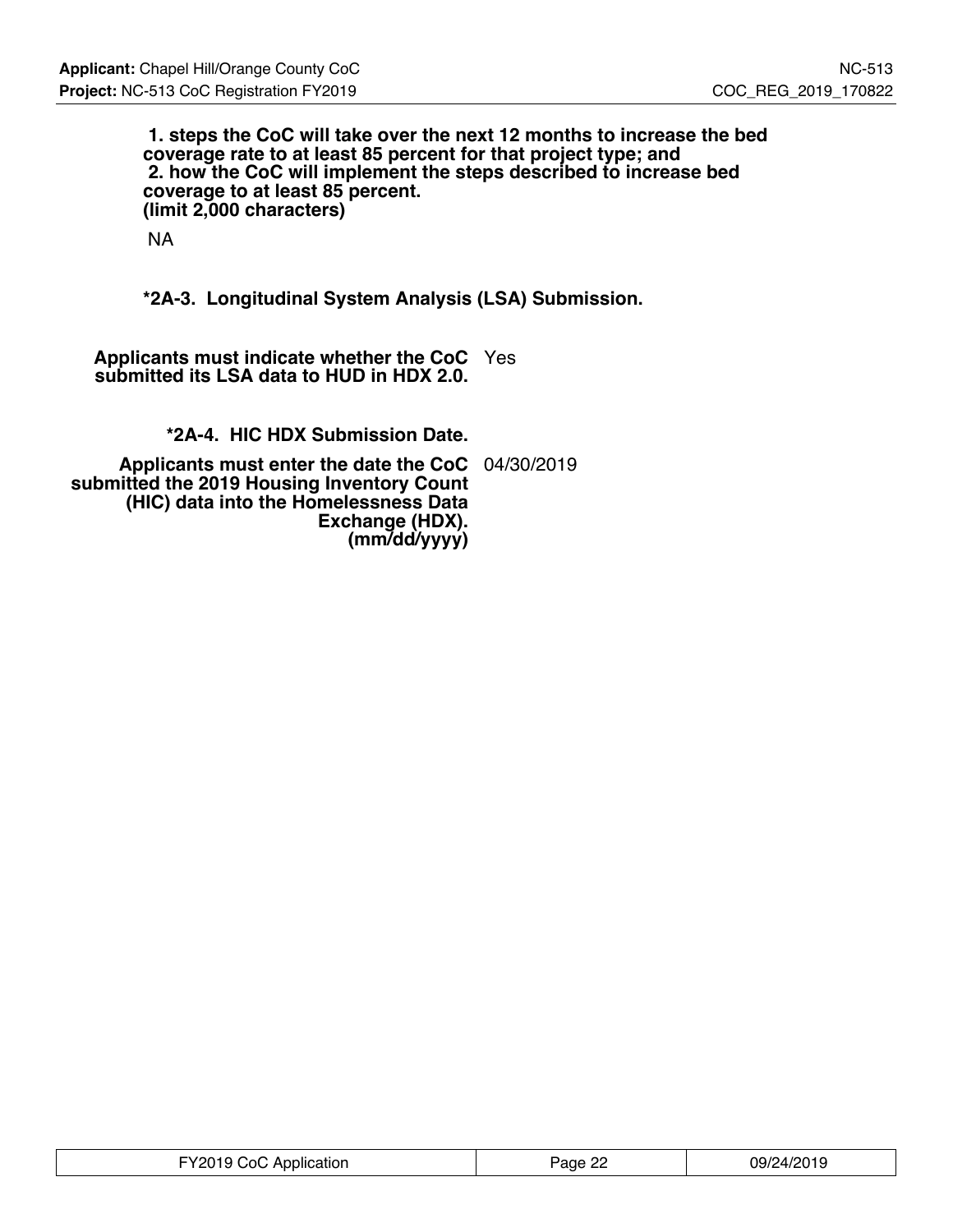**1. steps the CoC will take over the next 12 months to increase the bed coverage rate to at least 85 percent for that project type; and 2. how the CoC will implement the steps described to increase bed coverage to at least 85 percent. (limit 2,000 characters)**

NA

**\*2A-3. Longitudinal System Analysis (LSA) Submission.**

**Applicants must indicate whether the CoC** Yes **submitted its LSA data to HUD in HDX 2.0.**

**\*2A-4. HIC HDX Submission Date.**

**Applicants must enter the date the CoC** 04/30/2019 **submitted the 2019 Housing Inventory Count (HIC) data into the Homelessness Data Exchange (HDX). (mm/dd/yyyy)**

| FY2019 CoC Application | Page 22 | 09/24/2019 |
|------------------------|---------|------------|
|------------------------|---------|------------|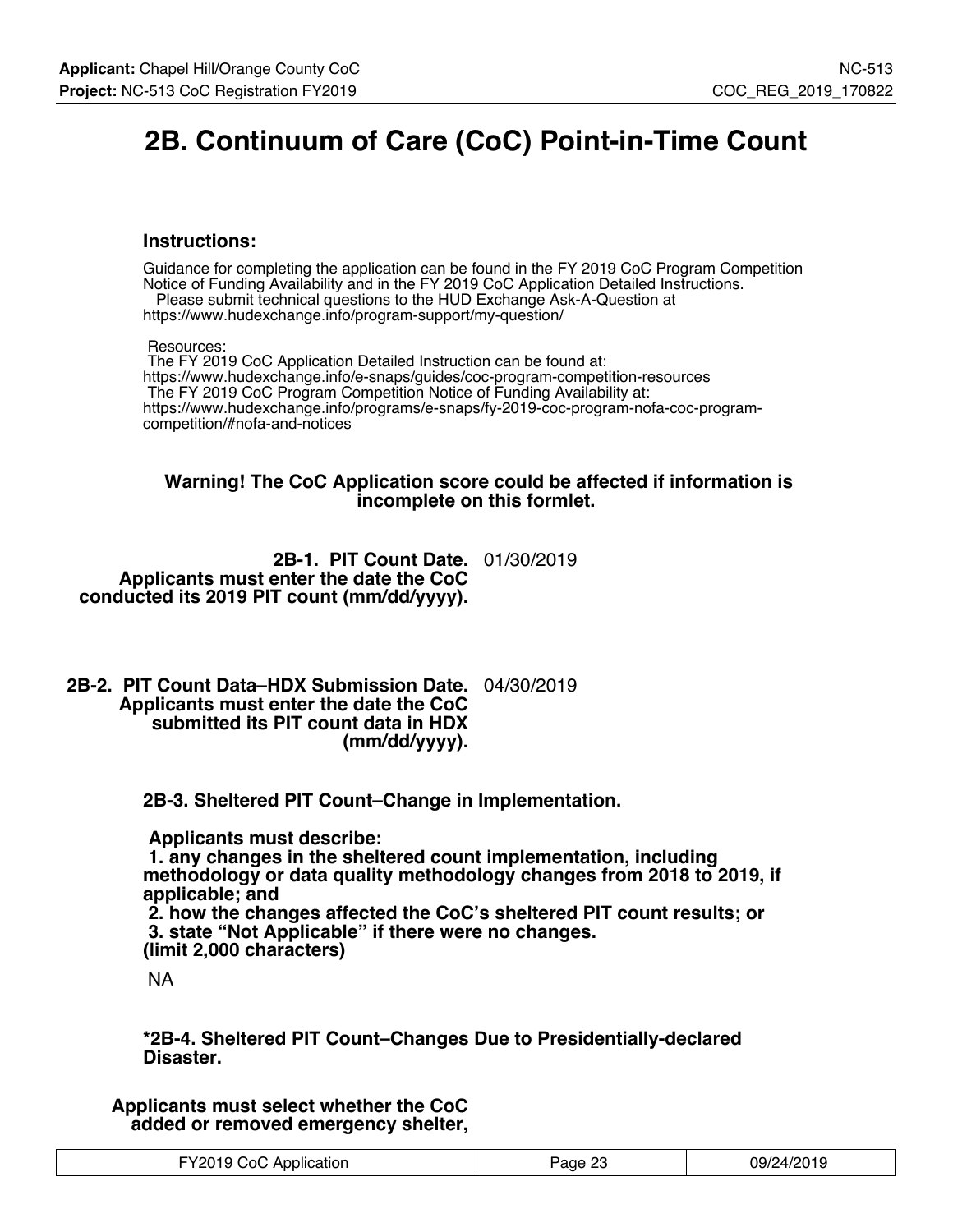# **2B. Continuum of Care (CoC) Point-in-Time Count**

#### **Instructions:**

Guidance for completing the application can be found in the FY 2019 CoC Program Competition Notice of Funding Availability and in the FY 2019 CoC Application Detailed Instructions. Please submit technical questions to the HUD Exchange Ask-A-Question at

https://www.hudexchange.info/program-support/my-question/

Resources:

 The FY 2019 CoC Application Detailed Instruction can be found at: https://www.hudexchange.info/e-snaps/guides/coc-program-competition-resources The FY 2019 CoC Program Competition Notice of Funding Availability at: https://www.hudexchange.info/programs/e-snaps/fy-2019-coc-program-nofa-coc-programcompetition/#nofa-and-notices

#### **Warning! The CoC Application score could be affected if information is incomplete on this formlet.**

**2B-1. PIT Count Date.** 01/30/2019 **Applicants must enter the date the CoC conducted its 2019 PIT count (mm/dd/yyyy).**

**2B-2. PIT Count Data–HDX Submission Date.** 04/30/2019 **Applicants must enter the date the CoC submitted its PIT count data in HDX (mm/dd/yyyy).**

**2B-3. Sheltered PIT Count–Change in Implementation.**

 **Applicants must describe:**

 **1. any changes in the sheltered count implementation, including methodology or data quality methodology changes from 2018 to 2019, if applicable; and**

 **2. how the changes affected the CoC's sheltered PIT count results; or 3. state "Not Applicable" if there were no changes. (limit 2,000 characters)**

NA

**\*2B-4. Sheltered PIT Count–Changes Due to Presidentially-declared Disaster.**

**Applicants must select whether the CoC added or removed emergency shelter,**

| FY2019 CoC Application | Page 23 | 09/24/2019 |
|------------------------|---------|------------|
|------------------------|---------|------------|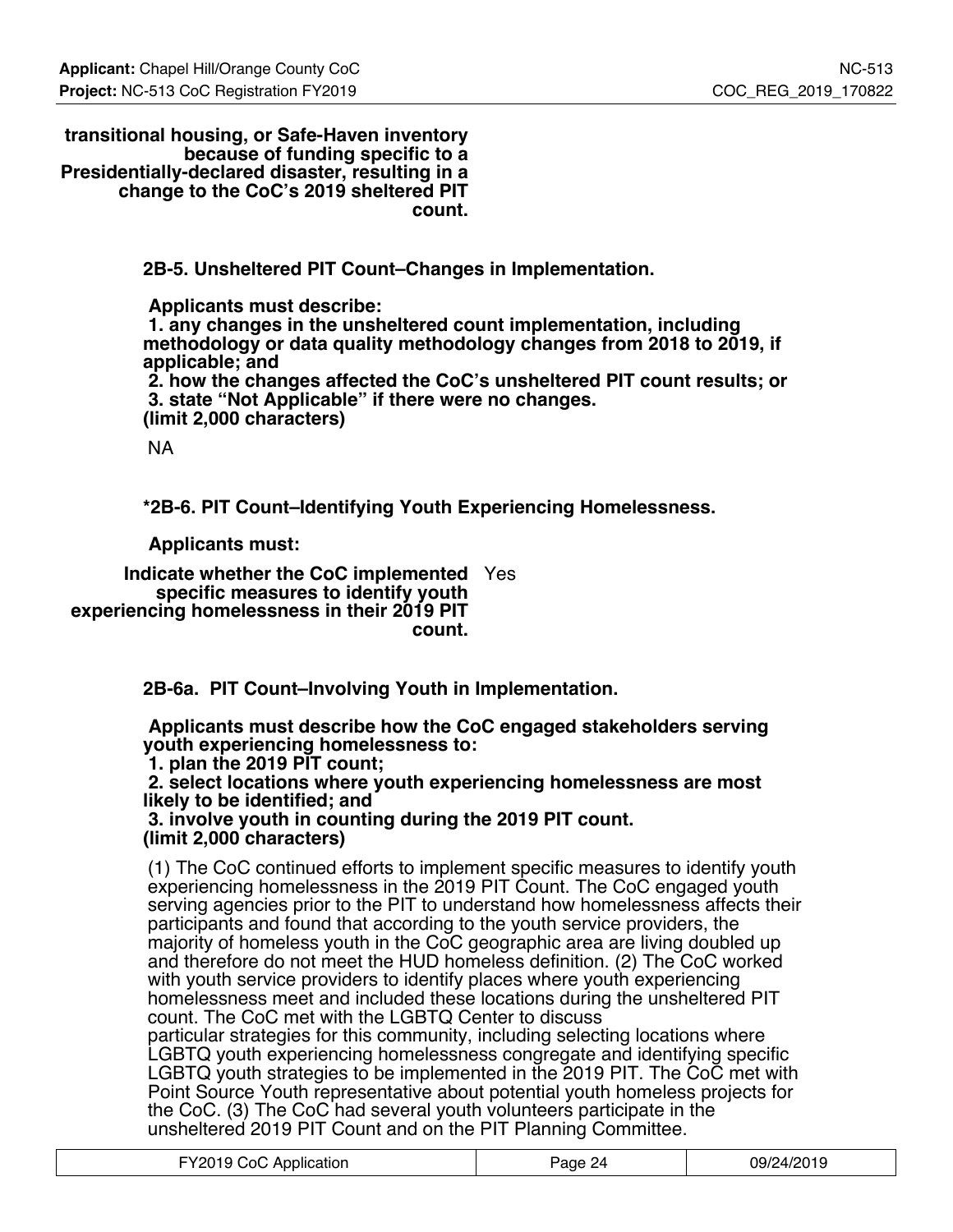**transitional housing, or Safe-Haven inventory because of funding specific to a Presidentially-declared disaster, resulting in a change to the CoC's 2019 sheltered PIT count.**

**2B-5. Unsheltered PIT Count–Changes in Implementation.**

 **Applicants must describe: 1. any changes in the unsheltered count implementation, including methodology or data quality methodology changes from 2018 to 2019, if applicable; and 2. how the changes affected the CoC's unsheltered PIT count results; or 3. state "Not Applicable" if there were no changes. (limit 2,000 characters)**

NA

**\*2B-6. PIT Count–Identifying Youth Experiencing Homelessness.**

 **Applicants must:**

**Indicate whether the CoC implemented** Yes **specific measures to identify youth experiencing homelessness in their 2019 PIT count.**

**2B-6a. PIT Count–Involving Youth in Implementation.**

 **Applicants must describe how the CoC engaged stakeholders serving youth experiencing homelessness to:**

 **1. plan the 2019 PIT count;**

 **2. select locations where youth experiencing homelessness are most likely to be identified; and**

 **3. involve youth in counting during the 2019 PIT count. (limit 2,000 characters)**

(1) The CoC continued efforts to implement specific measures to identify youth experiencing homelessness in the 2019 PIT Count. The CoC engaged youth serving agencies prior to the PIT to understand how homelessness affects their participants and found that according to the youth service providers, the majority of homeless youth in the CoC geographic area are living doubled up and therefore do not meet the HUD homeless definition. (2) The CoC worked with youth service providers to identify places where youth experiencing homelessness meet and included these locations during the unsheltered PIT count. The CoC met with the LGBTQ Center to discuss particular strategies for this community, including selecting locations where LGBTQ youth experiencing homelessness congregate and identifying specific LGBTQ youth strategies to be implemented in the 2019 PIT. The CoC met with Point Source Youth representative about potential youth homeless projects for the CoC. (3) The CoC had several youth volunteers participate in the unsheltered 2019 PIT Count and on the PIT Planning Committee.

| FY2019 CoC Application | Page 24 | 09/24/2019 |
|------------------------|---------|------------|
|------------------------|---------|------------|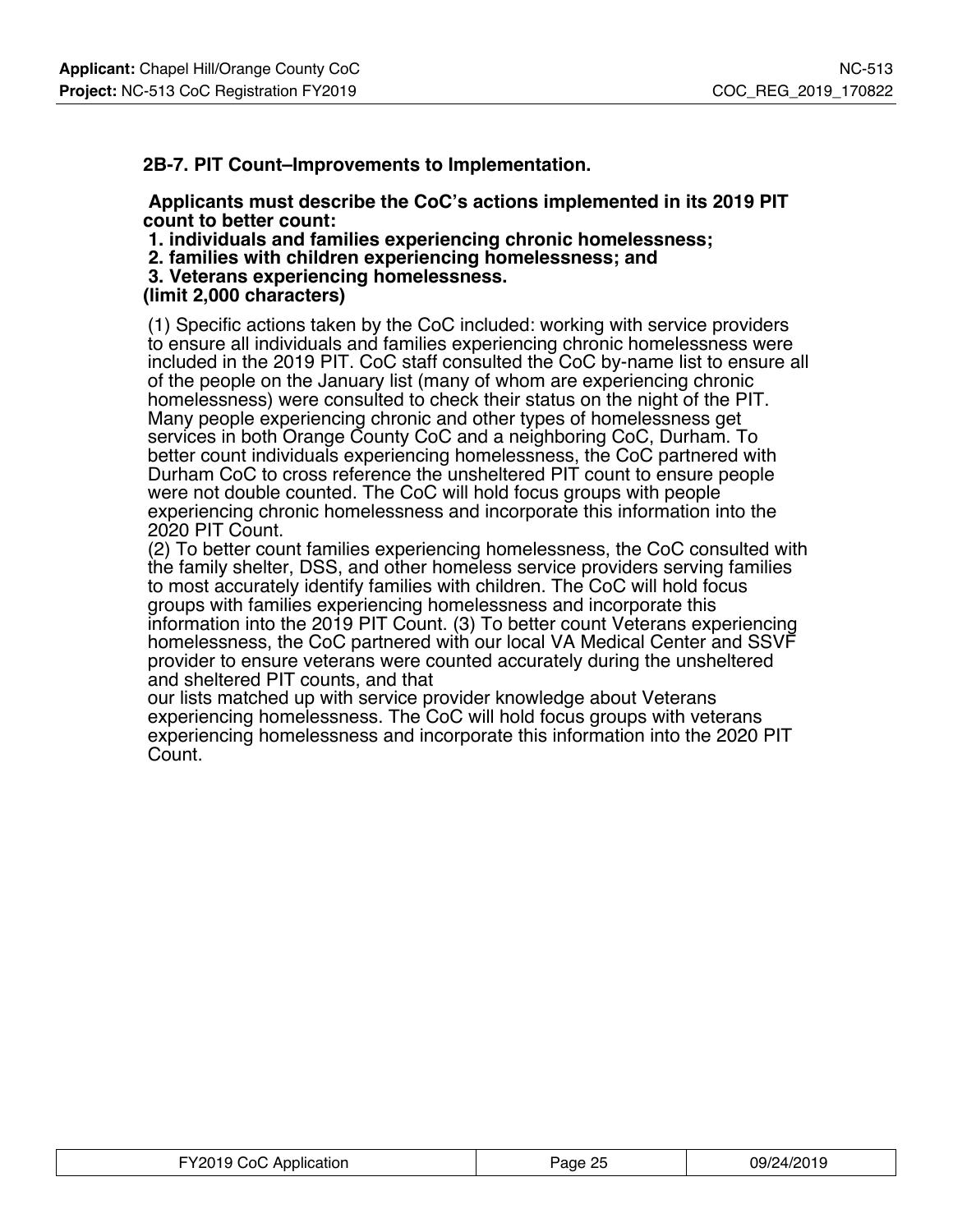### **2B-7. PIT Count–Improvements to Implementation.**

#### **Applicants must describe the CoC's actions implemented in its 2019 PIT count to better count:**

 **1. individuals and families experiencing chronic homelessness;**

- **2. families with children experiencing homelessness; and**
- **3. Veterans experiencing homelessness.**

#### **(limit 2,000 characters)**

(1) Specific actions taken by the CoC included: working with service providers to ensure all individuals and families experiencing chronic homelessness were included in the 2019 PIT. CoC staff consulted the CoC by-name list to ensure all of the people on the January list (many of whom are experiencing chronic homelessness) were consulted to check their status on the night of the PIT. Many people experiencing chronic and other types of homelessness get services in both Orange County CoC and a neighboring CoC, Durham. To better count individuals experiencing homelessness, the CoC partnered with Durham CoC to cross reference the unsheltered PIT count to ensure people were not double counted. The CoC will hold focus groups with people experiencing chronic homelessness and incorporate this information into the 2020 PIT Count.

(2) To better count families experiencing homelessness, the CoC consulted with the family shelter, DSS, and other homeless service providers serving families to most accurately identify families with children. The CoC will hold focus groups with families experiencing homelessness and incorporate this information into the 2019 PIT Count. (3) To better count Veterans experiencing homelessness, the CoC partnered with our local VA Medical Center and SSVF provider to ensure veterans were counted accurately during the unsheltered and sheltered PIT counts, and that

our lists matched up with service provider knowledge about Veterans experiencing homelessness. The CoC will hold focus groups with veterans experiencing homelessness and incorporate this information into the 2020 PIT Count.

| FY2019 CoC Application | Page 25 | 09/24/2019 |
|------------------------|---------|------------|
|------------------------|---------|------------|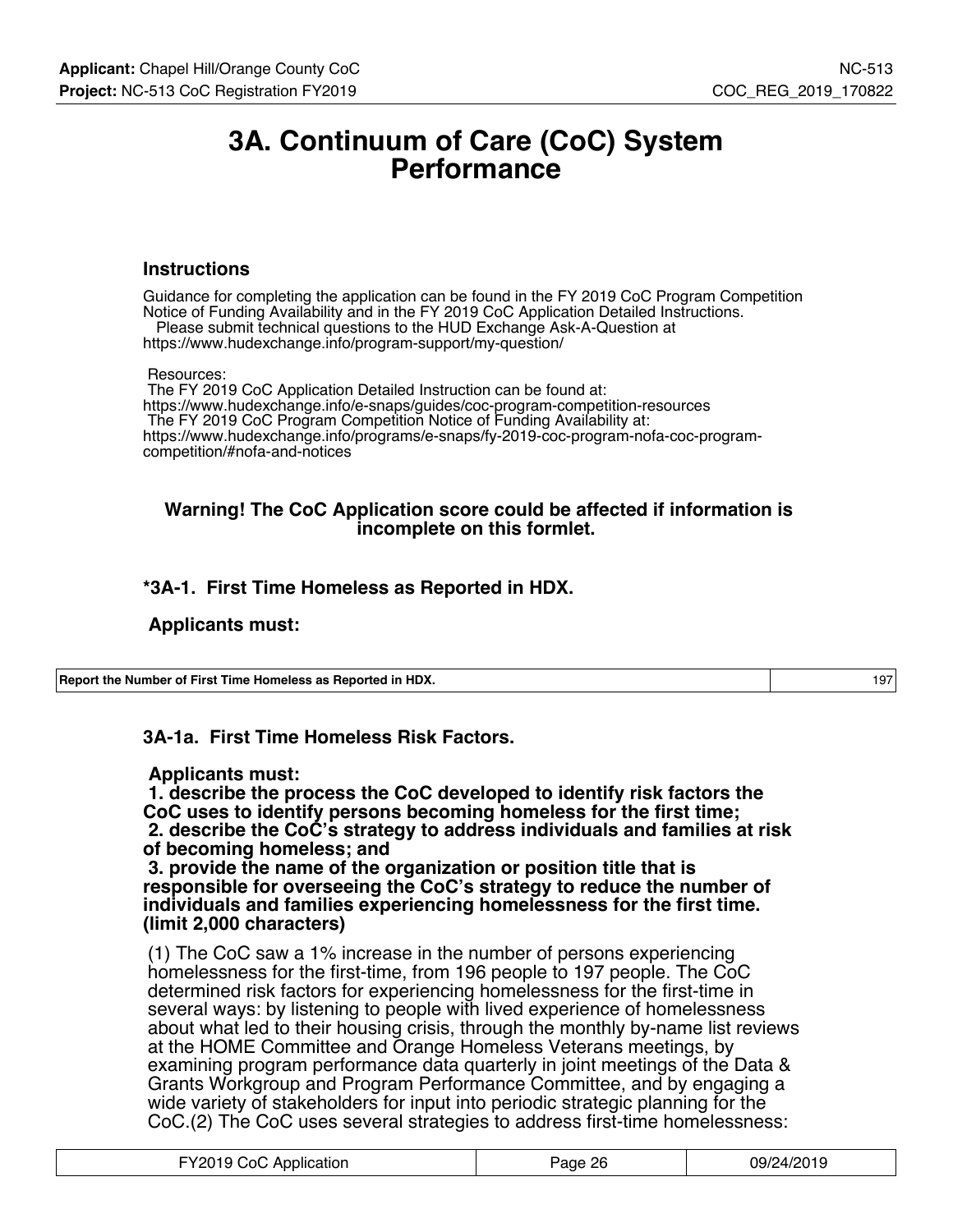## **3A. Continuum of Care (CoC) System Performance**

#### **Instructions**

Guidance for completing the application can be found in the FY 2019 CoC Program Competition Notice of Funding Availability and in the FY 2019 CoC Application Detailed Instructions. Please submit technical questions to the HUD Exchange Ask-A-Question at https://www.hudexchange.info/program-support/my-question/

Resources:

 The FY 2019 CoC Application Detailed Instruction can be found at: https://www.hudexchange.info/e-snaps/guides/coc-program-competition-resources The FY 2019 CoC Program Competition Notice of Funding Availability at: https://www.hudexchange.info/programs/e-snaps/fy-2019-coc-program-nofa-coc-programcompetition/#nofa-and-notices

#### **Warning! The CoC Application score could be affected if information is incomplete on this formlet.**

## **\*3A-1. First Time Homeless as Reported in HDX.**

#### **Applicants must:**

**Report the Number of First Time Homeless as Reported in HDX.** 197

**3A-1a. First Time Homeless Risk Factors.**

#### **Applicants must:**

 **1. describe the process the CoC developed to identify risk factors the CoC uses to identify persons becoming homeless for the first time; 2. describe the CoC's strategy to address individuals and families at risk of becoming homeless; and**

 **3. provide the name of the organization or position title that is responsible for overseeing the CoC's strategy to reduce the number of individuals and families experiencing homelessness for the first time. (limit 2,000 characters)**

(1) The CoC saw a 1% increase in the number of persons experiencing homelessness for the first-time, from 196 people to 197 people. The CoC determined risk factors for experiencing homelessness for the first-time in several ways: by listening to people with lived experience of homelessness about what led to their housing crisis, through the monthly by-name list reviews at the HOME Committee and Orange Homeless Veterans meetings, by examining program performance data quarterly in joint meetings of the Data & Grants Workgroup and Program Performance Committee, and by engaging a wide variety of stakeholders for input into periodic strategic planning for the CoC.(2) The CoC uses several strategies to address first-time homelessness:

| FY2019 CoC Application | Page 26 | 09/24/2019 |
|------------------------|---------|------------|
|------------------------|---------|------------|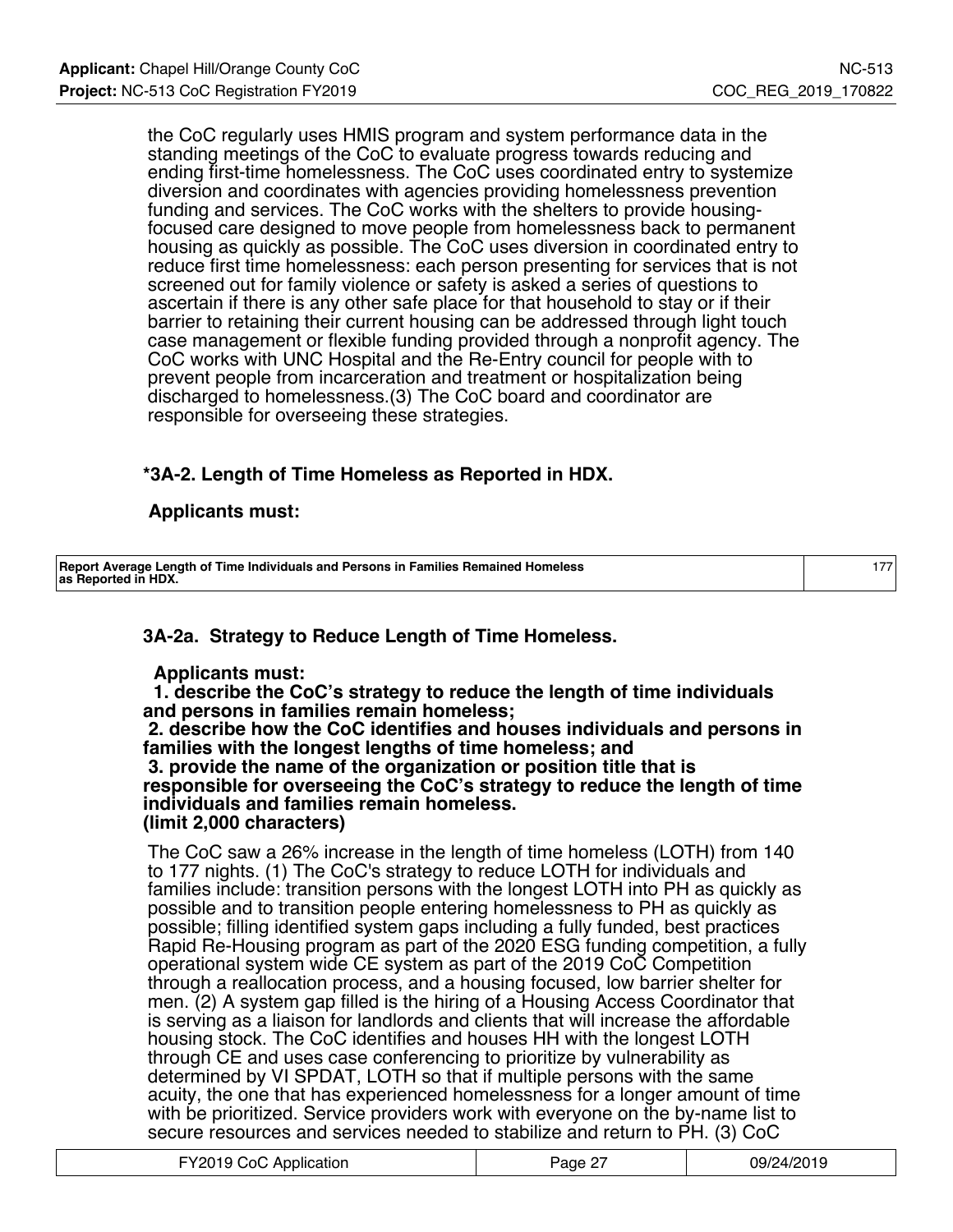the CoC regularly uses HMIS program and system performance data in the standing meetings of the CoC to evaluate progress towards reducing and ending first-time homelessness. The CoC uses coordinated entry to systemize diversion and coordinates with agencies providing homelessness prevention funding and services. The CoC works with the shelters to provide housingfocused care designed to move people from homelessness back to permanent housing as quickly as possible. The CoC uses diversion in coordinated entry to reduce first time homelessness: each person presenting for services that is not screened out for family violence or safety is asked a series of questions to ascertain if there is any other safe place for that household to stay or if their barrier to retaining their current housing can be addressed through light touch case management or flexible funding provided through a nonprofit agency. The CoC works with UNC Hospital and the Re-Entry council for people with to prevent people from incarceration and treatment or hospitalization being discharged to homelessness.(3) The CoC board and coordinator are responsible for overseeing these strategies.

## **\*3A-2. Length of Time Homeless as Reported in HDX.**

## **Applicants must:**

| Report Average Length of Time Individuals and Persons in Families Remained Homeless<br>as Reported in HDX. |  |
|------------------------------------------------------------------------------------------------------------|--|

## **3A-2a. Strategy to Reduce Length of Time Homeless.**

### **Applicants must:**

 **1. describe the CoC's strategy to reduce the length of time individuals and persons in families remain homeless;**

 **2. describe how the CoC identifies and houses individuals and persons in families with the longest lengths of time homeless; and 3. provide the name of the organization or position title that is responsible for overseeing the CoC's strategy to reduce the length of time individuals and families remain homeless. (limit 2,000 characters)**

The CoC saw a 26% increase in the length of time homeless (LOTH) from 140 to 177 nights. (1) The CoC's strategy to reduce LOTH for individuals and families include: transition persons with the longest LOTH into PH as quickly as possible and to transition people entering homelessness to PH as quickly as possible; filling identified system gaps including a fully funded, best practices Rapid Re-Housing program as part of the 2020 ESG funding competition, a fully operational system wide CE system as part of the 2019 CoC Competition through a reallocation process, and a housing focused, low barrier shelter for men. (2) A system gap filled is the hiring of a Housing Access Coordinator that is serving as a liaison for landlords and clients that will increase the affordable housing stock. The CoC identifies and houses HH with the longest LOTH through CE and uses case conferencing to prioritize by vulnerability as determined by VI SPDAT, LOTH so that if multiple persons with the same acuity, the one that has experienced homelessness for a longer amount of time with be prioritized. Service providers work with everyone on the by-name list to secure resources and services needed to stabilize and return to PH. (3) CoC

| FY2019 CoC Application | Page 27 | 09/24/2019 |
|------------------------|---------|------------|
|------------------------|---------|------------|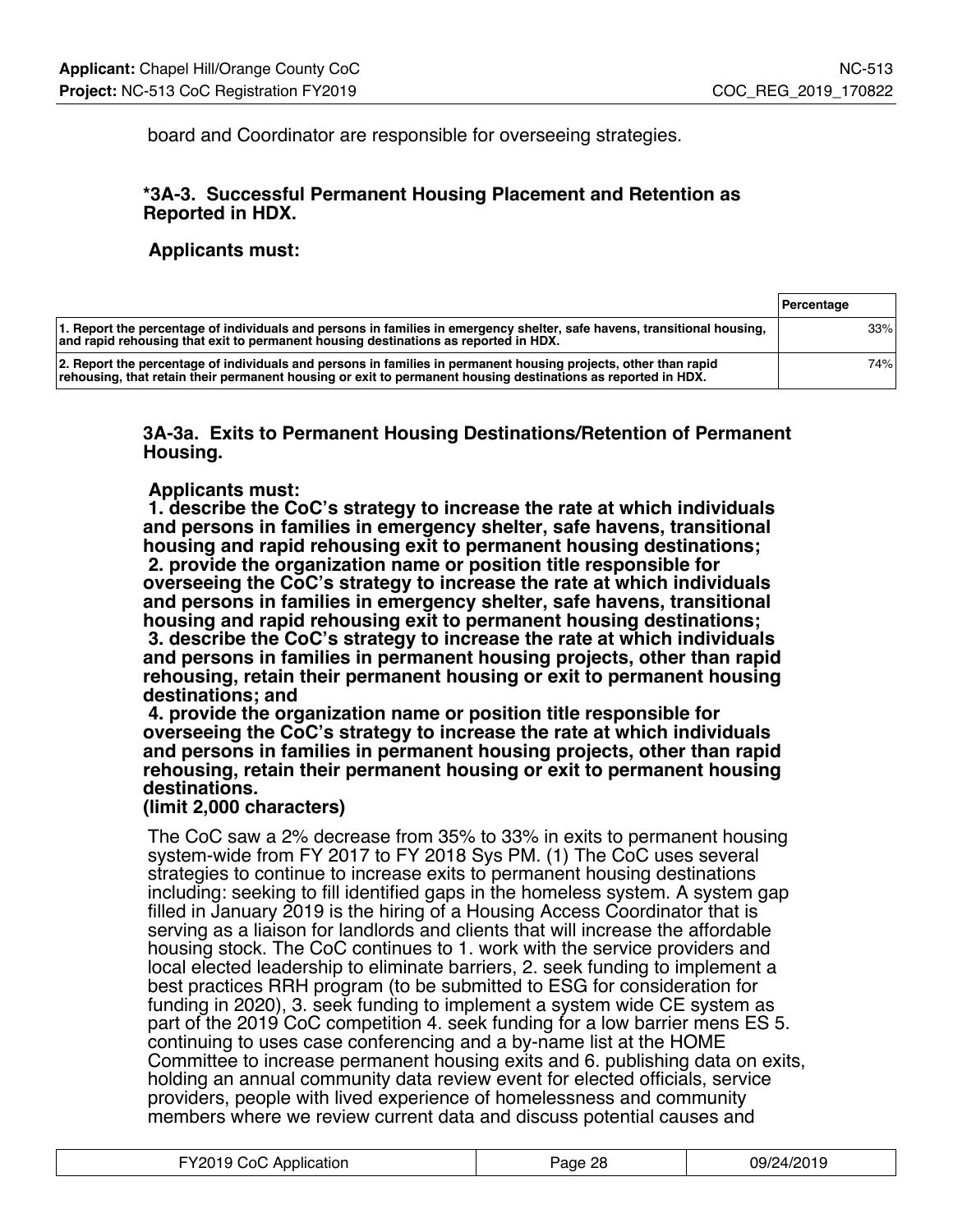board and Coordinator are responsible for overseeing strategies.

### **\*3A-3. Successful Permanent Housing Placement and Retention as Reported in HDX.**

#### **Applicants must:**

|                                                                                                                                                                                                                                 | <b>Percentage</b> |  |
|---------------------------------------------------------------------------------------------------------------------------------------------------------------------------------------------------------------------------------|-------------------|--|
| 1. Report the percentage of individuals and persons in families in emergency shelter, safe havens, transitional housing,<br>and rapid rehousing that exit to permanent housing destinations as reported in HDX.                 | 33%               |  |
| 2. Report the percentage of individuals and persons in families in permanent housing projects, other than rapid<br>rehousing, that retain their permanent housing or exit to permanent housing destinations as reported in HDX. | 74%               |  |

**3A-3a. Exits to Permanent Housing Destinations/Retention of Permanent Housing.**

#### **Applicants must:**

 **1. describe the CoC's strategy to increase the rate at which individuals and persons in families in emergency shelter, safe havens, transitional housing and rapid rehousing exit to permanent housing destinations; 2. provide the organization name or position title responsible for overseeing the CoC's strategy to increase the rate at which individuals and persons in families in emergency shelter, safe havens, transitional housing and rapid rehousing exit to permanent housing destinations; 3. describe the CoC's strategy to increase the rate at which individuals and persons in families in permanent housing projects, other than rapid rehousing, retain their permanent housing or exit to permanent housing destinations; and**

 **4. provide the organization name or position title responsible for overseeing the CoC's strategy to increase the rate at which individuals and persons in families in permanent housing projects, other than rapid rehousing, retain their permanent housing or exit to permanent housing destinations.**

#### **(limit 2,000 characters)**

The CoC saw a 2% decrease from 35% to 33% in exits to permanent housing system-wide from FY 2017 to FY 2018 Sys PM. (1) The CoC uses several strategies to continue to increase exits to permanent housing destinations including: seeking to fill identified gaps in the homeless system. A system gap filled in January 2019 is the hiring of a Housing Access Coordinator that is serving as a liaison for landlords and clients that will increase the affordable housing stock. The CoC continues to 1. work with the service providers and local elected leadership to eliminate barriers, 2. seek funding to implement a best practices RRH program (to be submitted to ESG for consideration for funding in 2020), 3. seek funding to implement a system wide CE system as part of the 2019 CoC competition 4. seek funding for a low barrier mens ES 5. continuing to uses case conferencing and a by-name list at the HOME Committee to increase permanent housing exits and 6. publishing data on exits, holding an annual community data review event for elected officials, service providers, people with lived experience of homelessness and community members where we review current data and discuss potential causes and

| FY2019 CoC Application | Page 28 | 09/24/2019 |
|------------------------|---------|------------|
|------------------------|---------|------------|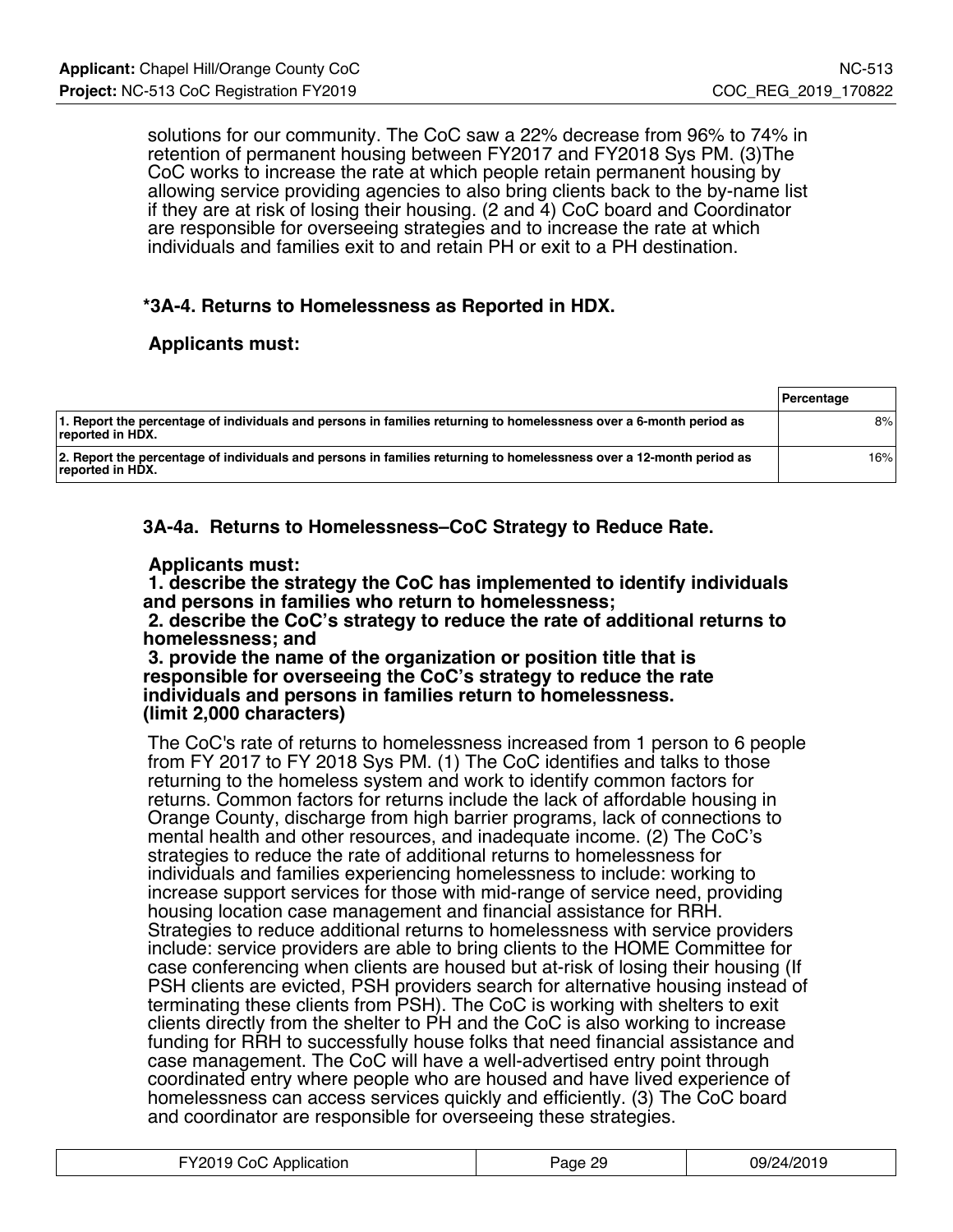solutions for our community. The CoC saw a 22% decrease from 96% to 74% in retention of permanent housing between FY2017 and FY2018 Sys PM. (3)The CoC works to increase the rate at which people retain permanent housing by allowing service providing agencies to also bring clients back to the by-name list if they are at risk of losing their housing. (2 and 4) CoC board and Coordinator are responsible for overseeing strategies and to increase the rate at which individuals and families exit to and retain PH or exit to a PH destination.

## **\*3A-4. Returns to Homelessness as Reported in HDX.**

#### **Applicants must:**

|                                                                                                                                         | <b>Percentage</b> |
|-----------------------------------------------------------------------------------------------------------------------------------------|-------------------|
| 1. Report the percentage of individuals and persons in families returning to homelessness over a 6-month period as<br>⊺reported in HDX. | 8%                |
| 2. Report the percentage of individuals and persons in families returning to homelessness over a 12-month period as<br>reported in HDX. | 16%               |

**3A-4a. Returns to Homelessness–CoC Strategy to Reduce Rate.**

#### **Applicants must:**

 **1. describe the strategy the CoC has implemented to identify individuals and persons in families who return to homelessness;**

 **2. describe the CoC's strategy to reduce the rate of additional returns to homelessness; and**

 **3. provide the name of the organization or position title that is responsible for overseeing the CoC's strategy to reduce the rate individuals and persons in families return to homelessness. (limit 2,000 characters)**

The CoC's rate of returns to homelessness increased from 1 person to 6 people from FY 2017 to FY 2018 Sys PM. (1) The CoC identifies and talks to those returning to the homeless system and work to identify common factors for returns. Common factors for returns include the lack of affordable housing in Orange County, discharge from high barrier programs, lack of connections to mental health and other resources, and inadequate income. (2) The CoC's strategies to reduce the rate of additional returns to homelessness for individuals and families experiencing homelessness to include: working to increase support services for those with mid-range of service need, providing housing location case management and financial assistance for RRH. Strategies to reduce additional returns to homelessness with service providers include: service providers are able to bring clients to the HOME Committee for case conferencing when clients are housed but at-risk of losing their housing (If PSH clients are evicted, PSH providers search for alternative housing instead of terminating these clients from PSH). The CoC is working with shelters to exit clients directly from the shelter to PH and the CoC is also working to increase funding for RRH to successfully house folks that need financial assistance and case management. The CoC will have a well-advertised entry point through coordinated entry where people who are housed and have lived experience of homelessness can access services quickly and efficiently. (3) The CoC board and coordinator are responsible for overseeing these strategies.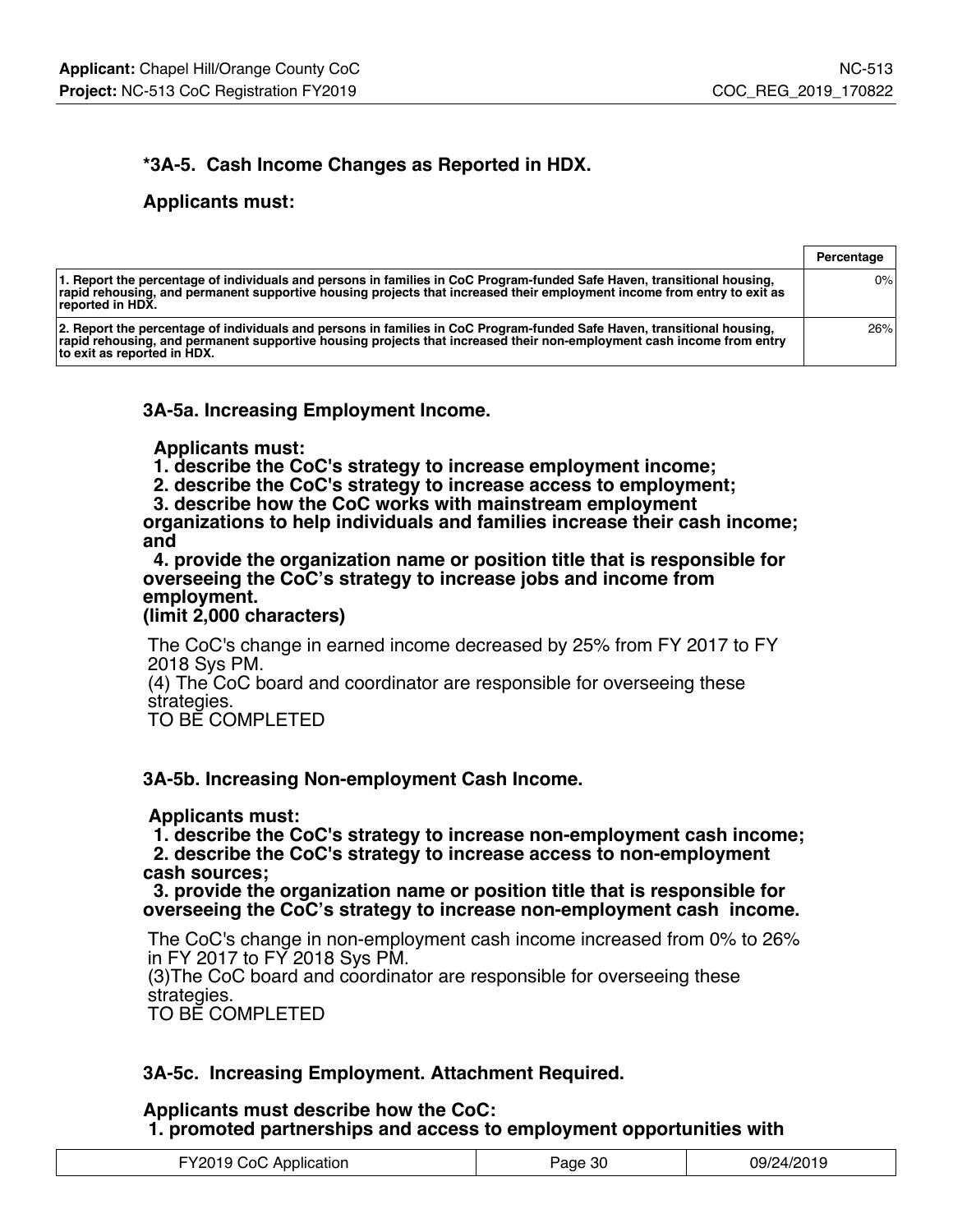## **\*3A-5. Cash Income Changes as Reported in HDX.**

#### **Applicants must:**

|                                                                                                                                                                                                                                                                                 | Percentage |
|---------------------------------------------------------------------------------------------------------------------------------------------------------------------------------------------------------------------------------------------------------------------------------|------------|
| 1. Report the percentage of individuals and persons in families in CoC Program-funded Safe Haven, transitional housing,<br>rapid rehousing, and permanent supportive housing projects that increased their employment income from entry to exit as<br>reported in HDX.          | 0%         |
| 2. Report the percentage of individuals and persons in families in CoC Program-funded Safe Haven, transitional housing,<br>rapid rehousing, and permanent supportive housing projects that increased their non-employment cash income from entry<br>to exit as reported in HDX. | 26%        |

**3A-5a. Increasing Employment Income.**

 **Applicants must:**

 **1. describe the CoC's strategy to increase employment income;**

 **2. describe the CoC's strategy to increase access to employment;**

 **3. describe how the CoC works with mainstream employment**

**organizations to help individuals and families increase their cash income; and**

 **4. provide the organization name or position title that is responsible for overseeing the CoC's strategy to increase jobs and income from employment.**

**(limit 2,000 characters)**

The CoC's change in earned income decreased by 25% from FY 2017 to FY 2018 Sys PM.

(4) The CoC board and coordinator are responsible for overseeing these strategies.

TO BE COMPLETED

### **3A-5b. Increasing Non-employment Cash Income.**

#### **Applicants must:**

 **1. describe the CoC's strategy to increase non-employment cash income; 2. describe the CoC's strategy to increase access to non-employment cash sources;**

 **3. provide the organization name or position title that is responsible for overseeing the CoC's strategy to increase non-employment cash income.**

The CoC's change in non-employment cash income increased from 0% to 26% in FY 2017 to FY 2018 Sys PM. (3)The CoC board and coordinator are responsible for overseeing these

strategies.

TO BE COMPLETED

### **3A-5c. Increasing Employment. Attachment Required.**

#### **Applicants must describe how the CoC: 1. promoted partnerships and access to employment opportunities with**

| FY2019 CoC Application | Page 30 | 09/24/2019 |
|------------------------|---------|------------|
|------------------------|---------|------------|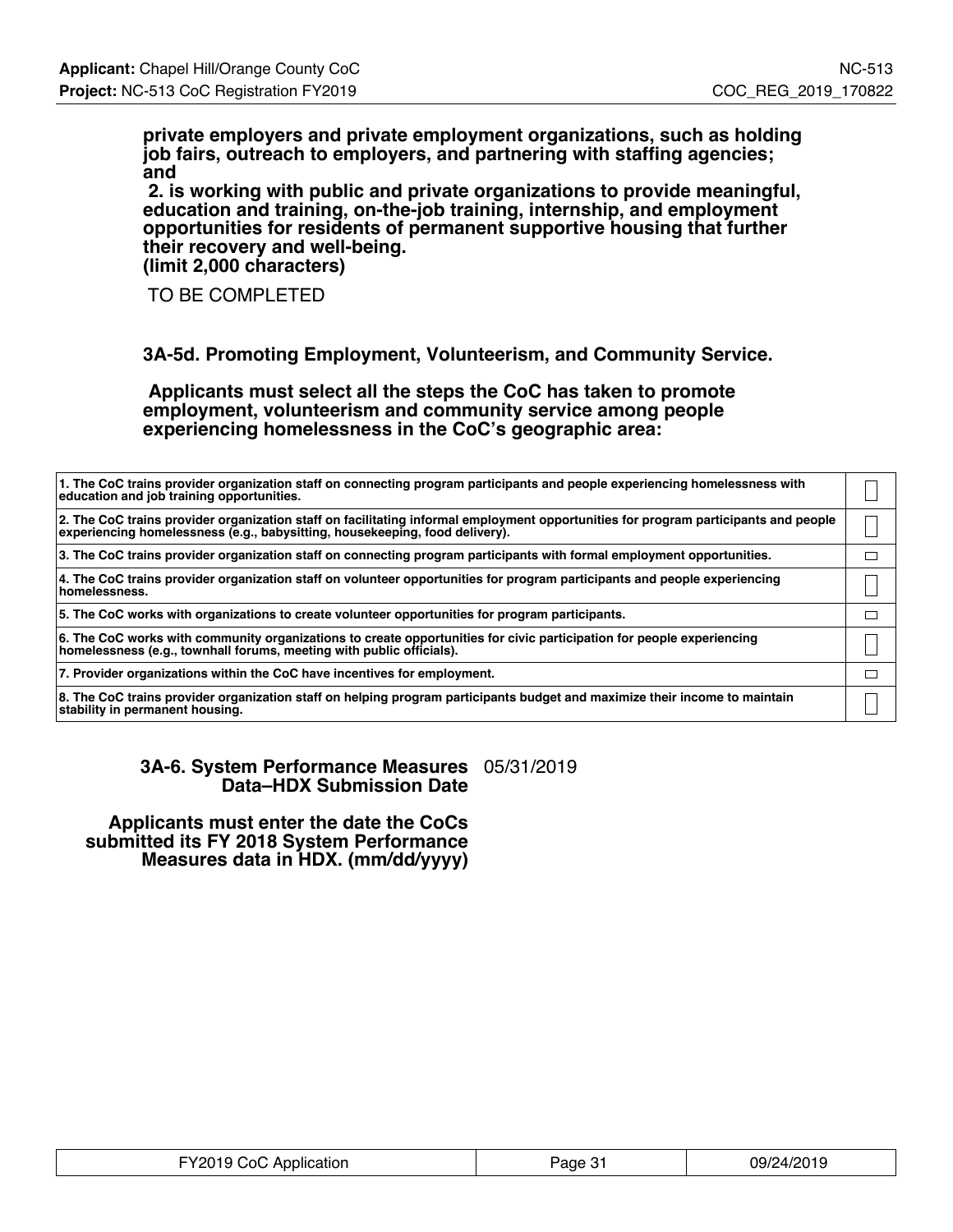**private employers and private employment organizations, such as holding job fairs, outreach to employers, and partnering with staffing agencies; and**

 **2. is working with public and private organizations to provide meaningful, education and training, on-the-job training, internship, and employment opportunities for residents of permanent supportive housing that further their recovery and well-being. (limit 2,000 characters)**

TO BE COMPLETED

**3A-5d. Promoting Employment, Volunteerism, and Community Service.**

 **Applicants must select all the steps the CoC has taken to promote employment, volunteerism and community service among people experiencing homelessness in the CoC's geographic area:**

| 1. The CoC trains provider organization staff on connecting program participants and people experiencing homelessness with<br>education and job training opportunities.                                            |  |
|--------------------------------------------------------------------------------------------------------------------------------------------------------------------------------------------------------------------|--|
| 2. The CoC trains provider organization staff on facilitating informal employment opportunities for program participants and people<br>experiencing homelessness (e.g., babysitting, housekeeping, food delivery). |  |
| 3. The CoC trains provider organization staff on connecting program participants with formal employment opportunities.                                                                                             |  |
| 4. The CoC trains provider organization staff on volunteer opportunities for program participants and people experiencing<br>homelessness.                                                                         |  |
| 5. The CoC works with organizations to create volunteer opportunities for program participants.                                                                                                                    |  |
| 6. The CoC works with community organizations to create opportunities for civic participation for people experiencing<br>homelessness (e.g., townhall forums, meeting with public officials).                      |  |
| 7. Provider organizations within the CoC have incentives for employment.                                                                                                                                           |  |
| 8. The CoC trains provider organization staff on helping program participants budget and maximize their income to maintain<br>stability in permanent housing.                                                      |  |

**3A-6. System Performance Measures** 05/31/2019 **Data–HDX Submission Date**

 **Applicants must enter the date the CoCs submitted its FY 2018 System Performance Measures data in HDX. (mm/dd/yyyy)**

| FY2019 CoC Application | Page 31 | 09/24/2019 |
|------------------------|---------|------------|
|------------------------|---------|------------|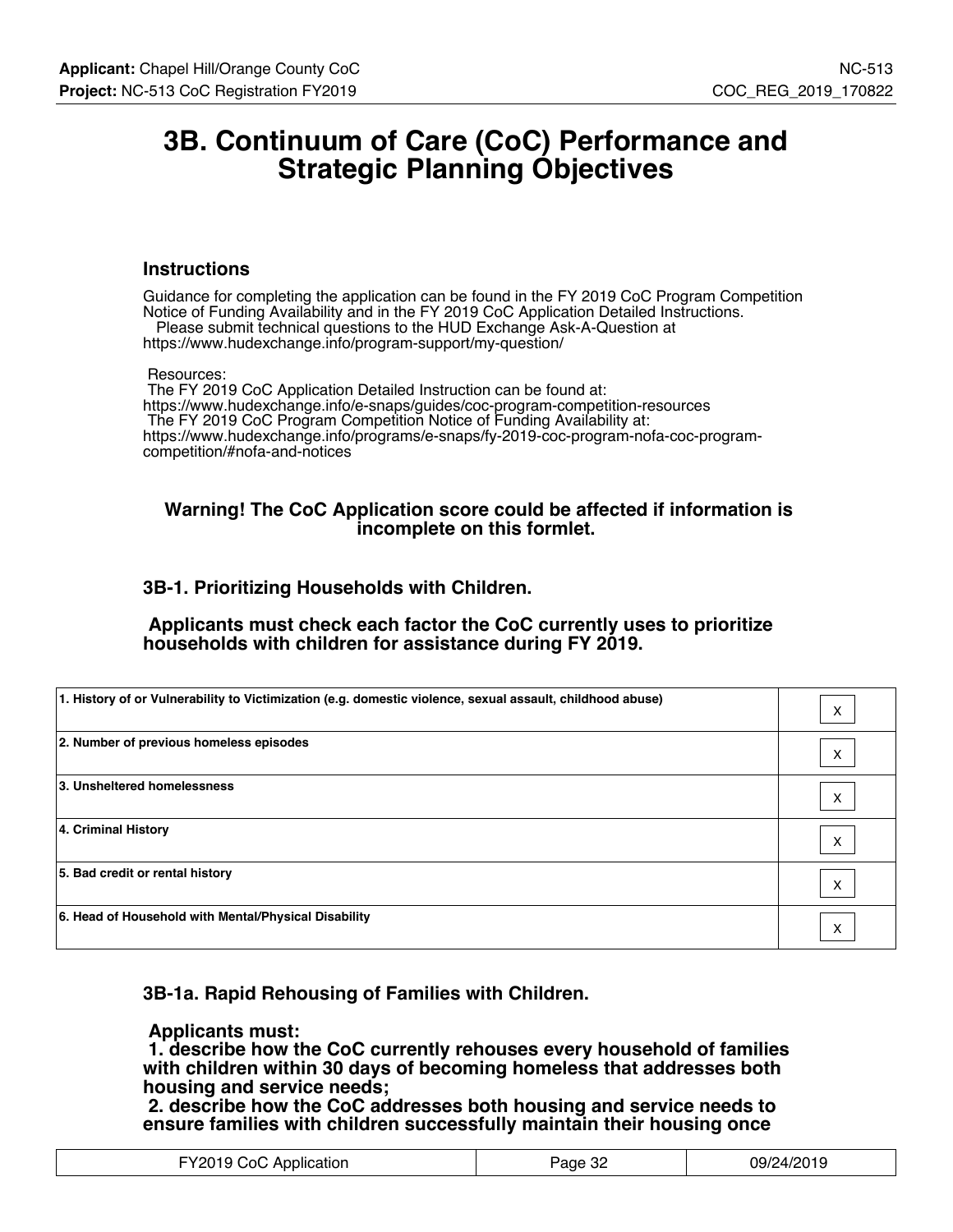## **3B. Continuum of Care (CoC) Performance and Strategic Planning Objectives**

#### **Instructions**

Guidance for completing the application can be found in the FY 2019 CoC Program Competition Notice of Funding Availability and in the FY 2019 CoC Application Detailed Instructions. Please submit technical questions to the HUD Exchange Ask-A-Question at

https://www.hudexchange.info/program-support/my-question/

#### Resources:

 The FY 2019 CoC Application Detailed Instruction can be found at: https://www.hudexchange.info/e-snaps/guides/coc-program-competition-resources The FY 2019 CoC Program Competition Notice of Funding Availability at: https://www.hudexchange.info/programs/e-snaps/fy-2019-coc-program-nofa-coc-programcompetition/#nofa-and-notices

#### **Warning! The CoC Application score could be affected if information is incomplete on this formlet.**

#### **3B-1. Prioritizing Households with Children.**

 **Applicants must check each factor the CoC currently uses to prioritize households with children for assistance during FY 2019.**

| 1. History of or Vulnerability to Victimization (e.g. domestic violence, sexual assault, childhood abuse) | X |
|-----------------------------------------------------------------------------------------------------------|---|
| 2. Number of previous homeless episodes                                                                   | X |
| 3. Unsheltered homelessness                                                                               | X |
| 4. Criminal History                                                                                       | X |
| 5. Bad credit or rental history                                                                           | X |
| 6. Head of Household with Mental/Physical Disability                                                      | X |

### **3B-1a. Rapid Rehousing of Families with Children.**

#### **Applicants must:**

 **1. describe how the CoC currently rehouses every household of families with children within 30 days of becoming homeless that addresses both housing and service needs;**

 **2. describe how the CoC addresses both housing and service needs to ensure families with children successfully maintain their housing once**

| FY2019 CoC Application | Page 32 | 09/24/2019 |
|------------------------|---------|------------|
|------------------------|---------|------------|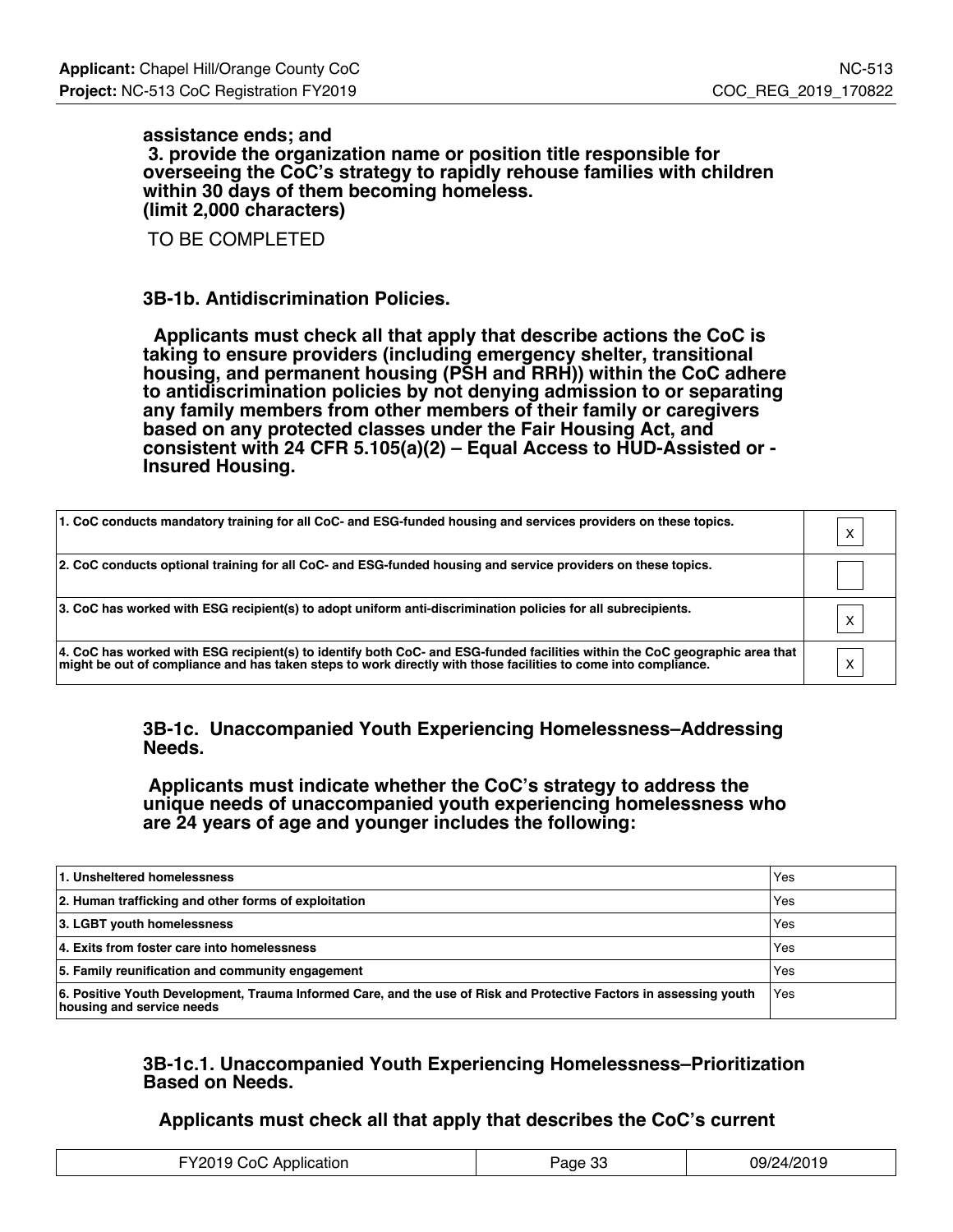#### **assistance ends; and 3. provide the organization name or position title responsible for overseeing the CoC's strategy to rapidly rehouse families with children within 30 days of them becoming homeless. (limit 2,000 characters)**

TO BE COMPLETED

#### **3B-1b. Antidiscrimination Policies.**

 **Applicants must check all that apply that describe actions the CoC is taking to ensure providers (including emergency shelter, transitional housing, and permanent housing (PSH and RRH)) within the CoC adhere to antidiscrimination policies by not denying admission to or separating any family members from other members of their family or caregivers based on any protected classes under the Fair Housing Act, and consistent with 24 CFR 5.105(a)(2) – Equal Access to HUD-Assisted or - Insured Housing.**

| 1. CoC conducts mandatory training for all CoC- and ESG-funded housing and services providers on these topics.                                                                                                                                |              |
|-----------------------------------------------------------------------------------------------------------------------------------------------------------------------------------------------------------------------------------------------|--------------|
| 2. CoC conducts optional training for all CoC- and ESG-funded housing and service providers on these topics.                                                                                                                                  |              |
| 3. CoC has worked with ESG recipient(s) to adopt uniform anti-discrimination policies for all subrecipients.                                                                                                                                  |              |
| 4. CoC has worked with ESG recipient(s) to identify both CoC- and ESG-funded facilities within the CoC geographic area that<br>might be out of compliance and has taken steps to work directly with those facilities to come into compliance. | $\checkmark$ |

#### **3B-1c. Unaccompanied Youth Experiencing Homelessness–Addressing Needs.**

 **Applicants must indicate whether the CoC's strategy to address the unique needs of unaccompanied youth experiencing homelessness who are 24 years of age and younger includes the following:**

| 1. Unsheltered homelessness                                                                                                                     | Yes |
|-------------------------------------------------------------------------------------------------------------------------------------------------|-----|
| 2. Human trafficking and other forms of exploitation                                                                                            | Yes |
| 3. LGBT youth homelessness                                                                                                                      | Yes |
| 4. Exits from foster care into homelessness                                                                                                     | Yes |
| 5. Family reunification and community engagement                                                                                                | Yes |
| 6. Positive Youth Development, Trauma Informed Care, and the use of Risk and Protective Factors in assessing youth<br>housing and service needs | Yes |

### **3B-1c.1. Unaccompanied Youth Experiencing Homelessness–Prioritization Based on Needs.**

### **Applicants must check all that apply that describes the CoC's current**

| FY2019 CoC Application | n <sub>n</sub><br>Page 35 | 09/24/2019 |
|------------------------|---------------------------|------------|
|------------------------|---------------------------|------------|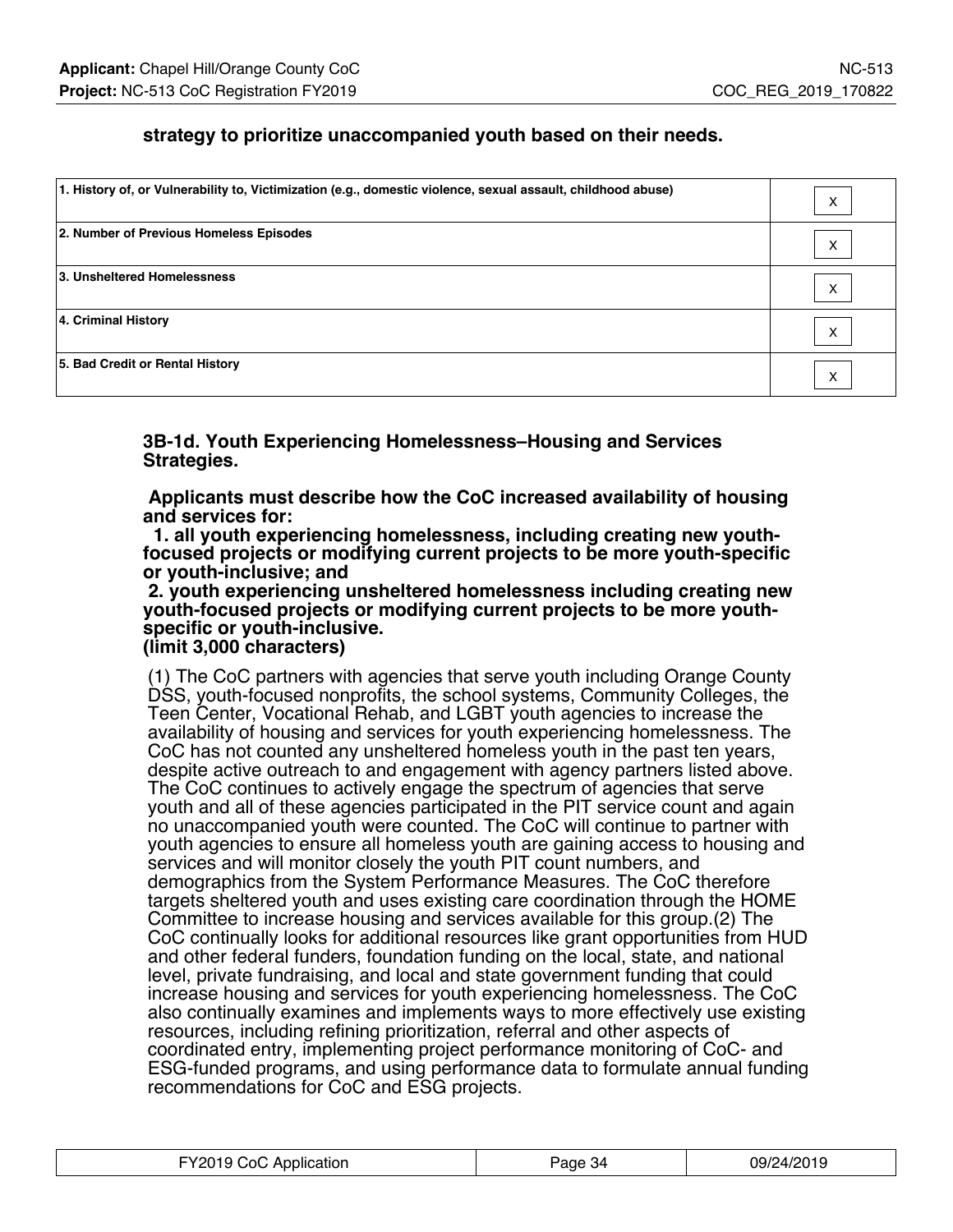## **strategy to prioritize unaccompanied youth based on their needs.**

| 1. History of, or Vulnerability to, Victimization (e.g., domestic violence, sexual assault, childhood abuse) | X                 |
|--------------------------------------------------------------------------------------------------------------|-------------------|
| 2. Number of Previous Homeless Episodes                                                                      | $\checkmark$<br>⌒ |
| 3. Unsheltered Homelessness                                                                                  | $\checkmark$<br>ㅅ |
| 4. Criminal History                                                                                          | $\checkmark$<br>∧ |
| 5. Bad Credit or Rental History                                                                              | $\checkmark$<br>⌒ |

**3B-1d. Youth Experiencing Homelessness–Housing and Services Strategies.**

 **Applicants must describe how the CoC increased availability of housing and services for:**

 **1. all youth experiencing homelessness, including creating new youthfocused projects or modifying current projects to be more youth-specific or youth-inclusive; and**

 **2. youth experiencing unsheltered homelessness including creating new youth-focused projects or modifying current projects to be more youthspecific or youth-inclusive.**

**(limit 3,000 characters)**

(1) The CoC partners with agencies that serve youth including Orange County DSS, youth-focused nonprofits, the school systems, Community Colleges, the Teen Center, Vocational Rehab, and LGBT youth agencies to increase the availability of housing and services for youth experiencing homelessness. The CoC has not counted any unsheltered homeless youth in the past ten years, despite active outreach to and engagement with agency partners listed above. The CoC continues to actively engage the spectrum of agencies that serve youth and all of these agencies participated in the PIT service count and again no unaccompanied youth were counted. The CoC will continue to partner with youth agencies to ensure all homeless youth are gaining access to housing and services and will monitor closely the youth PIT count numbers, and demographics from the System Performance Measures. The CoC therefore targets sheltered youth and uses existing care coordination through the HOME Committee to increase housing and services available for this group.(2) The CoC continually looks for additional resources like grant opportunities from HUD and other federal funders, foundation funding on the local, state, and national level, private fundraising, and local and state government funding that could increase housing and services for youth experiencing homelessness. The CoC also continually examines and implements ways to more effectively use existing resources, including refining prioritization, referral and other aspects of coordinated entry, implementing project performance monitoring of CoC- and ESG-funded programs, and using performance data to formulate annual funding recommendations for CoC and ESG projects.

| FY2019 CoC Application | Page 34 | 09/24/2019 |
|------------------------|---------|------------|
|------------------------|---------|------------|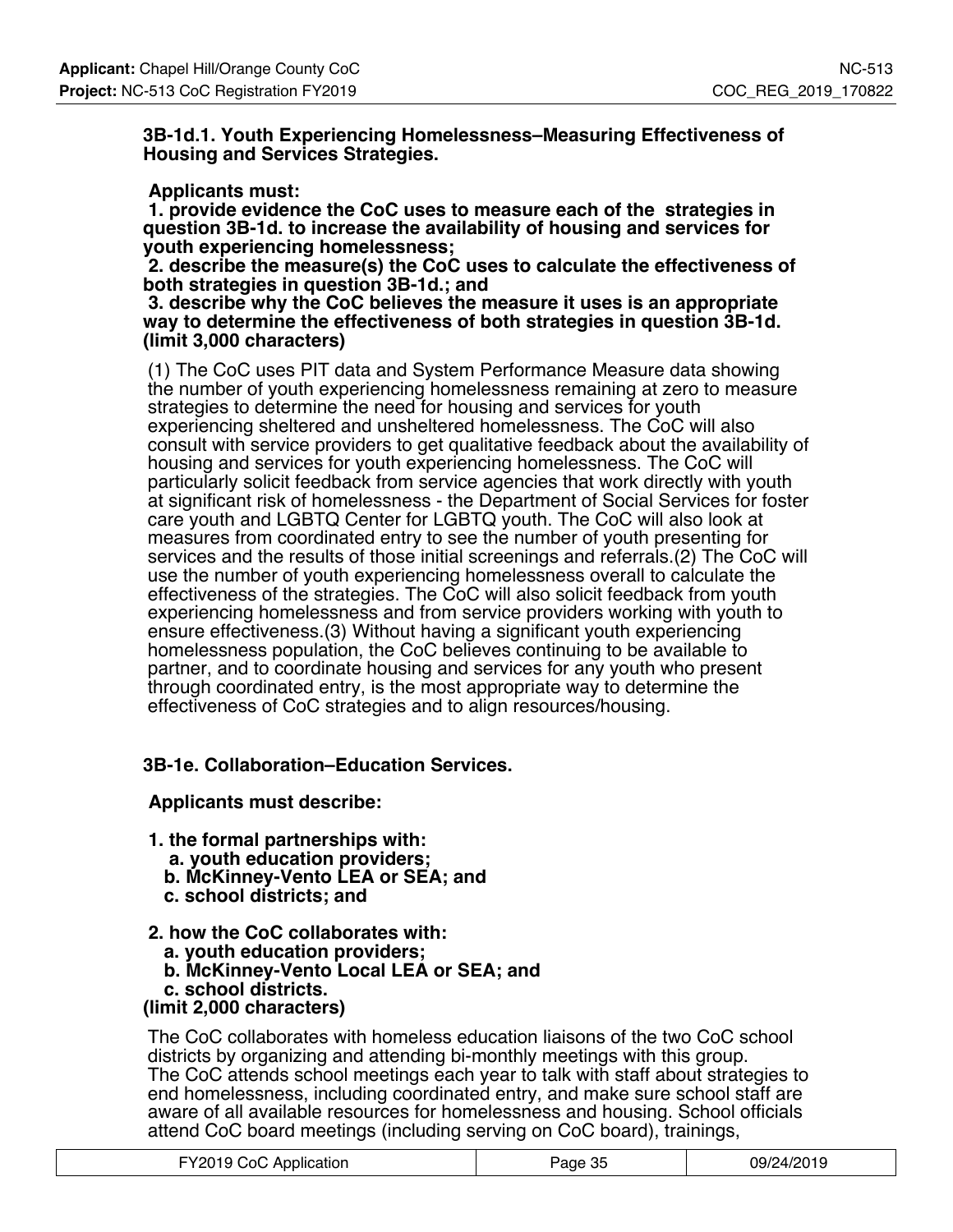**3B-1d.1. Youth Experiencing Homelessness–Measuring Effectiveness of Housing and Services Strategies.**

#### **Applicants must:**

 **1. provide evidence the CoC uses to measure each of the strategies in question 3B-1d. to increase the availability of housing and services for youth experiencing homelessness;**

 **2. describe the measure(s) the CoC uses to calculate the effectiveness of both strategies in question 3B-1d.; and**

 **3. describe why the CoC believes the measure it uses is an appropriate way to determine the effectiveness of both strategies in question 3B-1d. (limit 3,000 characters)**

(1) The CoC uses PIT data and System Performance Measure data showing the number of youth experiencing homelessness remaining at zero to measure strategies to determine the need for housing and services for youth experiencing sheltered and unsheltered homelessness. The CoC will also consult with service providers to get qualitative feedback about the availability of housing and services for youth experiencing homelessness. The CoC will particularly solicit feedback from service agencies that work directly with youth at significant risk of homelessness - the Department of Social Services for foster care youth and LGBTQ Center for LGBTQ youth. The CoC will also look at measures from coordinated entry to see the number of youth presenting for services and the results of those initial screenings and referrals.(2) The CoC will use the number of youth experiencing homelessness overall to calculate the effectiveness of the strategies. The CoC will also solicit feedback from youth experiencing homelessness and from service providers working with youth to ensure effectiveness.(3) Without having a significant youth experiencing homelessness population, the CoC believes continuing to be available to partner, and to coordinate housing and services for any youth who present through coordinated entry, is the most appropriate way to determine the effectiveness of CoC strategies and to align resources/housing.

### **3B-1e. Collaboration–Education Services.**

### **Applicants must describe:**

- **1. the formal partnerships with:**
	- **a. youth education providers;**
	- **b. McKinney-Vento LEA or SEA; and**
	- **c. school districts; and**

### **2. how the CoC collaborates with:**

- **a. youth education providers;**
- **b. McKinney-Vento Local LEA or SEA; and**
- **c. school districts.**

### **(limit 2,000 characters)**

The CoC collaborates with homeless education liaisons of the two CoC school districts by organizing and attending bi-monthly meetings with this group. The CoC attends school meetings each year to talk with staff about strategies to end homelessness, including coordinated entry, and make sure school staff are aware of all available resources for homelessness and housing. School officials attend CoC board meetings (including serving on CoC board), trainings,

| FY2019 CoC Application | Page 35 | 09/24/2019 |
|------------------------|---------|------------|
|------------------------|---------|------------|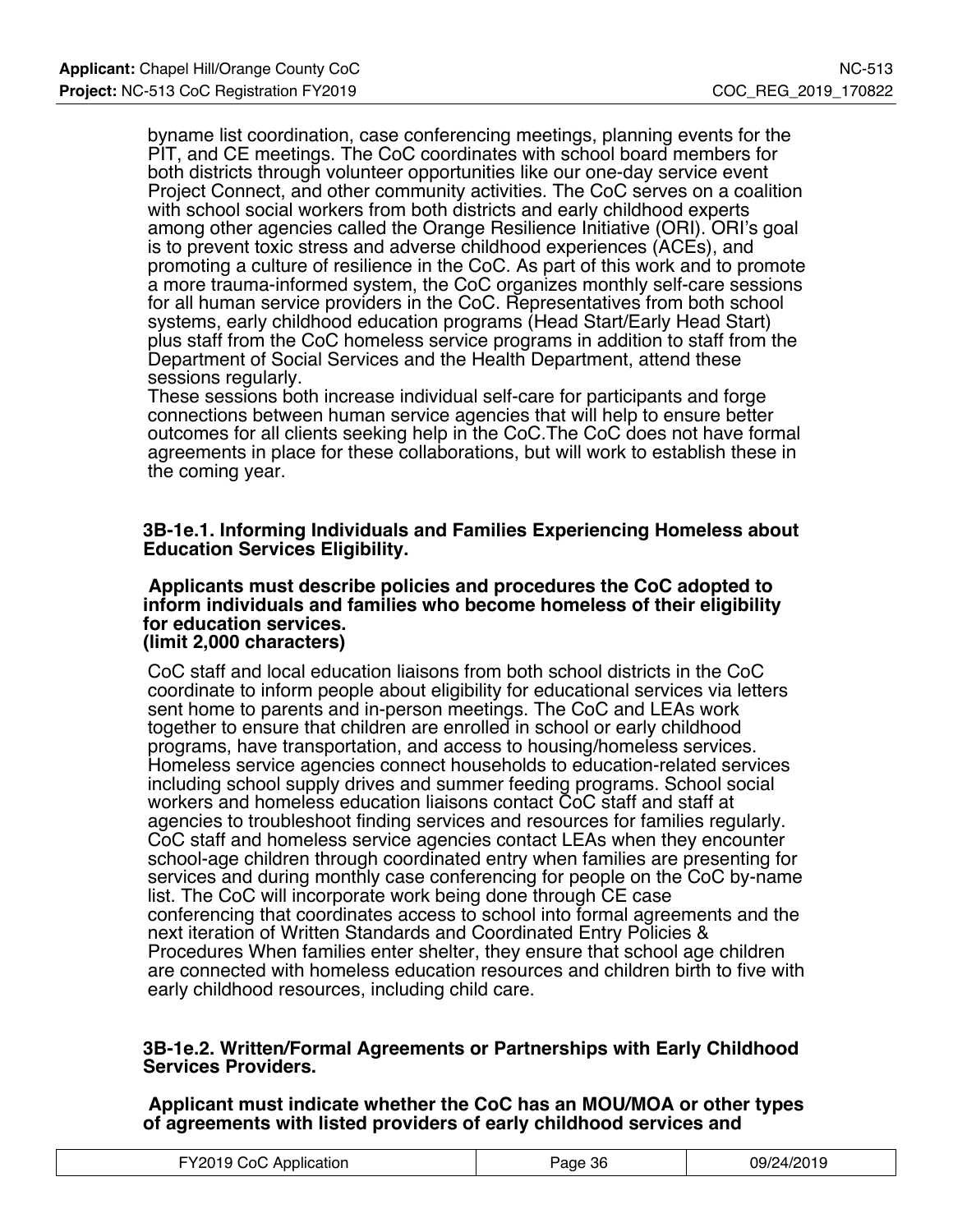byname list coordination, case conferencing meetings, planning events for the PIT, and CE meetings. The CoC coordinates with school board members for both districts through volunteer opportunities like our one-day service event Project Connect, and other community activities. The CoC serves on a coalition with school social workers from both districts and early childhood experts among other agencies called the Orange Resilience Initiative (ORI). ORI's goal is to prevent toxic stress and adverse childhood experiences (ACEs), and promoting a culture of resilience in the CoC. As part of this work and to promote a more trauma-informed system, the CoC organizes monthly self-care sessions for all human service providers in the CoC. Representatives from both school systems, early childhood education programs (Head Start/Early Head Start) plus staff from the CoC homeless service programs in addition to staff from the Department of Social Services and the Health Department, attend these sessions regularly.

These sessions both increase individual self-care for participants and forge connections between human service agencies that will help to ensure better outcomes for all clients seeking help in the CoC.The CoC does not have formal agreements in place for these collaborations, but will work to establish these in the coming year.

#### **3B-1e.1. Informing Individuals and Families Experiencing Homeless about Education Services Eligibility.**

#### **Applicants must describe policies and procedures the CoC adopted to inform individuals and families who become homeless of their eligibility for education services. (limit 2,000 characters)**

CoC staff and local education liaisons from both school districts in the CoC coordinate to inform people about eligibility for educational services via letters sent home to parents and in-person meetings. The CoC and LEAs work together to ensure that children are enrolled in school or early childhood programs, have transportation, and access to housing/homeless services. Homeless service agencies connect households to education-related services including school supply drives and summer feeding programs. School social workers and homeless education liaisons contact CoC staff and staff at agencies to troubleshoot finding services and resources for families regularly. CoC staff and homeless service agencies contact LEAs when they encounter school-age children through coordinated entry when families are presenting for services and during monthly case conferencing for people on the CoC by-name list. The CoC will incorporate work being done through CE case conferencing that coordinates access to school into formal agreements and the next iteration of Written Standards and Coordinated Entry Policies & Procedures When families enter shelter, they ensure that school age children are connected with homeless education resources and children birth to five with early childhood resources, including child care.

#### **3B-1e.2. Written/Formal Agreements or Partnerships with Early Childhood Services Providers.**

 **Applicant must indicate whether the CoC has an MOU/MOA or other types of agreements with listed providers of early childhood services and**

| FY2019 CoC Application | Page 36 | 09/24/2019 |
|------------------------|---------|------------|
|------------------------|---------|------------|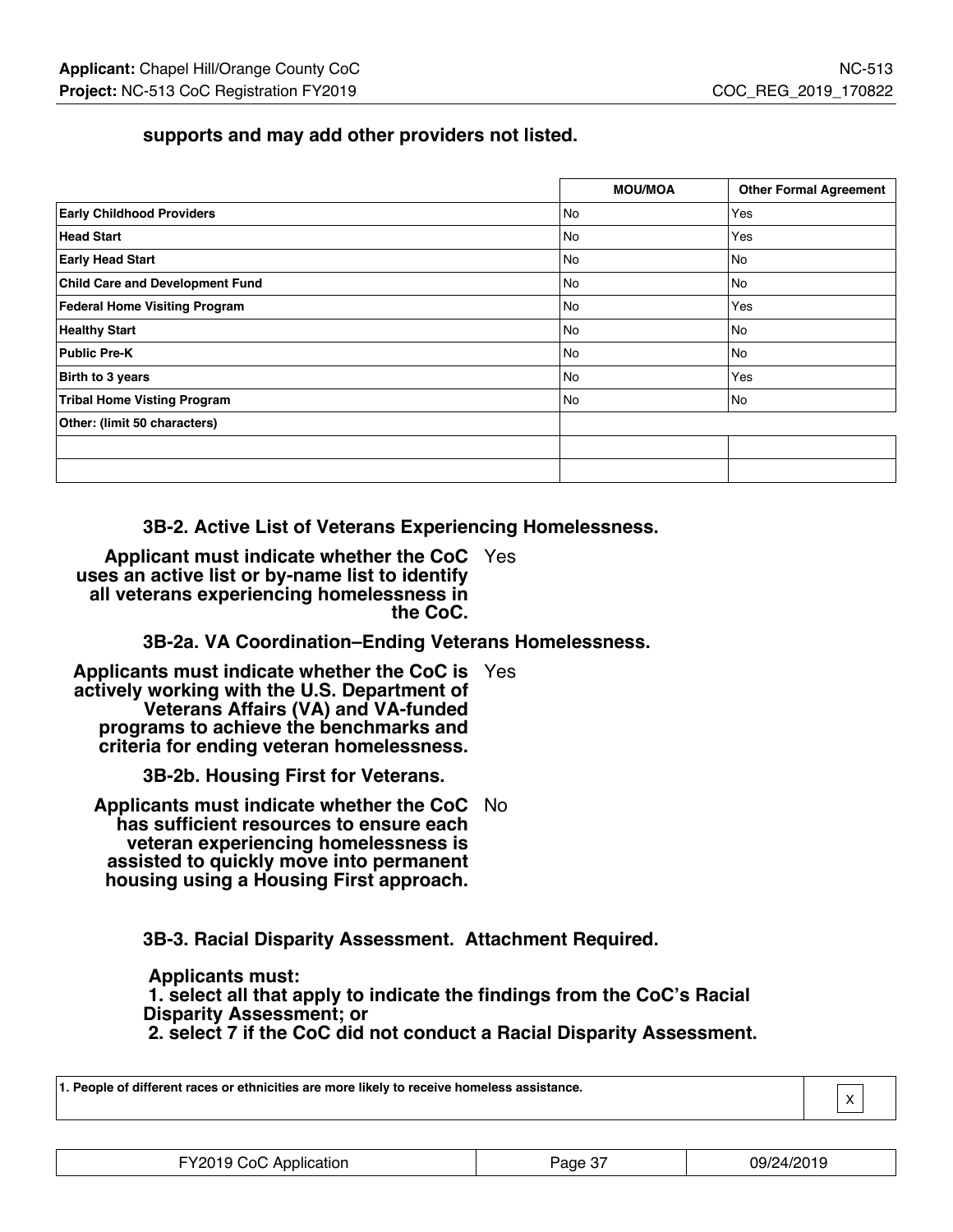## **supports and may add other providers not listed.**

|                                        | <b>MOU/MOA</b> | <b>Other Formal Agreement</b> |
|----------------------------------------|----------------|-------------------------------|
| <b>Early Childhood Providers</b>       | No             | Yes                           |
| <b>Head Start</b>                      | No             | Yes                           |
| <b>Early Head Start</b>                | No             | No.                           |
| <b>Child Care and Development Fund</b> | No             | No                            |
| <b>Federal Home Visiting Program</b>   | No             | Yes                           |
| <b>Healthy Start</b>                   | <b>No</b>      | No                            |
| <b>Public Pre-K</b>                    | No             | No                            |
| Birth to 3 years                       | No             | Yes                           |
| <b>Tribal Home Visting Program</b>     | No             | No.                           |
| Other: (limit 50 characters)           |                |                               |
|                                        |                |                               |
|                                        |                |                               |

**3B-2. Active List of Veterans Experiencing Homelessness.**

**Applicant must indicate whether the CoC** Yes **uses an active list or by-name list to identify all veterans experiencing homelessness in the CoC.**

**3B-2a. VA Coordination–Ending Veterans Homelessness.**

**Applicants must indicate whether the CoC is** Yes **actively working with the U.S. Department of Veterans Affairs (VA) and VA-funded programs to achieve the benchmarks and criteria for ending veteran homelessness.**

**3B-2b. Housing First for Veterans.**

**Applicants must indicate whether the CoC** No **has sufficient resources to ensure each veteran experiencing homelessness is assisted to quickly move into permanent housing using a Housing First approach.**

**3B-3. Racial Disparity Assessment. Attachment Required.**

 **Applicants must: 1. select all that apply to indicate the findings from the CoC's Racial Disparity Assessment; or 2. select 7 if the CoC did not conduct a Racial Disparity Assessment.**

| 1. People of different races or ethnicities are more likely to receive homeless assistance. | $\sqrt{\mathbf{x}}$ |  |
|---------------------------------------------------------------------------------------------|---------------------|--|
|                                                                                             |                     |  |

 $\lfloor \frac{\wedge}{\cdot} \rfloor$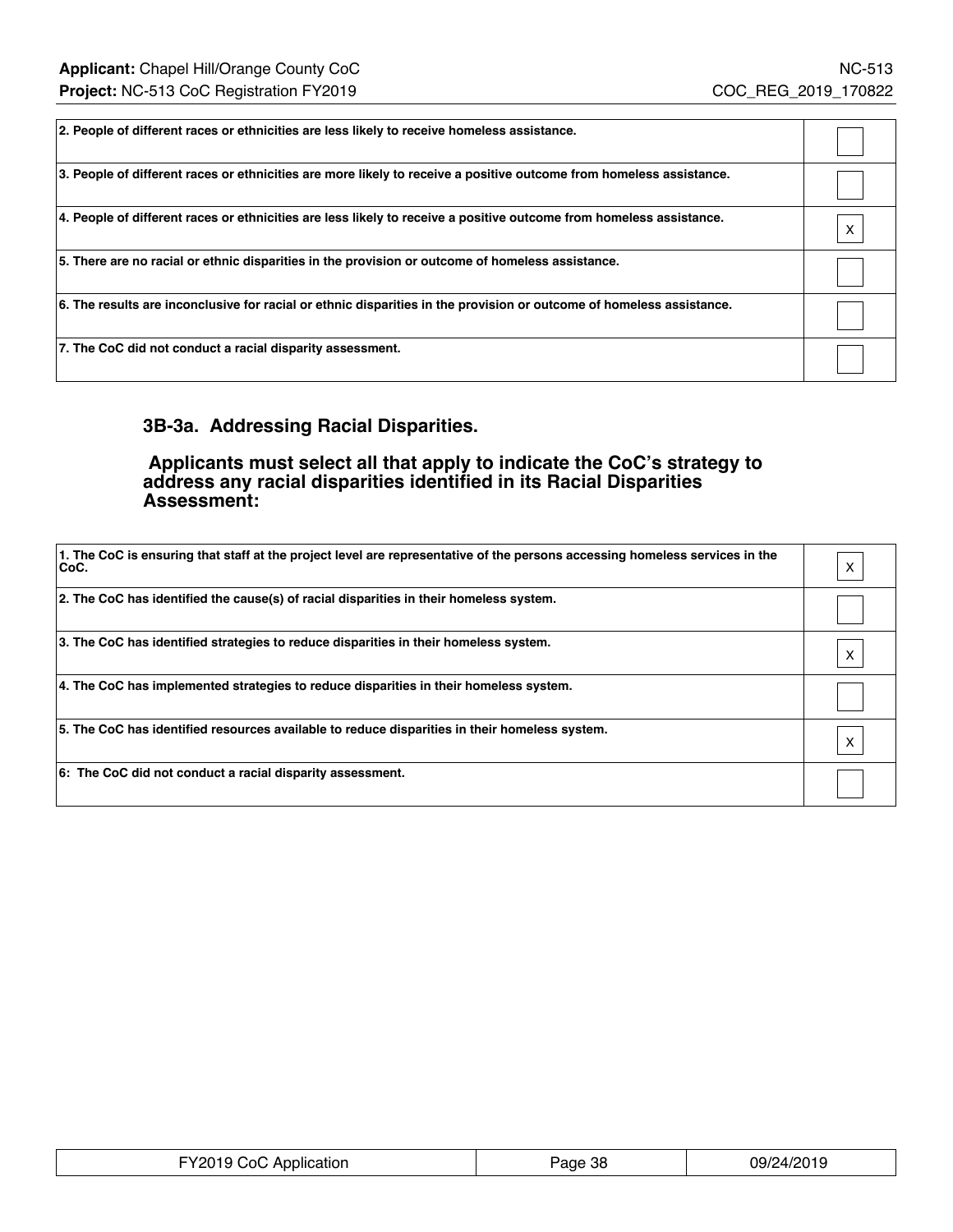| 2. People of different races or ethnicities are less likely to receive homeless assistance.                          |                           |
|----------------------------------------------------------------------------------------------------------------------|---------------------------|
| 3. People of different races or ethnicities are more likely to receive a positive outcome from homeless assistance.  |                           |
| 4. People of different races or ethnicities are less likely to receive a positive outcome from homeless assistance.  | $\boldsymbol{\mathsf{X}}$ |
| 5. There are no racial or ethnic disparities in the provision or outcome of homeless assistance.                     |                           |
| 6. The results are inconclusive for racial or ethnic disparities in the provision or outcome of homeless assistance. |                           |
| 7. The CoC did not conduct a racial disparity assessment.                                                            |                           |

## **3B-3a. Addressing Racial Disparities.**

 **Applicants must select all that apply to indicate the CoC's strategy to address any racial disparities identified in its Racial Disparities Assessment:**

| 1. The CoC is ensuring that staff at the project level are representative of the persons accessing homeless services in the<br>CoC. | x |
|-------------------------------------------------------------------------------------------------------------------------------------|---|
| 2. The CoC has identified the cause(s) of racial disparities in their homeless system.                                              |   |
| 3. The CoC has identified strategies to reduce disparities in their homeless system.                                                |   |
| 4. The CoC has implemented strategies to reduce disparities in their homeless system.                                               |   |
| 5. The CoC has identified resources available to reduce disparities in their homeless system.                                       | X |
| 6: The CoC did not conduct a racial disparity assessment.                                                                           |   |

| FY2019 CoC Application | Page 38 | 09/24/2019 |
|------------------------|---------|------------|
|------------------------|---------|------------|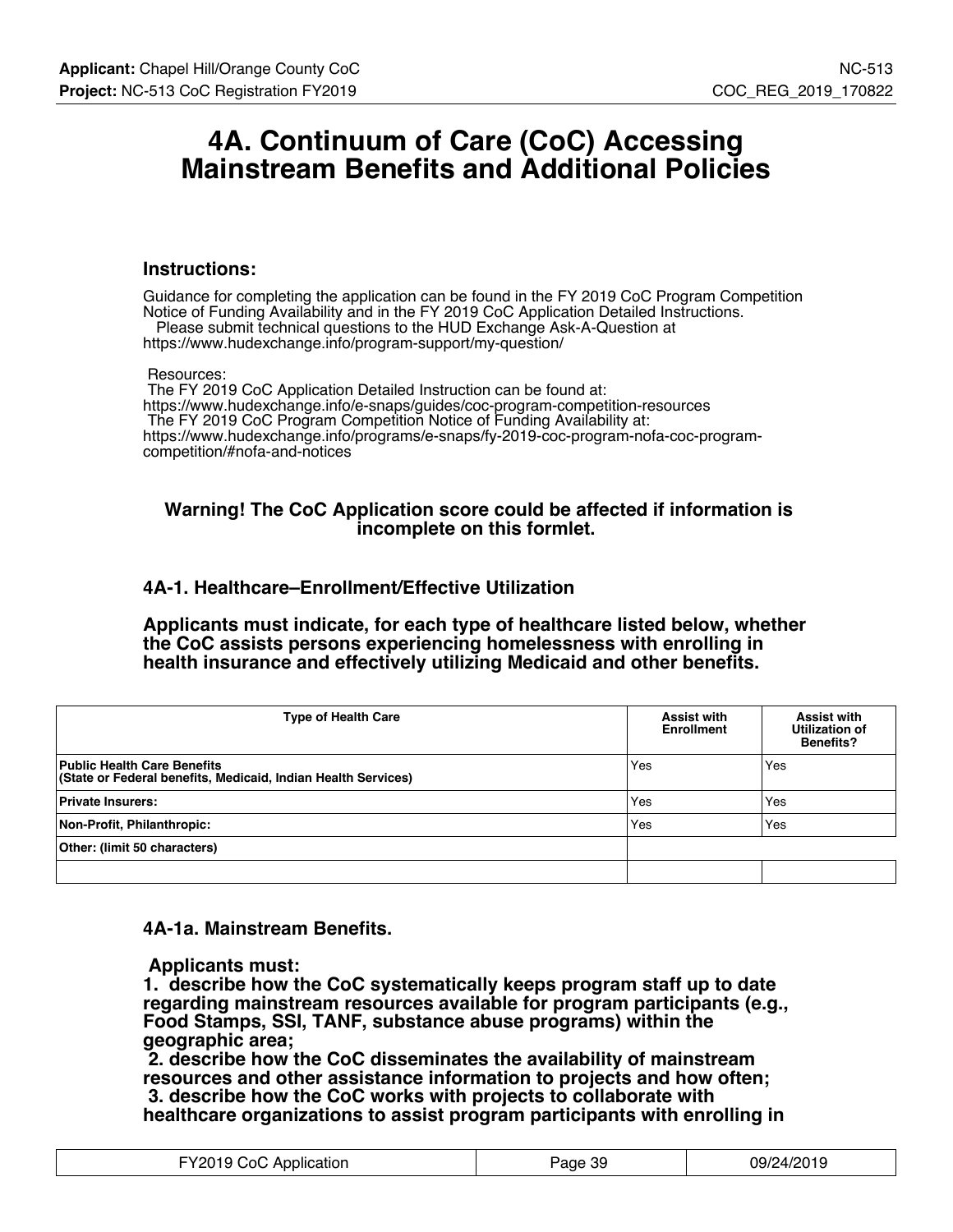## **4A. Continuum of Care (CoC) Accessing Mainstream Benefits and Additional Policies**

#### **Instructions:**

Guidance for completing the application can be found in the FY 2019 CoC Program Competition Notice of Funding Availability and in the FY 2019 CoC Application Detailed Instructions. Please submit technical questions to the HUD Exchange Ask-A-Question at

https://www.hudexchange.info/program-support/my-question/

#### Resources:

 The FY 2019 CoC Application Detailed Instruction can be found at: https://www.hudexchange.info/e-snaps/guides/coc-program-competition-resources The FY 2019 CoC Program Competition Notice of Funding Availability at: https://www.hudexchange.info/programs/e-snaps/fy-2019-coc-program-nofa-coc-programcompetition/#nofa-and-notices

#### **Warning! The CoC Application score could be affected if information is incomplete on this formlet.**

#### **4A-1. Healthcare–Enrollment/Effective Utilization**

**Applicants must indicate, for each type of healthcare listed below, whether the CoC assists persons experiencing homelessness with enrolling in health insurance and effectively utilizing Medicaid and other benefits.**

| <b>Type of Health Care</b>                                                                          | <b>Assist with</b><br><b>Enrollment</b> | <b>Assist with</b><br>Utilization of<br><b>Benefits?</b> |
|-----------------------------------------------------------------------------------------------------|-----------------------------------------|----------------------------------------------------------|
| <b>Public Health Care Benefits</b><br>(State or Federal benefits, Medicaid, Indian Health Services) | Yes                                     | Yes                                                      |
| <b>Private Insurers:</b>                                                                            | Yes                                     | Yes                                                      |
| Non-Profit, Philanthropic:                                                                          | Yes                                     | Yes                                                      |
| Other: (limit 50 characters)                                                                        |                                         |                                                          |
|                                                                                                     |                                         |                                                          |

#### **4A-1a. Mainstream Benefits.**

 **Applicants must:**

**1. describe how the CoC systematically keeps program staff up to date regarding mainstream resources available for program participants (e.g., Food Stamps, SSI, TANF, substance abuse programs) within the geographic area;**

 **2. describe how the CoC disseminates the availability of mainstream resources and other assistance information to projects and how often; 3. describe how the CoC works with projects to collaborate with healthcare organizations to assist program participants with enrolling in**

| FY2019 CoC Application | Page 39 | 09/24/2019 |
|------------------------|---------|------------|
|------------------------|---------|------------|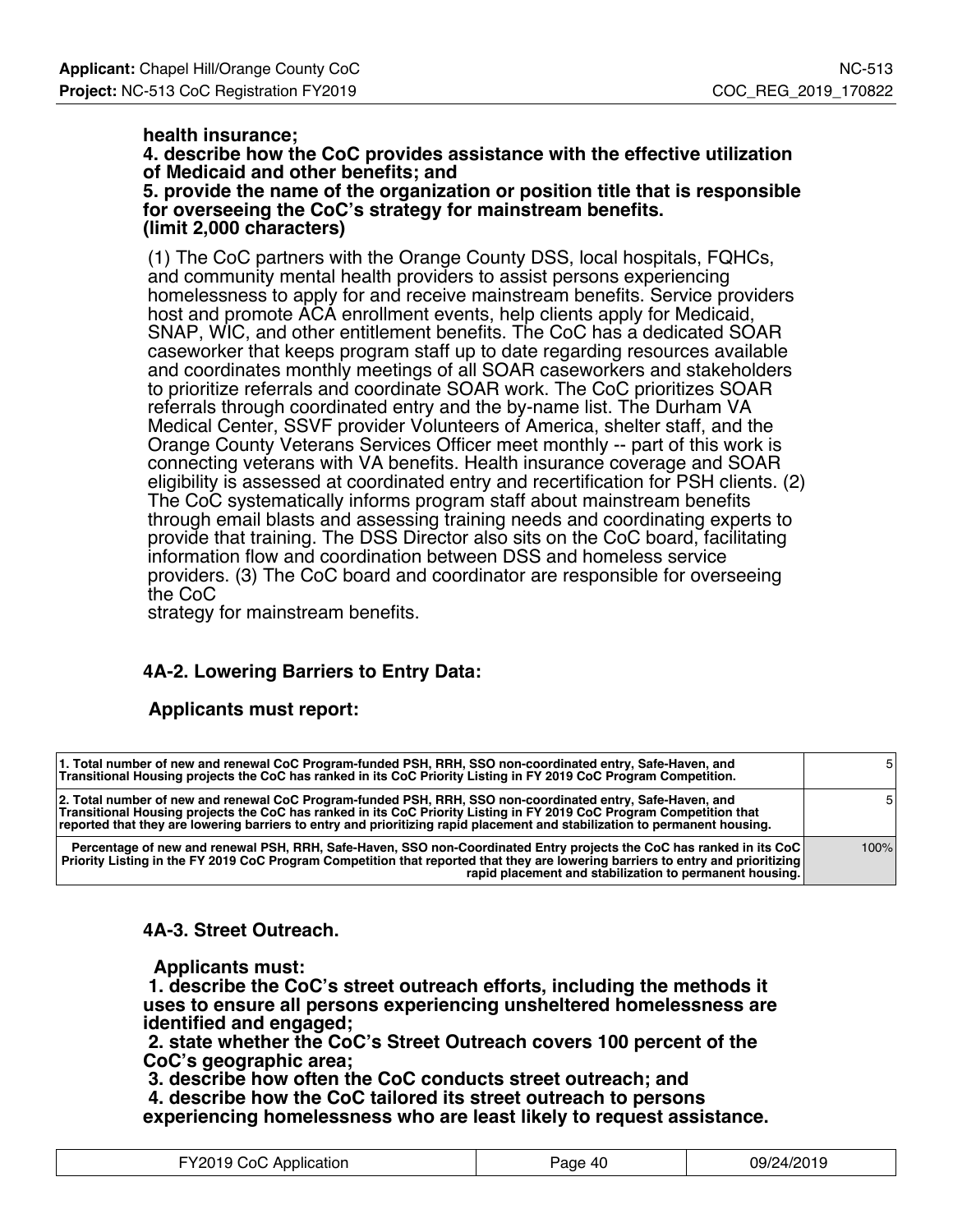#### **health insurance;**

**4. describe how the CoC provides assistance with the effective utilization of Medicaid and other benefits; and**

**5. provide the name of the organization or position title that is responsible for overseeing the CoC's strategy for mainstream benefits. (limit 2,000 characters)**

(1) The CoC partners with the Orange County DSS, local hospitals, FQHCs, and community mental health providers to assist persons experiencing homelessness to apply for and receive mainstream benefits. Service providers host and promote ACA enrollment events, help clients apply for Medicaid, SNAP, WIC, and other entitlement benefits. The CoC has a dedicated SOAR caseworker that keeps program staff up to date regarding resources available and coordinates monthly meetings of all SOAR caseworkers and stakeholders to prioritize referrals and coordinate SOAR work. The CoC prioritizes SOAR referrals through coordinated entry and the by-name list. The Durham VA Medical Center, SSVF provider Volunteers of America, shelter staff, and the Orange County Veterans Services Officer meet monthly -- part of this work is connecting veterans with VA benefits. Health insurance coverage and SOAR eligibility is assessed at coordinated entry and recertification for PSH clients. (2) The CoC systematically informs program staff about mainstream benefits through email blasts and assessing training needs and coordinating experts to provide that training. The DSS Director also sits on the CoC board, facilitating information flow and coordination between DSS and homeless service providers. (3) The CoC board and coordinator are responsible for overseeing the CoC

strategy for mainstream benefits.

## **4A-2. Lowering Barriers to Entry Data:**

### **Applicants must report:**

| 1. Total number of new and renewal CoC Program-funded PSH, RRH, SSO non-coordinated entry, Safe-Haven, and<br>Transitional Housing projects the CoC has ranked in its CoC Priority Listing in FY 2019 CoC Program Competition.                                                                                                                                   | 51   |
|------------------------------------------------------------------------------------------------------------------------------------------------------------------------------------------------------------------------------------------------------------------------------------------------------------------------------------------------------------------|------|
| 2. Total number of new and renewal CoC Program-funded PSH, RRH, SSO non-coordinated entry, Safe-Haven, and<br>Transitional Housing projects the CoC has ranked in its CoC Priority Listing in FY 2019 CoC Program Competition that<br>reported that they are lowering barriers to entry and prioritizing rapid placement and stabilization to permanent housing. | 51   |
| Percentage of new and renewal PSH, RRH, Safe-Haven, SSO non-Coordinated Entry projects the CoC has ranked in its CoC<br>Priority Listing in the FY 2019 CoC Program Competition that reported that they are lowering barriers to entry and prioritizing<br>rapid placement and stabilization to permanent housing.                                               | 100% |

**4A-3. Street Outreach.**

 **Applicants must:**

 **1. describe the CoC's street outreach efforts, including the methods it uses to ensure all persons experiencing unsheltered homelessness are identified and engaged;**

 **2. state whether the CoC's Street Outreach covers 100 percent of the CoC's geographic area;**

 **3. describe how often the CoC conducts street outreach; and**

 **4. describe how the CoC tailored its street outreach to persons experiencing homelessness who are least likely to request assistance.**

| FY2019 CoC Application | Page 40 | 09/24/2019 |
|------------------------|---------|------------|
|------------------------|---------|------------|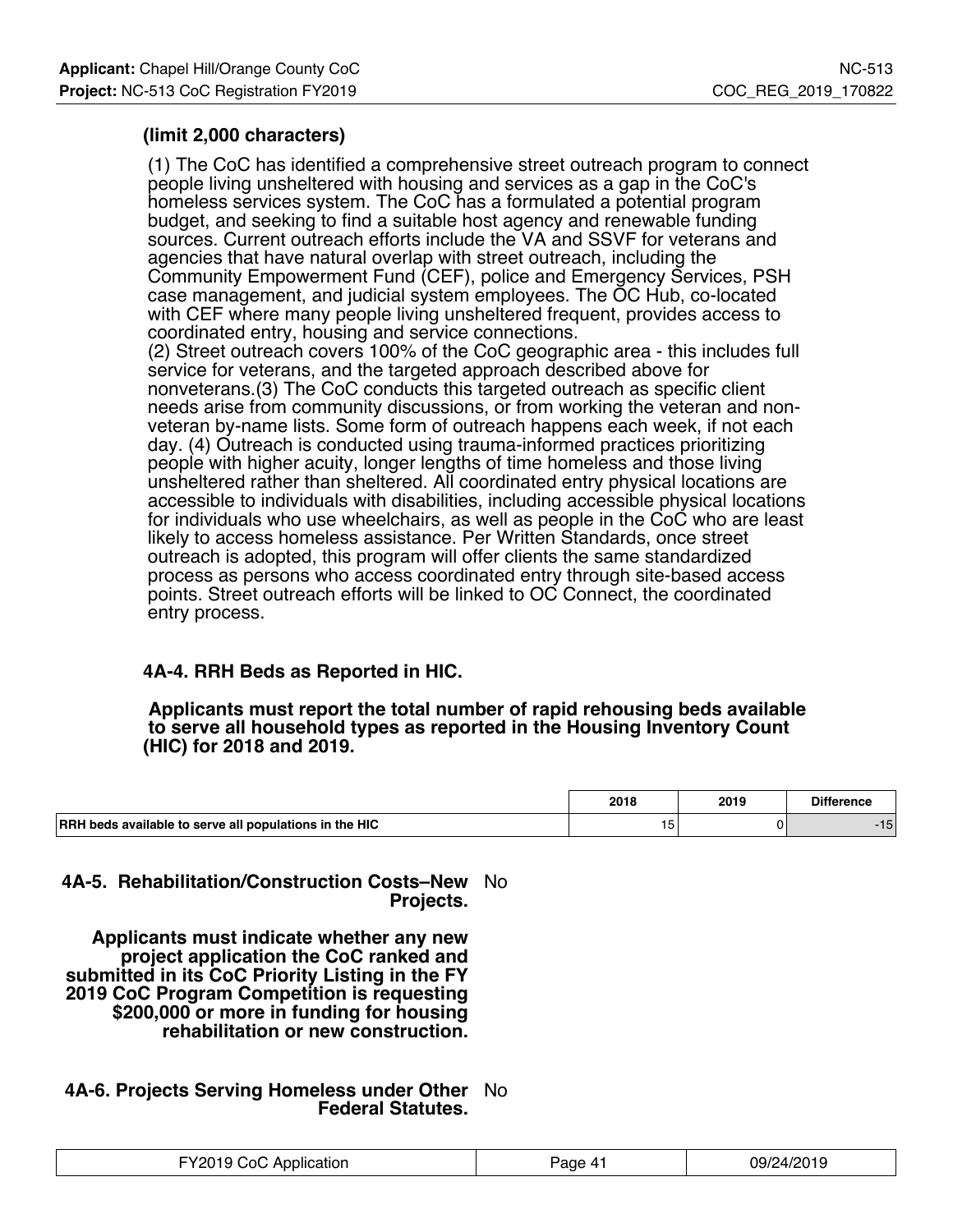## **(limit 2,000 characters)**

(1) The CoC has identified a comprehensive street outreach program to connect people living unsheltered with housing and services as a gap in the CoC's homeless services system. The CoC has a formulated a potential program budget, and seeking to find a suitable host agency and renewable funding sources. Current outreach efforts include the VA and SSVF for veterans and agencies that have natural overlap with street outreach, including the Community Empowerment Fund (CEF), police and Emergency Services, PSH case management, and judicial system employees. The OC Hub, co-located with CEF where many people living unsheltered frequent, provides access to coordinated entry, housing and service connections. (2) Street outreach covers 100% of the CoC geographic area - this includes full service for veterans, and the targeted approach described above for nonveterans.(3) The CoC conducts this targeted outreach as specific client needs arise from community discussions, or from working the veteran and nonveteran by-name lists. Some form of outreach happens each week, if not each day. (4) Outreach is conducted using trauma-informed practices prioritizing people with higher acuity, longer lengths of time homeless and those living unsheltered rather than sheltered. All coordinated entry physical locations are accessible to individuals with disabilities, including accessible physical locations for individuals who use wheelchairs, as well as people in the CoC who are least likely to access homeless assistance. Per Written Standards, once street outreach is adopted, this program will offer clients the same standardized process as persons who access coordinated entry through site-based access points. Street outreach efforts will be linked to OC Connect, the coordinated entry process.

## **4A-4. RRH Beds as Reported in HIC.**

 **Applicants must report the total number of rapid rehousing beds available to serve all household types as reported in the Housing Inventory Count (HIC) for 2018 and 2019.**

|                                                               | 2018 | 2019 | <b>Difference</b>       |
|---------------------------------------------------------------|------|------|-------------------------|
| <b>RRH</b> beds available to serve all populations in the HIC | : ت  |      | $\overline{ }$<br>- 10. |

### **4A-5. Rehabilitation/Construction Costs–New** No **Projects.**

 **Applicants must indicate whether any new project application the CoC ranked and submitted in its CoC Priority Listing in the FY 2019 CoC Program Competition is requesting \$200,000 or more in funding for housing rehabilitation or new construction.**

### **4A-6. Projects Serving Homeless under Other** No **Federal Statutes.**

| Application<br>-Y2019 CoC. | age 4 | 09/24/2019 |
|----------------------------|-------|------------|
|----------------------------|-------|------------|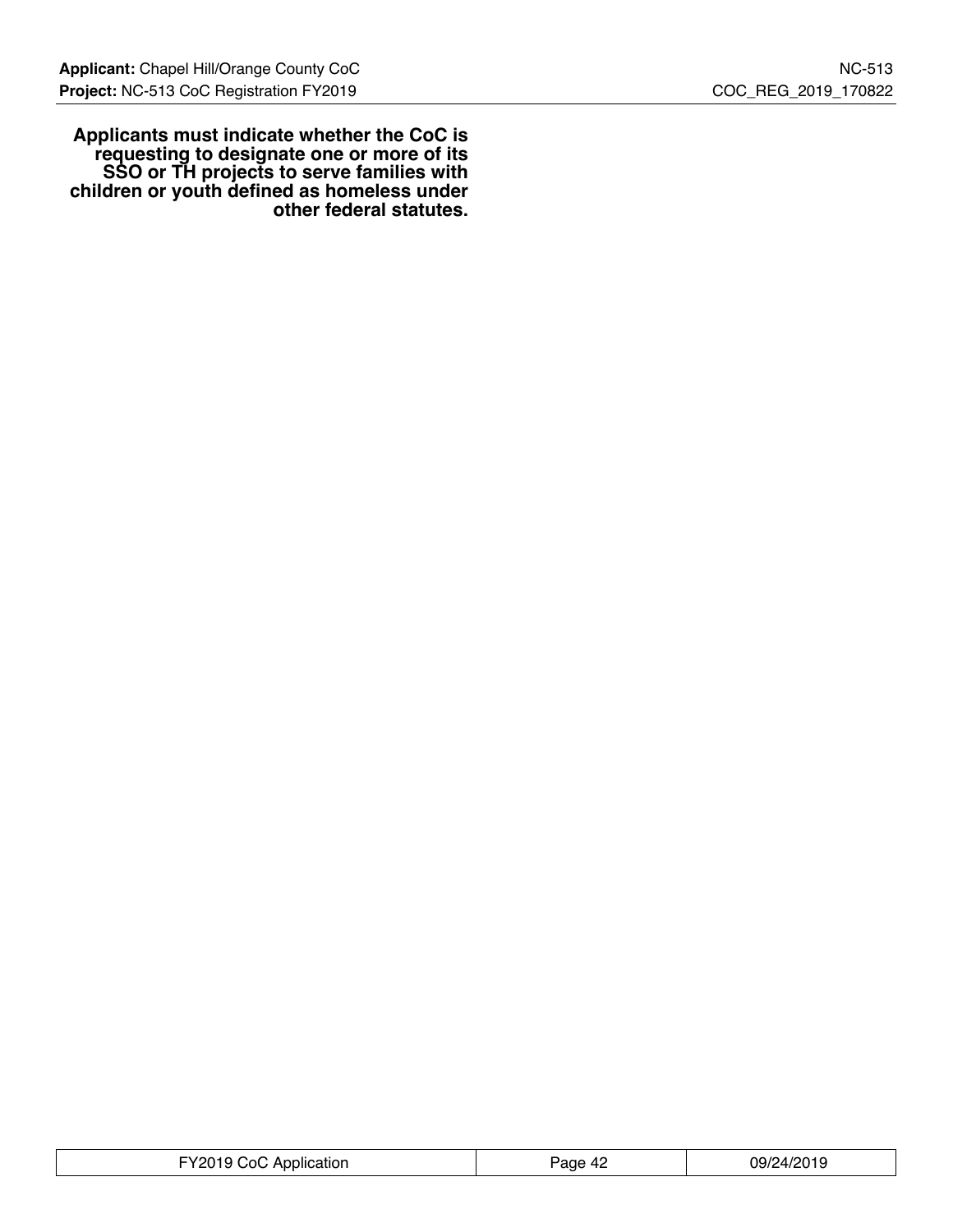**Applicants must indicate whether the CoC is requesting to designate one or more of its SSO or TH projects to serve families with children or youth defined as homeless under other federal statutes.**

| FY2019 CoC Application | 09/24/2019<br>Page 42 |  |
|------------------------|-----------------------|--|
|------------------------|-----------------------|--|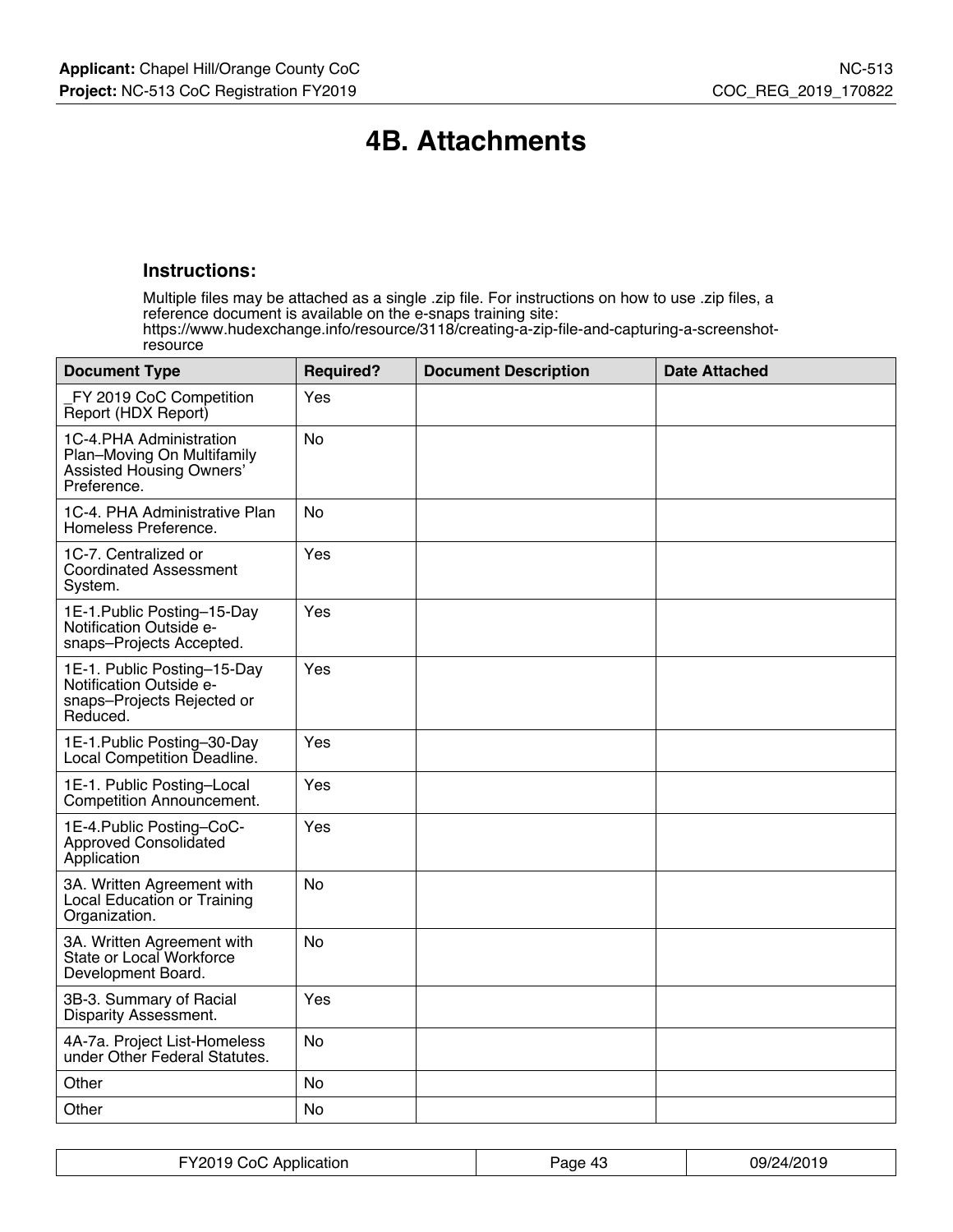## **4B. Attachments**

### **Instructions:**

Multiple files may be attached as a single .zip file. For instructions on how to use .zip files, a reference document is available on the e-snaps training site: https://www.hudexchange.info/resource/3118/creating-a-zip-file-and-capturing-a-screenshotresource

| <b>Document Type</b>                                                                                    | <b>Required?</b> | <b>Document Description</b> | <b>Date Attached</b> |
|---------------------------------------------------------------------------------------------------------|------------------|-----------------------------|----------------------|
| FY 2019 CoC Competition<br>Report (HDX Report)                                                          | Yes              |                             |                      |
| 1C-4.PHA Administration<br>Plan-Moving On Multifamily<br><b>Assisted Housing Owners'</b><br>Preference. | <b>No</b>        |                             |                      |
| 1C-4. PHA Administrative Plan<br>Homeless Preference.                                                   | N <sub>0</sub>   |                             |                      |
| 1C-7. Centralized or<br><b>Coordinated Assessment</b><br>System.                                        | Yes              |                             |                      |
| 1E-1. Public Posting-15-Day<br>Notification Outside e-<br>snaps-Projects Accepted.                      | Yes              |                             |                      |
| 1E-1. Public Posting-15-Day<br>Notification Outside e-<br>snaps-Projects Rejected or<br>Reduced.        | Yes              |                             |                      |
| 1E-1. Public Posting-30-Day<br>Local Competition Deadline.                                              | Yes              |                             |                      |
| 1E-1. Public Posting-Local<br>Competition Announcement.                                                 | Yes              |                             |                      |
| 1E-4. Public Posting-CoC-<br>Approved Consolidated<br>Application                                       | Yes              |                             |                      |
| 3A. Written Agreement with<br>Local Education or Training<br>Organization.                              | <b>No</b>        |                             |                      |
| 3A. Written Agreement with<br>State or Local Workforce<br>Development Board.                            | <b>No</b>        |                             |                      |
| 3B-3. Summary of Racial<br>Disparity Assessment.                                                        | Yes              |                             |                      |
| 4A-7a. Project List-Homeless<br>under Other Federal Statutes.                                           | <b>No</b>        |                             |                      |
| Other                                                                                                   | <b>No</b>        |                             |                      |
| Other                                                                                                   | <b>No</b>        |                             |                      |

| FY2019 CoC Application | Page 43 | 09/24/2019 |
|------------------------|---------|------------|
|------------------------|---------|------------|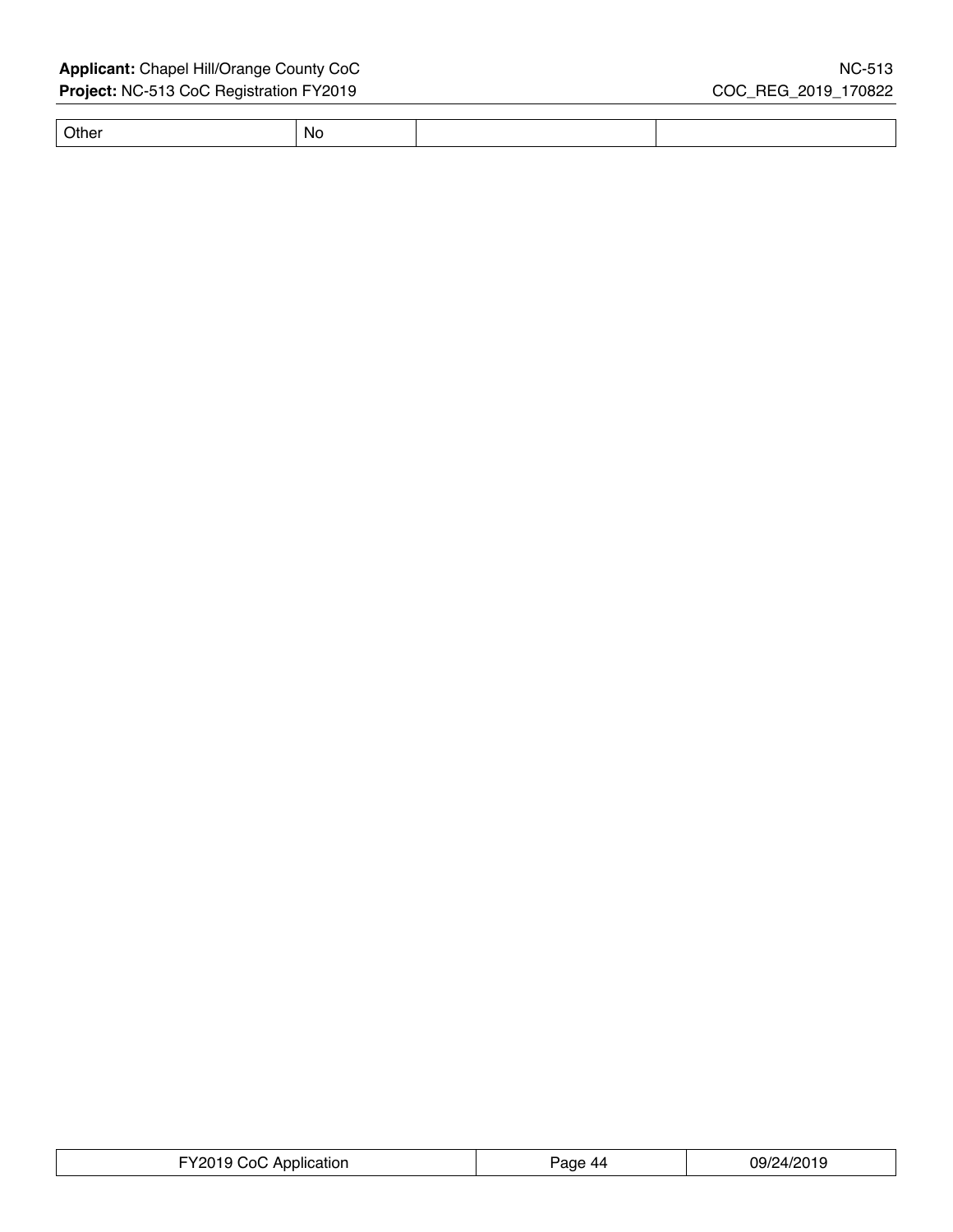## Applicant: Chapel Hill/Orange County CoC NC-513 **Project:** NC-513 CoC Registration FY2019 COC\_REG\_2019\_170822

Other No

| FY2019 CoC Application | Page 44 | 09/24/2019 |
|------------------------|---------|------------|
|------------------------|---------|------------|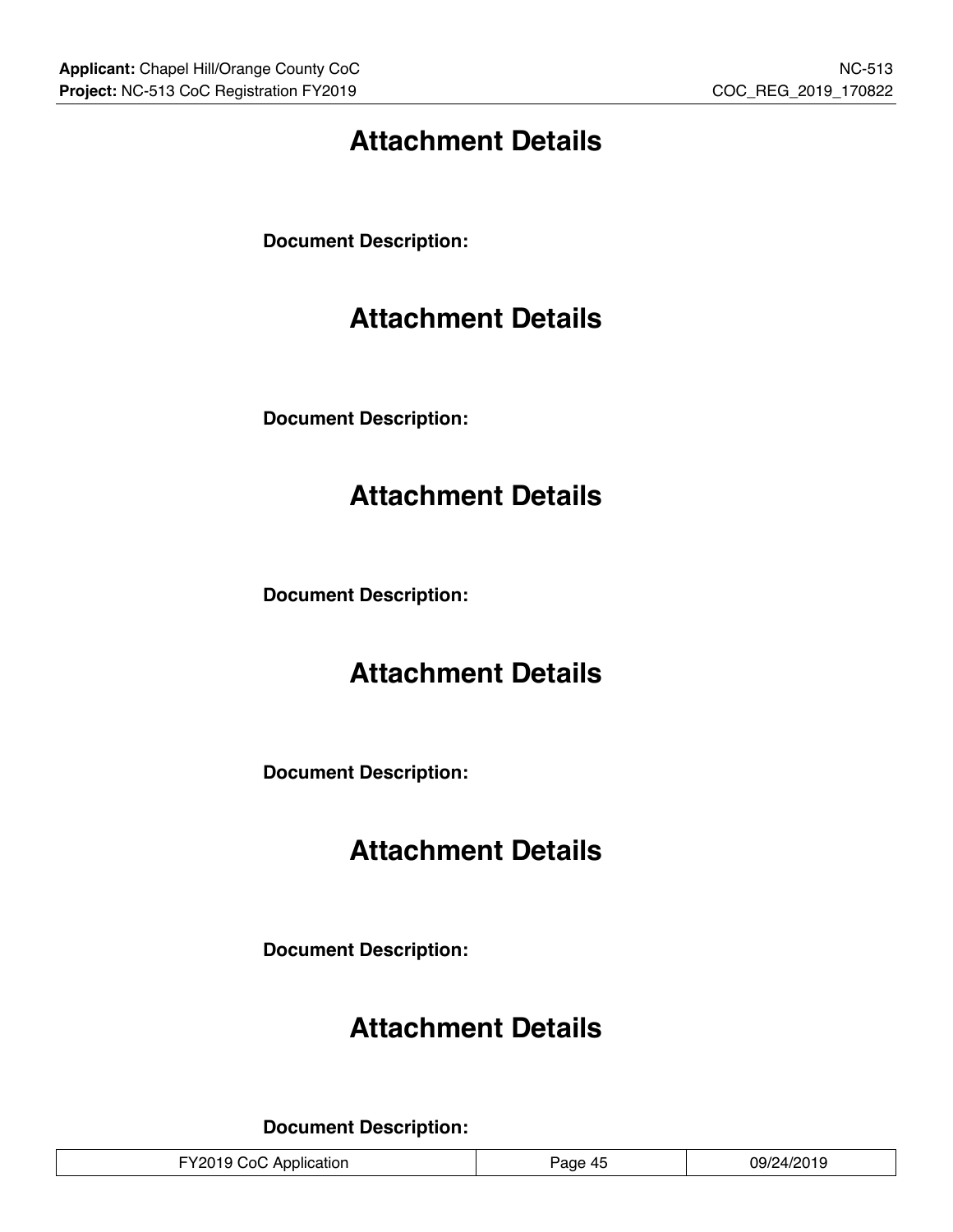## **Attachment Details**

**Document Description:**

## **Attachment Details**

**Document Description:**

## **Attachment Details**

**Document Description:**

## **Attachment Details**

**Document Description:**

## **Attachment Details**

**Document Description:**

## **Attachment Details**

**Document Description:**

| 09/24/2019<br>FY2019 CoC Application<br>Page 45 |
|-------------------------------------------------|
|-------------------------------------------------|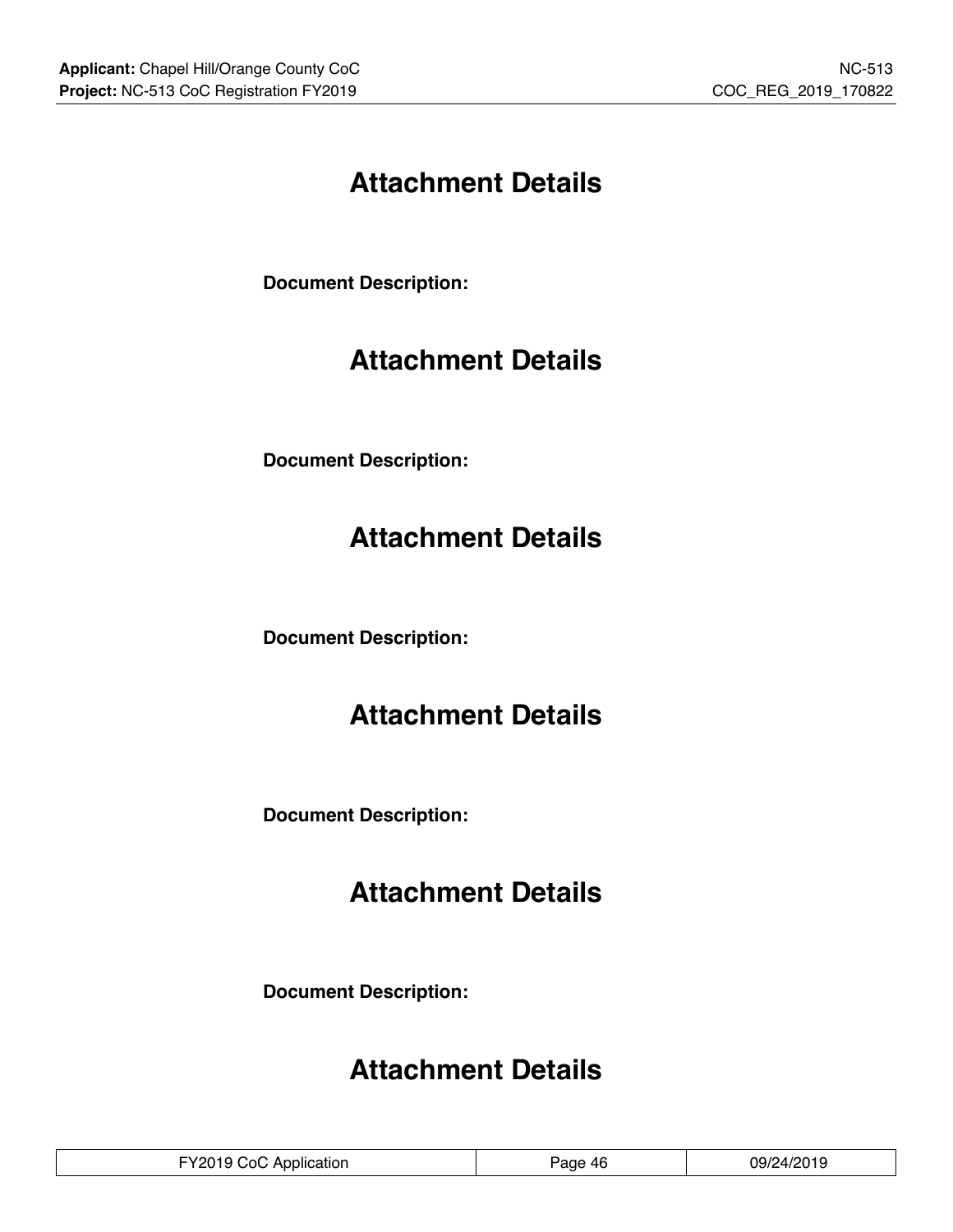## **Attachment Details**

**Document Description:**

# **Attachment Details**

**Document Description:**

## **Attachment Details**

**Document Description:**

## **Attachment Details**

**Document Description:**

## **Attachment Details**

**Document Description:**

## **Attachment Details**

| FY2019 CoC Application | Page 46 | 09/24/2019 |
|------------------------|---------|------------|
|------------------------|---------|------------|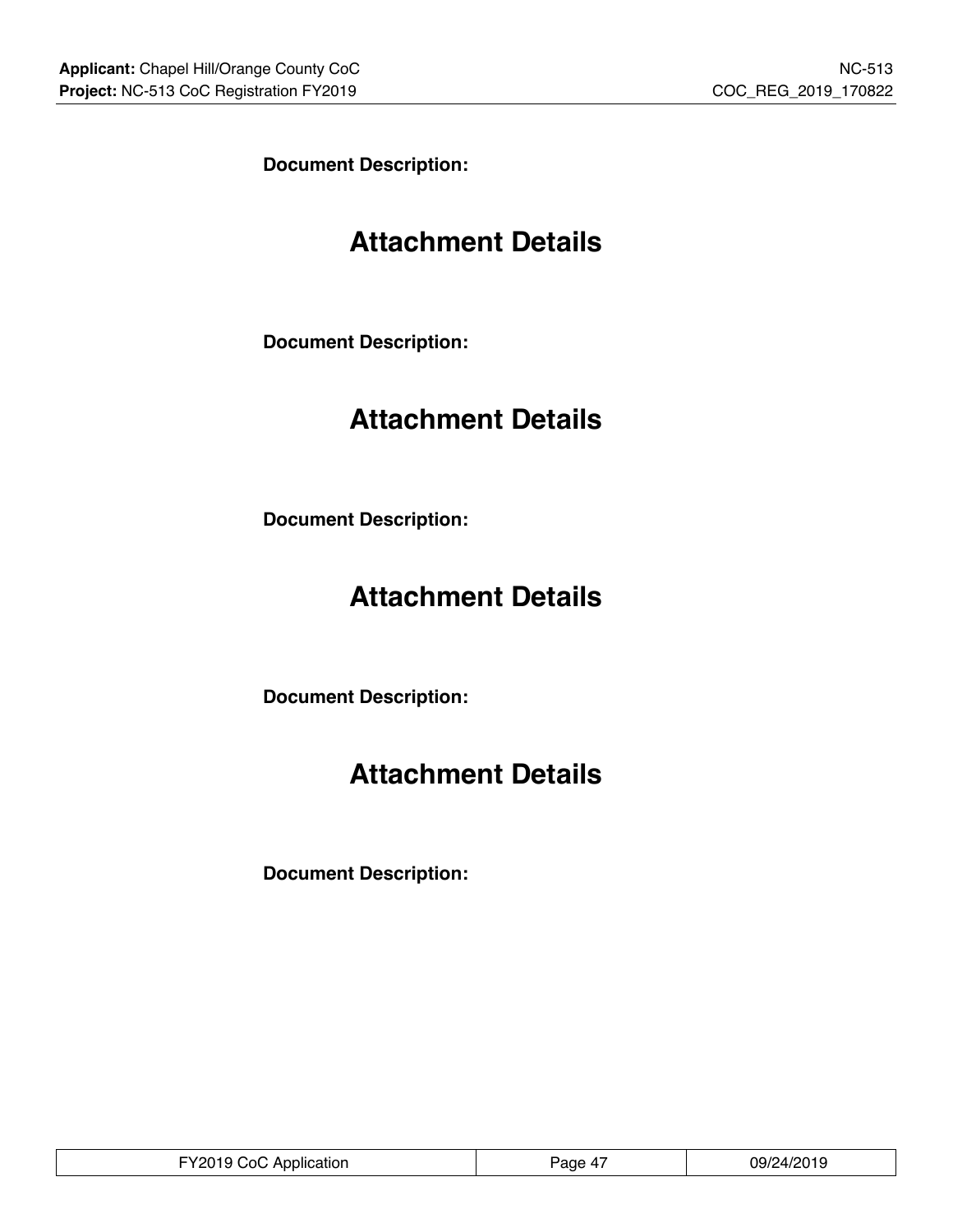**Document Description:**

## **Attachment Details**

**Document Description:**

## **Attachment Details**

**Document Description:**

## **Attachment Details**

**Document Description:**

## **Attachment Details**

**Document Description:**

 $\mathbb{L}$ 

| . Y CoC 1<br>Application<br>. .<br>. <del>.</del> | 'age<br>$\overline{ }$ | ח ו ח <i>ריו ו</i> ריו<br>79,<br>. .<br>$\sim$ $\sim$ $\sim$ $\sim$ $\sim$ $\sim$ |
|---------------------------------------------------|------------------------|-----------------------------------------------------------------------------------|
|---------------------------------------------------|------------------------|-----------------------------------------------------------------------------------|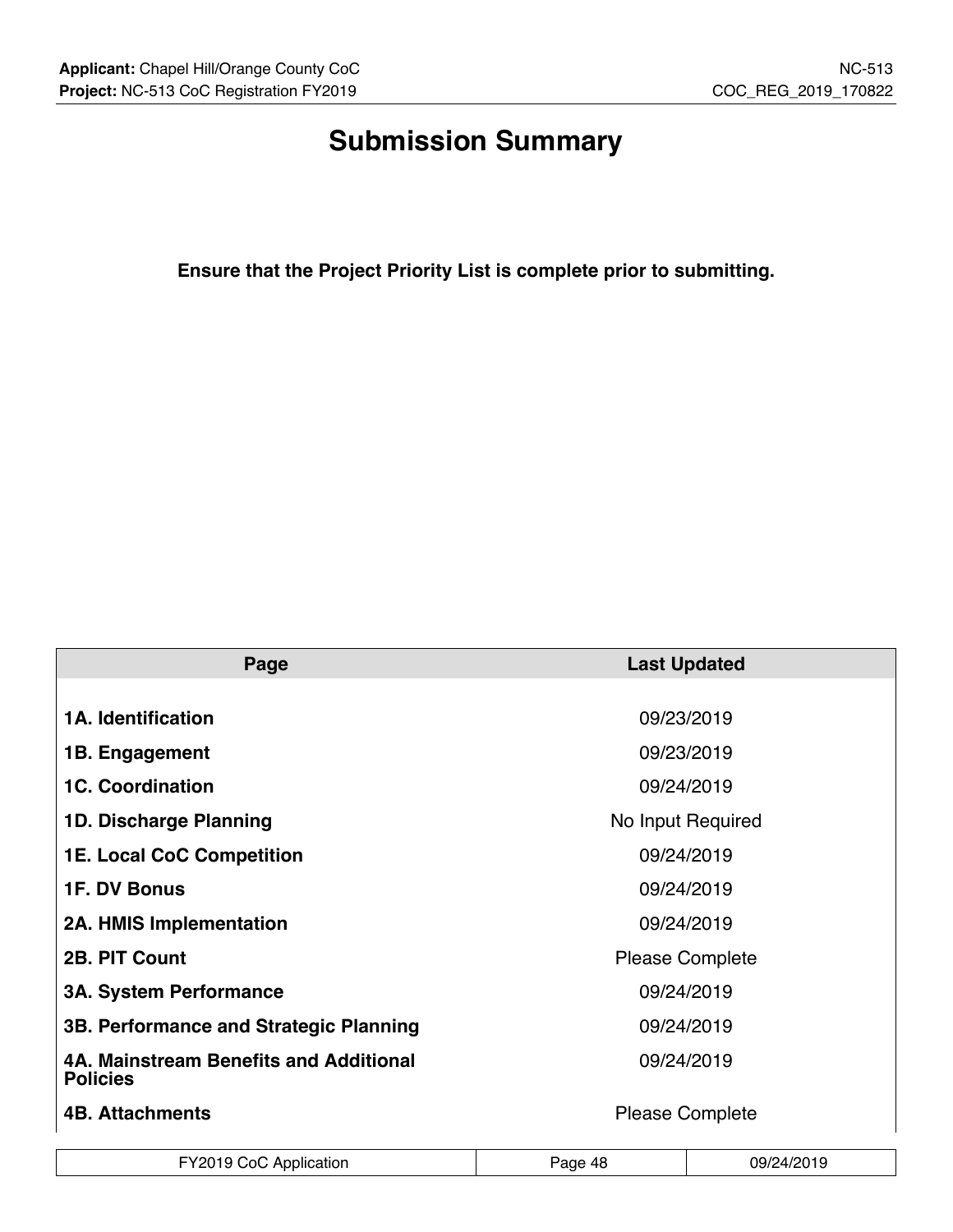# **Submission Summary**

**Ensure that the Project Priority List is complete prior to submitting.**

| Page                                                      | <b>Last Updated</b>    |  |  |
|-----------------------------------------------------------|------------------------|--|--|
|                                                           |                        |  |  |
| <b>1A. Identification</b>                                 | 09/23/2019             |  |  |
| 1B. Engagement                                            | 09/23/2019             |  |  |
| <b>1C. Coordination</b>                                   | 09/24/2019             |  |  |
| 1D. Discharge Planning                                    | No Input Required      |  |  |
| <b>1E. Local CoC Competition</b>                          | 09/24/2019             |  |  |
| <b>1F. DV Bonus</b>                                       | 09/24/2019             |  |  |
| <b>2A. HMIS Implementation</b>                            | 09/24/2019             |  |  |
| 2B. PIT Count                                             | <b>Please Complete</b> |  |  |
| <b>3A. System Performance</b>                             | 09/24/2019             |  |  |
| 3B. Performance and Strategic Planning                    | 09/24/2019             |  |  |
| 4A. Mainstream Benefits and Additional<br><b>Policies</b> | 09/24/2019             |  |  |
| <b>4B. Attachments</b>                                    | <b>Please Complete</b> |  |  |

| FY2019 CoC Application | Page 48 | 09/24/2019 |
|------------------------|---------|------------|
|------------------------|---------|------------|